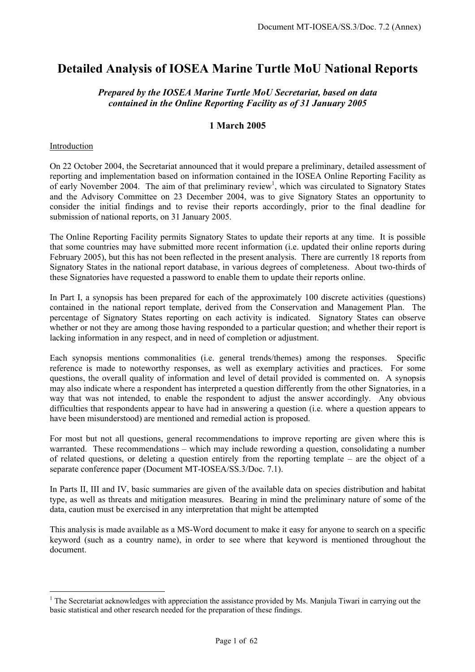# **Detailed Analysis of IOSEA Marine Turtle MoU National Reports**

## *Prepared by the IOSEA Marine Turtle MoU Secretariat, based on data contained in the Online Reporting Facility as of 31 January 2005*

#### **1 March 2005**

#### Introduction

 $\overline{a}$ 

On 22 October 2004, the Secretariat announced that it would prepare a preliminary, detailed assessment of reporting and implementation based on information contained in the IOSEA Online Reporting Facility as of early November 2004. The aim of that preliminary review<sup>1</sup>, which was circulated to Signatory States and the Advisory Committee on 23 December 2004, was to give Signatory States an opportunity to consider the initial findings and to revise their reports accordingly, prior to the final deadline for submission of national reports, on 31 January 2005.

The Online Reporting Facility permits Signatory States to update their reports at any time. It is possible that some countries may have submitted more recent information (i.e. updated their online reports during February 2005), but this has not been reflected in the present analysis. There are currently 18 reports from Signatory States in the national report database, in various degrees of completeness. About two-thirds of these Signatories have requested a password to enable them to update their reports online.

In Part I, a synopsis has been prepared for each of the approximately 100 discrete activities (questions) contained in the national report template, derived from the Conservation and Management Plan. The percentage of Signatory States reporting on each activity is indicated. Signatory States can observe whether or not they are among those having responded to a particular question; and whether their report is lacking information in any respect, and in need of completion or adjustment.

Each synopsis mentions commonalities (i.e. general trends/themes) among the responses. Specific reference is made to noteworthy responses, as well as exemplary activities and practices. For some questions, the overall quality of information and level of detail provided is commented on. A synopsis may also indicate where a respondent has interpreted a question differently from the other Signatories, in a way that was not intended, to enable the respondent to adjust the answer accordingly. Any obvious difficulties that respondents appear to have had in answering a question (i.e. where a question appears to have been misunderstood) are mentioned and remedial action is proposed.

For most but not all questions, general recommendations to improve reporting are given where this is warranted. These recommendations – which may include rewording a question, consolidating a number of related questions, or deleting a question entirely from the reporting template – are the object of a separate conference paper (Document MT-IOSEA/SS.3/Doc. 7.1).

In Parts II, III and IV, basic summaries are given of the available data on species distribution and habitat type, as well as threats and mitigation measures. Bearing in mind the preliminary nature of some of the data, caution must be exercised in any interpretation that might be attempted

This analysis is made available as a MS-Word document to make it easy for anyone to search on a specific keyword (such as a country name), in order to see where that keyword is mentioned throughout the document.

<sup>&</sup>lt;sup>1</sup> The Secretariat acknowledges with appreciation the assistance provided by Ms. Manjula Tiwari in carrying out the basic statistical and other research needed for the preparation of these findings.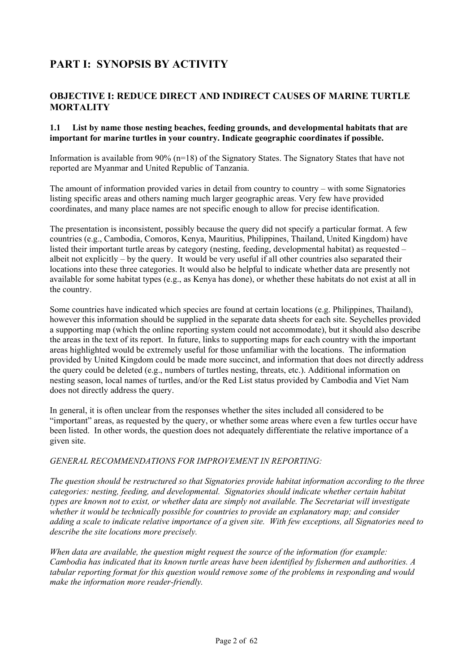# **PART I: SYNOPSIS BY ACTIVITY**

# **OBJECTIVE I: REDUCE DIRECT AND INDIRECT CAUSES OF MARINE TURTLE MORTALITY**

### **1.1 List by name those nesting beaches, feeding grounds, and developmental habitats that are important for marine turtles in your country. Indicate geographic coordinates if possible.**

Information is available from 90% (n=18) of the Signatory States. The Signatory States that have not reported are Myanmar and United Republic of Tanzania.

The amount of information provided varies in detail from country to country – with some Signatories listing specific areas and others naming much larger geographic areas. Very few have provided coordinates, and many place names are not specific enough to allow for precise identification.

The presentation is inconsistent, possibly because the query did not specify a particular format. A few countries (e.g., Cambodia, Comoros, Kenya, Mauritius, Philippines, Thailand, United Kingdom) have listed their important turtle areas by category (nesting, feeding, developmental habitat) as requested – albeit not explicitly – by the query. It would be very useful if all other countries also separated their locations into these three categories. It would also be helpful to indicate whether data are presently not available for some habitat types (e.g., as Kenya has done), or whether these habitats do not exist at all in the country.

Some countries have indicated which species are found at certain locations (e.g. Philippines, Thailand), however this information should be supplied in the separate data sheets for each site. Seychelles provided a supporting map (which the online reporting system could not accommodate), but it should also describe the areas in the text of its report. In future, links to supporting maps for each country with the important areas highlighted would be extremely useful for those unfamiliar with the locations. The information provided by United Kingdom could be made more succinct, and information that does not directly address the query could be deleted (e.g., numbers of turtles nesting, threats, etc.). Additional information on nesting season, local names of turtles, and/or the Red List status provided by Cambodia and Viet Nam does not directly address the query.

In general, it is often unclear from the responses whether the sites included all considered to be "important" areas, as requested by the query, or whether some areas where even a few turtles occur have been listed. In other words, the question does not adequately differentiate the relative importance of a given site.

#### *GENERAL RECOMMENDATIONS FOR IMPROVEMENT IN REPORTING:*

*The question should be restructured so that Signatories provide habitat information according to the three categories: nesting, feeding, and developmental. Signatories should indicate whether certain habitat types are known not to exist, or whether data are simply not available. The Secretariat will investigate whether it would be technically possible for countries to provide an explanatory map; and consider adding a scale to indicate relative importance of a given site. With few exceptions, all Signatories need to describe the site locations more precisely.* 

*When data are available, the question might request the source of the information (for example: Cambodia has indicated that its known turtle areas have been identified by fishermen and authorities. A tabular reporting format for this question would remove some of the problems in responding and would make the information more reader-friendly.*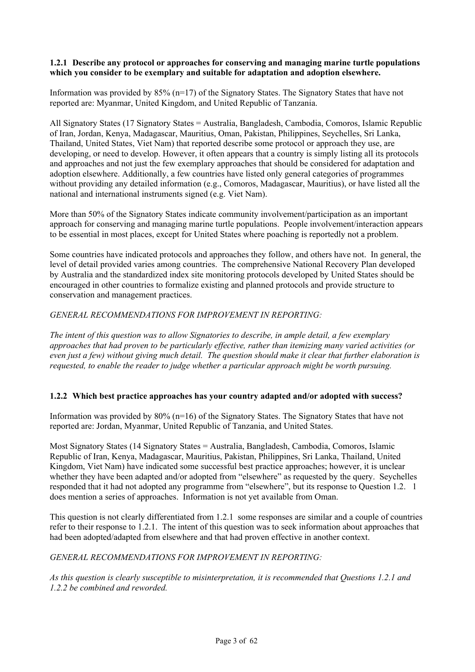#### **1.2.1 Describe any protocol or approaches for conserving and managing marine turtle populations which you consider to be exemplary and suitable for adaptation and adoption elsewhere.**

Information was provided by  $85\%$  (n=17) of the Signatory States. The Signatory States that have not reported are: Myanmar, United Kingdom, and United Republic of Tanzania.

All Signatory States (17 Signatory States = Australia, Bangladesh, Cambodia, Comoros, Islamic Republic of Iran, Jordan, Kenya, Madagascar, Mauritius, Oman, Pakistan, Philippines, Seychelles, Sri Lanka, Thailand, United States, Viet Nam) that reported describe some protocol or approach they use, are developing, or need to develop. However, it often appears that a country is simply listing all its protocols and approaches and not just the few exemplary approaches that should be considered for adaptation and adoption elsewhere. Additionally, a few countries have listed only general categories of programmes without providing any detailed information (e.g., Comoros, Madagascar, Mauritius), or have listed all the national and international instruments signed (e.g. Viet Nam).

More than 50% of the Signatory States indicate community involvement/participation as an important approach for conserving and managing marine turtle populations. People involvement/interaction appears to be essential in most places, except for United States where poaching is reportedly not a problem.

Some countries have indicated protocols and approaches they follow, and others have not. In general, the level of detail provided varies among countries. The comprehensive National Recovery Plan developed by Australia and the standardized index site monitoring protocols developed by United States should be encouraged in other countries to formalize existing and planned protocols and provide structure to conservation and management practices.

## *GENERAL RECOMMENDATIONS FOR IMPROVEMENT IN REPORTING:*

*The intent of this question was to allow Signatories to describe, in ample detail, a few exemplary approaches that had proven to be particularly effective, rather than itemizing many varied activities (or even just a few) without giving much detail. The question should make it clear that further elaboration is requested, to enable the reader to judge whether a particular approach might be worth pursuing.*

#### **1.2.2 Which best practice approaches has your country adapted and/or adopted with success?**

Information was provided by 80% (n=16) of the Signatory States. The Signatory States that have not reported are: Jordan, Myanmar, United Republic of Tanzania, and United States.

Most Signatory States (14 Signatory States = Australia, Bangladesh, Cambodia, Comoros, Islamic Republic of Iran, Kenya, Madagascar, Mauritius, Pakistan, Philippines, Sri Lanka, Thailand, United Kingdom, Viet Nam) have indicated some successful best practice approaches; however, it is unclear whether they have been adapted and/or adopted from "elsewhere" as requested by the query. Seychelles responded that it had not adopted any programme from "elsewhere", but its response to Question 1.2. 1 does mention a series of approaches. Information is not yet available from Oman.

This question is not clearly differentiated from 1.2.1 some responses are similar and a couple of countries refer to their response to 1.2.1. The intent of this question was to seek information about approaches that had been adopted/adapted from elsewhere and that had proven effective in another context.

#### *GENERAL RECOMMENDATIONS FOR IMPROVEMENT IN REPORTING:*

*As this question is clearly susceptible to misinterpretation, it is recommended that Questions 1.2.1 and 1.2.2 be combined and reworded.*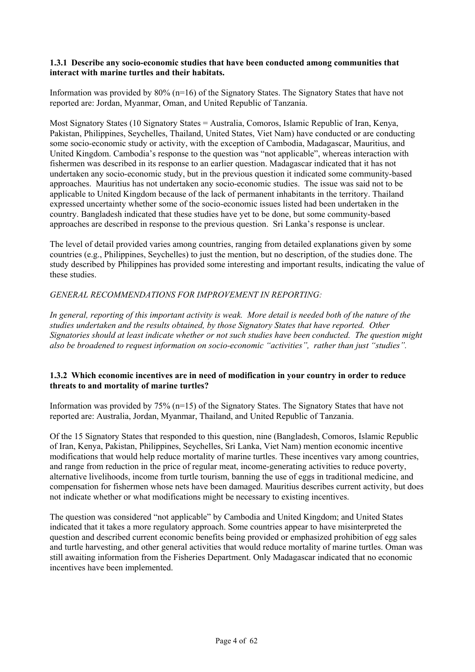#### **1.3.1 Describe any socio-economic studies that have been conducted among communities that interact with marine turtles and their habitats.**

Information was provided by 80% (n=16) of the Signatory States. The Signatory States that have not reported are: Jordan, Myanmar, Oman, and United Republic of Tanzania.

Most Signatory States (10 Signatory States = Australia, Comoros, Islamic Republic of Iran, Kenya, Pakistan, Philippines, Seychelles, Thailand, United States, Viet Nam) have conducted or are conducting some socio-economic study or activity, with the exception of Cambodia, Madagascar, Mauritius, and United Kingdom. Cambodia's response to the question was "not applicable", whereas interaction with fishermen was described in its response to an earlier question. Madagascar indicated that it has not undertaken any socio-economic study, but in the previous question it indicated some community-based approaches. Mauritius has not undertaken any socio-economic studies. The issue was said not to be applicable to United Kingdom because of the lack of permanent inhabitants in the territory. Thailand expressed uncertainty whether some of the socio-economic issues listed had been undertaken in the country. Bangladesh indicated that these studies have yet to be done, but some community-based approaches are described in response to the previous question. Sri Lanka's response is unclear.

The level of detail provided varies among countries, ranging from detailed explanations given by some countries (e.g., Philippines, Seychelles) to just the mention, but no description, of the studies done. The study described by Philippines has provided some interesting and important results, indicating the value of these studies.

## *GENERAL RECOMMENDATIONS FOR IMPROVEMENT IN REPORTING:*

In general, reporting of this important activity is weak. More detail is needed both of the nature of the *studies undertaken and the results obtained, by those Signatory States that have reported. Other Signatories should at least indicate whether or not such studies have been conducted. The question might also be broadened to request information on socio-economic "activities", rather than just "studies".* 

## **1.3.2 Which economic incentives are in need of modification in your country in order to reduce threats to and mortality of marine turtles?**

Information was provided by 75% (n=15) of the Signatory States. The Signatory States that have not reported are: Australia, Jordan, Myanmar, Thailand, and United Republic of Tanzania.

Of the 15 Signatory States that responded to this question, nine (Bangladesh, Comoros, Islamic Republic of Iran, Kenya, Pakistan, Philippines, Seychelles, Sri Lanka, Viet Nam) mention economic incentive modifications that would help reduce mortality of marine turtles. These incentives vary among countries, and range from reduction in the price of regular meat, income-generating activities to reduce poverty, alternative livelihoods, income from turtle tourism, banning the use of eggs in traditional medicine, and compensation for fishermen whose nets have been damaged. Mauritius describes current activity, but does not indicate whether or what modifications might be necessary to existing incentives.

The question was considered "not applicable" by Cambodia and United Kingdom; and United States indicated that it takes a more regulatory approach. Some countries appear to have misinterpreted the question and described current economic benefits being provided or emphasized prohibition of egg sales and turtle harvesting, and other general activities that would reduce mortality of marine turtles. Oman was still awaiting information from the Fisheries Department. Only Madagascar indicated that no economic incentives have been implemented.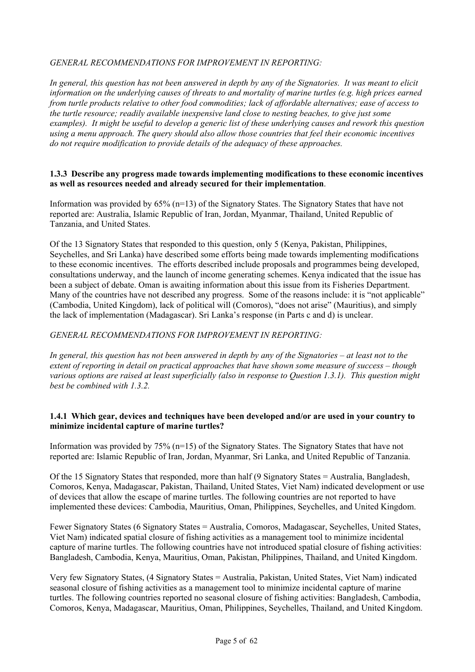## *GENERAL RECOMMENDATIONS FOR IMPROVEMENT IN REPORTING:*

*In general, this question has not been answered in depth by any of the Signatories. It was meant to elicit information on the underlying causes of threats to and mortality of marine turtles (e.g. high prices earned from turtle products relative to other food commodities; lack of affordable alternatives; ease of access to the turtle resource; readily available inexpensive land close to nesting beaches, to give just some examples). It might be useful to develop a generic list of these underlying causes and rework this question using a menu approach. The query should also allow those countries that feel their economic incentives do not require modification to provide details of the adequacy of these approaches.* 

### **1.3.3 Describe any progress made towards implementing modifications to these economic incentives as well as resources needed and already secured for their implementation**.

Information was provided by 65% (n=13) of the Signatory States. The Signatory States that have not reported are: Australia, Islamic Republic of Iran, Jordan, Myanmar, Thailand, United Republic of Tanzania, and United States.

Of the 13 Signatory States that responded to this question, only 5 (Kenya, Pakistan, Philippines, Seychelles, and Sri Lanka) have described some efforts being made towards implementing modifications to these economic incentives. The efforts described include proposals and programmes being developed, consultations underway, and the launch of income generating schemes. Kenya indicated that the issue has been a subject of debate. Oman is awaiting information about this issue from its Fisheries Department. Many of the countries have not described any progress. Some of the reasons include: it is "not applicable" (Cambodia, United Kingdom), lack of political will (Comoros), "does not arise" (Mauritius), and simply the lack of implementation (Madagascar). Sri Lanka's response (in Parts c and d) is unclear.

## *GENERAL RECOMMENDATIONS FOR IMPROVEMENT IN REPORTING:*

*In general, this question has not been answered in depth by any of the Signatories – at least not to the extent of reporting in detail on practical approaches that have shown some measure of success – though various options are raised at least superficially (also in response to Question 1.3.1). This question might best be combined with 1.3.2.* 

## **1.4.1 Which gear, devices and techniques have been developed and/or are used in your country to minimize incidental capture of marine turtles?**

Information was provided by 75% (n=15) of the Signatory States. The Signatory States that have not reported are: Islamic Republic of Iran, Jordan, Myanmar, Sri Lanka, and United Republic of Tanzania.

Of the 15 Signatory States that responded, more than half (9 Signatory States = Australia, Bangladesh, Comoros, Kenya, Madagascar, Pakistan, Thailand, United States, Viet Nam) indicated development or use of devices that allow the escape of marine turtles. The following countries are not reported to have implemented these devices: Cambodia, Mauritius, Oman, Philippines, Seychelles, and United Kingdom.

Fewer Signatory States (6 Signatory States = Australia, Comoros, Madagascar, Seychelles, United States, Viet Nam) indicated spatial closure of fishing activities as a management tool to minimize incidental capture of marine turtles. The following countries have not introduced spatial closure of fishing activities: Bangladesh, Cambodia, Kenya, Mauritius, Oman, Pakistan, Philippines, Thailand, and United Kingdom.

Very few Signatory States, (4 Signatory States = Australia, Pakistan, United States, Viet Nam) indicated seasonal closure of fishing activities as a management tool to minimize incidental capture of marine turtles. The following countries reported no seasonal closure of fishing activities: Bangladesh, Cambodia, Comoros, Kenya, Madagascar, Mauritius, Oman, Philippines, Seychelles, Thailand, and United Kingdom.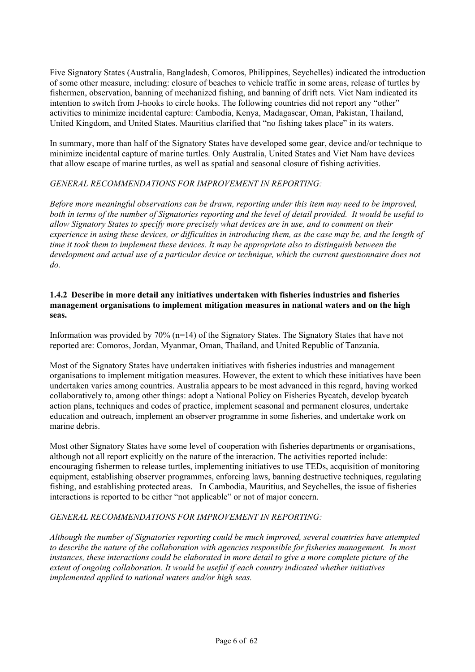Five Signatory States (Australia, Bangladesh, Comoros, Philippines, Seychelles) indicated the introduction of some other measure, including: closure of beaches to vehicle traffic in some areas, release of turtles by fishermen, observation, banning of mechanized fishing, and banning of drift nets. Viet Nam indicated its intention to switch from J-hooks to circle hooks. The following countries did not report any "other" activities to minimize incidental capture: Cambodia, Kenya, Madagascar, Oman, Pakistan, Thailand, United Kingdom, and United States. Mauritius clarified that "no fishing takes place" in its waters.

In summary, more than half of the Signatory States have developed some gear, device and/or technique to minimize incidental capture of marine turtles. Only Australia, United States and Viet Nam have devices that allow escape of marine turtles, as well as spatial and seasonal closure of fishing activities.

## *GENERAL RECOMMENDATIONS FOR IMPROVEMENT IN REPORTING:*

*Before more meaningful observations can be drawn, reporting under this item may need to be improved, both in terms of the number of Signatories reporting and the level of detail provided. It would be useful to allow Signatory States to specify more precisely what devices are in use, and to comment on their experience in using these devices, or difficulties in introducing them, as the case may be, and the length of time it took them to implement these devices. It may be appropriate also to distinguish between the development and actual use of a particular device or technique, which the current questionnaire does not do.* 

#### **1.4.2 Describe in more detail any initiatives undertaken with fisheries industries and fisheries management organisations to implement mitigation measures in national waters and on the high seas.**

Information was provided by 70% (n=14) of the Signatory States. The Signatory States that have not reported are: Comoros, Jordan, Myanmar, Oman, Thailand, and United Republic of Tanzania.

Most of the Signatory States have undertaken initiatives with fisheries industries and management organisations to implement mitigation measures. However, the extent to which these initiatives have been undertaken varies among countries. Australia appears to be most advanced in this regard, having worked collaboratively to, among other things: adopt a National Policy on Fisheries Bycatch, develop bycatch action plans, techniques and codes of practice, implement seasonal and permanent closures, undertake education and outreach, implement an observer programme in some fisheries, and undertake work on marine debris.

Most other Signatory States have some level of cooperation with fisheries departments or organisations, although not all report explicitly on the nature of the interaction. The activities reported include: encouraging fishermen to release turtles, implementing initiatives to use TEDs, acquisition of monitoring equipment, establishing observer programmes, enforcing laws, banning destructive techniques, regulating fishing, and establishing protected areas. In Cambodia, Mauritius, and Seychelles, the issue of fisheries interactions is reported to be either "not applicable" or not of major concern.

## *GENERAL RECOMMENDATIONS FOR IMPROVEMENT IN REPORTING:*

*Although the number of Signatories reporting could be much improved, several countries have attempted to describe the nature of the collaboration with agencies responsible for fisheries management. In most instances, these interactions could be elaborated in more detail to give a more complete picture of the extent of ongoing collaboration. It would be useful if each country indicated whether initiatives implemented applied to national waters and/or high seas.*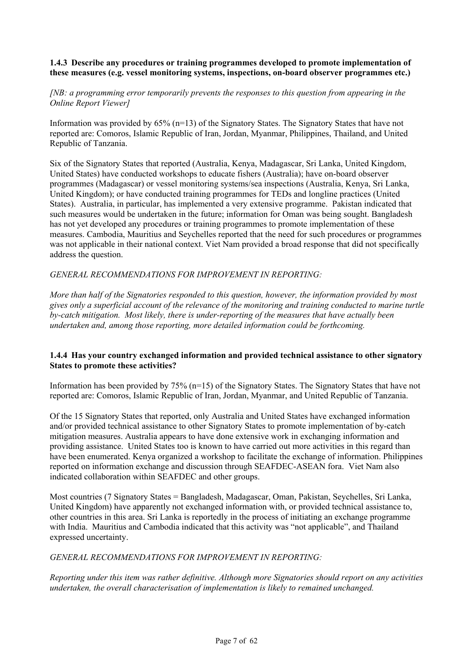## **1.4.3 Describe any procedures or training programmes developed to promote implementation of these measures (e.g. vessel monitoring systems, inspections, on-board observer programmes etc.)**

## *[NB: a programming error temporarily prevents the responses to this question from appearing in the Online Report Viewer]*

Information was provided by  $65\%$  (n=13) of the Signatory States. The Signatory States that have not reported are: Comoros, Islamic Republic of Iran, Jordan, Myanmar, Philippines, Thailand, and United Republic of Tanzania.

Six of the Signatory States that reported (Australia, Kenya, Madagascar, Sri Lanka, United Kingdom, United States) have conducted workshops to educate fishers (Australia); have on-board observer programmes (Madagascar) or vessel monitoring systems/sea inspections (Australia, Kenya, Sri Lanka, United Kingdom); or have conducted training programmes for TEDs and longline practices (United States). Australia, in particular, has implemented a very extensive programme. Pakistan indicated that such measures would be undertaken in the future; information for Oman was being sought. Bangladesh has not yet developed any procedures or training programmes to promote implementation of these measures. Cambodia, Mauritius and Seychelles reported that the need for such procedures or programmes was not applicable in their national context. Viet Nam provided a broad response that did not specifically address the question.

## *GENERAL RECOMMENDATIONS FOR IMPROVEMENT IN REPORTING:*

*More than half of the Signatories responded to this question, however, the information provided by most gives only a superficial account of the relevance of the monitoring and training conducted to marine turtle by-catch mitigation. Most likely, there is under-reporting of the measures that have actually been undertaken and, among those reporting, more detailed information could be forthcoming.* 

#### **1.4.4 Has your country exchanged information and provided technical assistance to other signatory States to promote these activities?**

Information has been provided by 75% (n=15) of the Signatory States. The Signatory States that have not reported are: Comoros, Islamic Republic of Iran, Jordan, Myanmar, and United Republic of Tanzania.

Of the 15 Signatory States that reported, only Australia and United States have exchanged information and/or provided technical assistance to other Signatory States to promote implementation of by-catch mitigation measures. Australia appears to have done extensive work in exchanging information and providing assistance. United States too is known to have carried out more activities in this regard than have been enumerated. Kenya organized a workshop to facilitate the exchange of information. Philippines reported on information exchange and discussion through SEAFDEC-ASEAN fora. Viet Nam also indicated collaboration within SEAFDEC and other groups.

Most countries (7 Signatory States = Bangladesh, Madagascar, Oman, Pakistan, Seychelles, Sri Lanka, United Kingdom) have apparently not exchanged information with, or provided technical assistance to, other countries in this area. Sri Lanka is reportedly in the process of initiating an exchange programme with India. Mauritius and Cambodia indicated that this activity was "not applicable", and Thailand expressed uncertainty.

#### *GENERAL RECOMMENDATIONS FOR IMPROVEMENT IN REPORTING:*

*Reporting under this item was rather definitive. Although more Signatories should report on any activities undertaken, the overall characterisation of implementation is likely to remained unchanged.*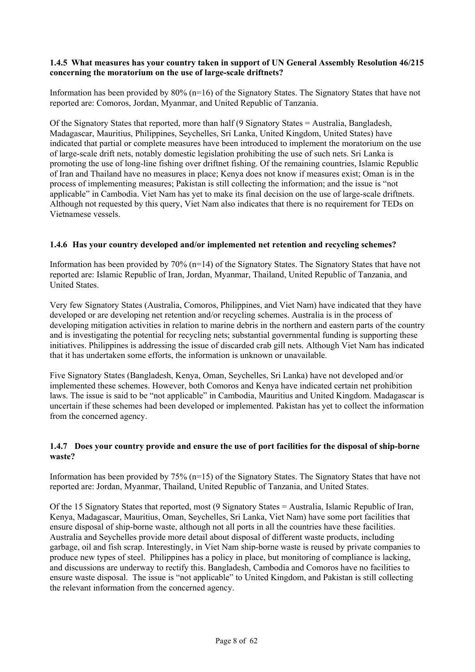#### **1.4.5 What measures has your country taken in support of UN General Assembly Resolution 46/215 concerning the moratorium on the use of large-scale driftnets?**

Information has been provided by 80% (n=16) of the Signatory States. The Signatory States that have not reported are: Comoros, Jordan, Myanmar, and United Republic of Tanzania.

Of the Signatory States that reported, more than half (9 Signatory States = Australia, Bangladesh, Madagascar, Mauritius, Philippines, Seychelles, Sri Lanka, United Kingdom, United States) have indicated that partial or complete measures have been introduced to implement the moratorium on the use of large-scale drift nets, notably domestic legislation prohibiting the use of such nets. Sri Lanka is promoting the use of long-line fishing over driftnet fishing. Of the remaining countries, Islamic Republic of Iran and Thailand have no measures in place; Kenya does not know if measures exist; Oman is in the process of implementing measures; Pakistan is still collecting the information; and the issue is "not applicable" in Cambodia. Viet Nam has yet to make its final decision on the use of large-scale driftnets. Although not requested by this query, Viet Nam also indicates that there is no requirement for TEDs on Vietnamese vessels.

## **1.4.6 Has your country developed and/or implemented net retention and recycling schemes?**

Information has been provided by 70% (n=14) of the Signatory States. The Signatory States that have not reported are: Islamic Republic of Iran, Jordan, Myanmar, Thailand, United Republic of Tanzania, and United States.

Very few Signatory States (Australia, Comoros, Philippines, and Viet Nam) have indicated that they have developed or are developing net retention and/or recycling schemes. Australia is in the process of developing mitigation activities in relation to marine debris in the northern and eastern parts of the country and is investigating the potential for recycling nets; substantial governmental funding is supporting these initiatives. Philippines is addressing the issue of discarded crab gill nets. Although Viet Nam has indicated that it has undertaken some efforts, the information is unknown or unavailable.

Five Signatory States (Bangladesh, Kenya, Oman, Seychelles, Sri Lanka) have not developed and/or implemented these schemes. However, both Comoros and Kenya have indicated certain net prohibition laws. The issue is said to be "not applicable" in Cambodia, Mauritius and United Kingdom. Madagascar is uncertain if these schemes had been developed or implemented. Pakistan has yet to collect the information from the concerned agency.

## **1.4.7 Does your country provide and ensure the use of port facilities for the disposal of ship-borne waste?**

Information has been provided by 75% (n=15) of the Signatory States. The Signatory States that have not reported are: Jordan, Myanmar, Thailand, United Republic of Tanzania, and United States.

Of the 15 Signatory States that reported, most (9 Signatory States = Australia, Islamic Republic of Iran, Kenya, Madagascar, Mauritius, Oman, Seychelles, Sri Lanka, Viet Nam) have some port facilities that ensure disposal of ship-borne waste, although not all ports in all the countries have these facilities. Australia and Seychelles provide more detail about disposal of different waste products, including garbage, oil and fish scrap. Interestingly, in Viet Nam ship-borne waste is reused by private companies to produce new types of steel. Philippines has a policy in place, but monitoring of compliance is lacking, and discussions are underway to rectify this. Bangladesh, Cambodia and Comoros have no facilities to ensure waste disposal. The issue is "not applicable" to United Kingdom, and Pakistan is still collecting the relevant information from the concerned agency.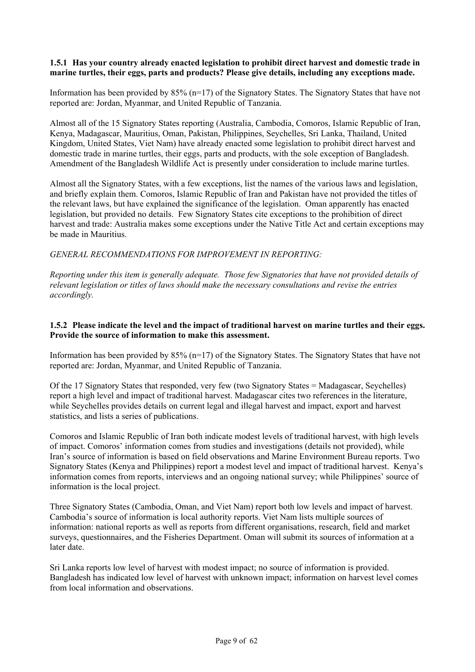#### **1.5.1 Has your country already enacted legislation to prohibit direct harvest and domestic trade in marine turtles, their eggs, parts and products? Please give details, including any exceptions made.**

Information has been provided by 85% (n=17) of the Signatory States. The Signatory States that have not reported are: Jordan, Myanmar, and United Republic of Tanzania.

Almost all of the 15 Signatory States reporting (Australia, Cambodia, Comoros, Islamic Republic of Iran, Kenya, Madagascar, Mauritius, Oman, Pakistan, Philippines, Seychelles, Sri Lanka, Thailand, United Kingdom, United States, Viet Nam) have already enacted some legislation to prohibit direct harvest and domestic trade in marine turtles, their eggs, parts and products, with the sole exception of Bangladesh. Amendment of the Bangladesh Wildlife Act is presently under consideration to include marine turtles.

Almost all the Signatory States, with a few exceptions, list the names of the various laws and legislation, and briefly explain them. Comoros, Islamic Republic of Iran and Pakistan have not provided the titles of the relevant laws, but have explained the significance of the legislation. Oman apparently has enacted legislation, but provided no details. Few Signatory States cite exceptions to the prohibition of direct harvest and trade: Australia makes some exceptions under the Native Title Act and certain exceptions may be made in Mauritius.

## *GENERAL RECOMMENDATIONS FOR IMPROVEMENT IN REPORTING:*

*Reporting under this item is generally adequate. Those few Signatories that have not provided details of relevant legislation or titles of laws should make the necessary consultations and revise the entries accordingly.* 

### **1.5.2 Please indicate the level and the impact of traditional harvest on marine turtles and their eggs. Provide the source of information to make this assessment.**

Information has been provided by  $85\%$  (n=17) of the Signatory States. The Signatory States that have not reported are: Jordan, Myanmar, and United Republic of Tanzania.

Of the 17 Signatory States that responded, very few (two Signatory States = Madagascar, Seychelles) report a high level and impact of traditional harvest. Madagascar cites two references in the literature, while Seychelles provides details on current legal and illegal harvest and impact, export and harvest statistics, and lists a series of publications.

Comoros and Islamic Republic of Iran both indicate modest levels of traditional harvest, with high levels of impact. Comoros' information comes from studies and investigations (details not provided), while Iran's source of information is based on field observations and Marine Environment Bureau reports. Two Signatory States (Kenya and Philippines) report a modest level and impact of traditional harvest. Kenya's information comes from reports, interviews and an ongoing national survey; while Philippines' source of information is the local project.

Three Signatory States (Cambodia, Oman, and Viet Nam) report both low levels and impact of harvest. Cambodia's source of information is local authority reports. Viet Nam lists multiple sources of information: national reports as well as reports from different organisations, research, field and market surveys, questionnaires, and the Fisheries Department. Oman will submit its sources of information at a later date.

Sri Lanka reports low level of harvest with modest impact; no source of information is provided. Bangladesh has indicated low level of harvest with unknown impact; information on harvest level comes from local information and observations.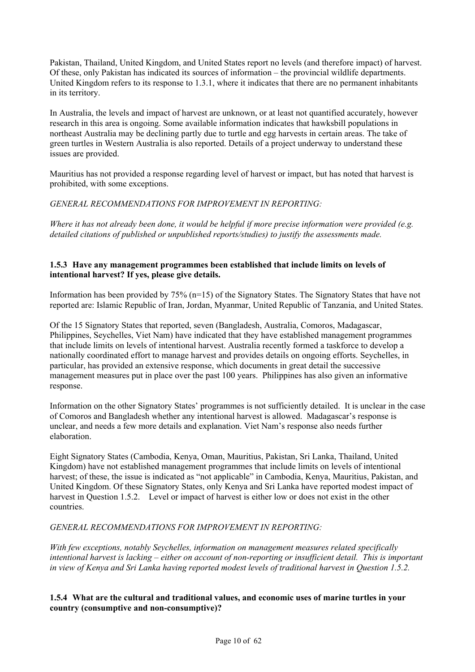Pakistan, Thailand, United Kingdom, and United States report no levels (and therefore impact) of harvest. Of these, only Pakistan has indicated its sources of information – the provincial wildlife departments. United Kingdom refers to its response to 1.3.1, where it indicates that there are no permanent inhabitants in its territory.

In Australia, the levels and impact of harvest are unknown, or at least not quantified accurately, however research in this area is ongoing. Some available information indicates that hawksbill populations in northeast Australia may be declining partly due to turtle and egg harvests in certain areas. The take of green turtles in Western Australia is also reported. Details of a project underway to understand these issues are provided.

Mauritius has not provided a response regarding level of harvest or impact, but has noted that harvest is prohibited, with some exceptions.

## *GENERAL RECOMMENDATIONS FOR IMPROVEMENT IN REPORTING:*

*Where it has not already been done, it would be helpful if more precise information were provided (e.g. detailed citations of published or unpublished reports/studies) to justify the assessments made.*

### **1.5.3 Have any management programmes been established that include limits on levels of intentional harvest? If yes, please give details.**

Information has been provided by 75% (n=15) of the Signatory States. The Signatory States that have not reported are: Islamic Republic of Iran, Jordan, Myanmar, United Republic of Tanzania, and United States.

Of the 15 Signatory States that reported, seven (Bangladesh, Australia, Comoros, Madagascar, Philippines, Seychelles, Viet Nam) have indicated that they have established management programmes that include limits on levels of intentional harvest. Australia recently formed a taskforce to develop a nationally coordinated effort to manage harvest and provides details on ongoing efforts. Seychelles, in particular, has provided an extensive response, which documents in great detail the successive management measures put in place over the past 100 years. Philippines has also given an informative response.

Information on the other Signatory States' programmes is not sufficiently detailed. It is unclear in the case of Comoros and Bangladesh whether any intentional harvest is allowed. Madagascar's response is unclear, and needs a few more details and explanation. Viet Nam's response also needs further elaboration.

Eight Signatory States (Cambodia, Kenya, Oman, Mauritius, Pakistan, Sri Lanka, Thailand, United Kingdom) have not established management programmes that include limits on levels of intentional harvest; of these, the issue is indicated as "not applicable" in Cambodia, Kenya, Mauritius, Pakistan, and United Kingdom. Of these Signatory States, only Kenya and Sri Lanka have reported modest impact of harvest in Question 1.5.2. Level or impact of harvest is either low or does not exist in the other countries.

## *GENERAL RECOMMENDATIONS FOR IMPROVEMENT IN REPORTING:*

*With few exceptions, notably Seychelles, information on management measures related specifically intentional harvest is lacking – either on account of non-reporting or insufficient detail. This is important in view of Kenya and Sri Lanka having reported modest levels of traditional harvest in Question 1.5.2.* 

## **1.5.4 What are the cultural and traditional values, and economic uses of marine turtles in your country (consumptive and non-consumptive)?**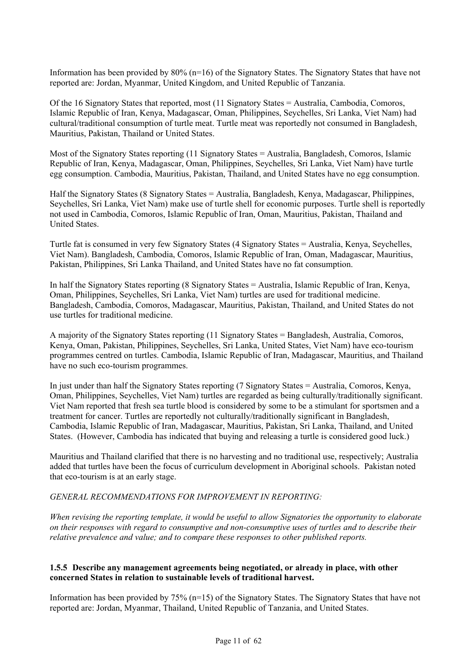Information has been provided by 80% (n=16) of the Signatory States. The Signatory States that have not reported are: Jordan, Myanmar, United Kingdom, and United Republic of Tanzania.

Of the 16 Signatory States that reported, most (11 Signatory States = Australia, Cambodia, Comoros, Islamic Republic of Iran, Kenya, Madagascar, Oman, Philippines, Seychelles, Sri Lanka, Viet Nam) had cultural/traditional consumption of turtle meat. Turtle meat was reportedly not consumed in Bangladesh, Mauritius, Pakistan, Thailand or United States.

Most of the Signatory States reporting (11 Signatory States = Australia, Bangladesh, Comoros, Islamic Republic of Iran, Kenya, Madagascar, Oman, Philippines, Seychelles, Sri Lanka, Viet Nam) have turtle egg consumption. Cambodia, Mauritius, Pakistan, Thailand, and United States have no egg consumption.

Half the Signatory States (8 Signatory States = Australia, Bangladesh, Kenya, Madagascar, Philippines, Seychelles, Sri Lanka, Viet Nam) make use of turtle shell for economic purposes. Turtle shell is reportedly not used in Cambodia, Comoros, Islamic Republic of Iran, Oman, Mauritius, Pakistan, Thailand and United States.

Turtle fat is consumed in very few Signatory States (4 Signatory States = Australia, Kenya, Seychelles, Viet Nam). Bangladesh, Cambodia, Comoros, Islamic Republic of Iran, Oman, Madagascar, Mauritius, Pakistan, Philippines, Sri Lanka Thailand, and United States have no fat consumption.

In half the Signatory States reporting (8 Signatory States = Australia, Islamic Republic of Iran, Kenya, Oman, Philippines, Seychelles, Sri Lanka, Viet Nam) turtles are used for traditional medicine. Bangladesh, Cambodia, Comoros, Madagascar, Mauritius, Pakistan, Thailand, and United States do not use turtles for traditional medicine.

A majority of the Signatory States reporting (11 Signatory States = Bangladesh, Australia, Comoros, Kenya, Oman, Pakistan, Philippines, Seychelles, Sri Lanka, United States, Viet Nam) have eco-tourism programmes centred on turtles. Cambodia, Islamic Republic of Iran, Madagascar, Mauritius, and Thailand have no such eco-tourism programmes.

In just under than half the Signatory States reporting (7 Signatory States = Australia, Comoros, Kenya, Oman, Philippines, Seychelles, Viet Nam) turtles are regarded as being culturally/traditionally significant. Viet Nam reported that fresh sea turtle blood is considered by some to be a stimulant for sportsmen and a treatment for cancer. Turtles are reportedly not culturally/traditionally significant in Bangladesh, Cambodia, Islamic Republic of Iran, Madagascar, Mauritius, Pakistan, Sri Lanka, Thailand, and United States. (However, Cambodia has indicated that buying and releasing a turtle is considered good luck.)

Mauritius and Thailand clarified that there is no harvesting and no traditional use, respectively; Australia added that turtles have been the focus of curriculum development in Aboriginal schools. Pakistan noted that eco-tourism is at an early stage.

#### *GENERAL RECOMMENDATIONS FOR IMPROVEMENT IN REPORTING:*

*When revising the reporting template, it would be useful to allow Signatories the opportunity to elaborate on their responses with regard to consumptive and non-consumptive uses of turtles and to describe their relative prevalence and value; and to compare these responses to other published reports.* 

#### **1.5.5 Describe any management agreements being negotiated, or already in place, with other concerned States in relation to sustainable levels of traditional harvest.**

Information has been provided by 75% (n=15) of the Signatory States. The Signatory States that have not reported are: Jordan, Myanmar, Thailand, United Republic of Tanzania, and United States.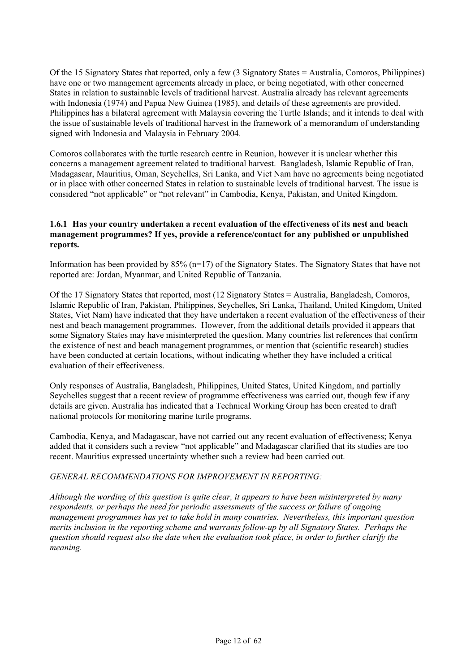Of the 15 Signatory States that reported, only a few (3 Signatory States = Australia, Comoros, Philippines) have one or two management agreements already in place, or being negotiated, with other concerned States in relation to sustainable levels of traditional harvest. Australia already has relevant agreements with Indonesia (1974) and Papua New Guinea (1985), and details of these agreements are provided. Philippines has a bilateral agreement with Malaysia covering the Turtle Islands; and it intends to deal with the issue of sustainable levels of traditional harvest in the framework of a memorandum of understanding signed with Indonesia and Malaysia in February 2004.

Comoros collaborates with the turtle research centre in Reunion, however it is unclear whether this concerns a management agreement related to traditional harvest. Bangladesh, Islamic Republic of Iran, Madagascar, Mauritius, Oman, Seychelles, Sri Lanka, and Viet Nam have no agreements being negotiated or in place with other concerned States in relation to sustainable levels of traditional harvest. The issue is considered "not applicable" or "not relevant" in Cambodia, Kenya, Pakistan, and United Kingdom.

### **1.6.1 Has your country undertaken a recent evaluation of the effectiveness of its nest and beach management programmes? If yes, provide a reference/contact for any published or unpublished reports.**

Information has been provided by  $85\%$  (n=17) of the Signatory States. The Signatory States that have not reported are: Jordan, Myanmar, and United Republic of Tanzania.

Of the 17 Signatory States that reported, most (12 Signatory States = Australia, Bangladesh, Comoros, Islamic Republic of Iran, Pakistan, Philippines, Seychelles, Sri Lanka, Thailand, United Kingdom, United States, Viet Nam) have indicated that they have undertaken a recent evaluation of the effectiveness of their nest and beach management programmes. However, from the additional details provided it appears that some Signatory States may have misinterpreted the question. Many countries list references that confirm the existence of nest and beach management programmes, or mention that (scientific research) studies have been conducted at certain locations, without indicating whether they have included a critical evaluation of their effectiveness.

Only responses of Australia, Bangladesh, Philippines, United States, United Kingdom, and partially Seychelles suggest that a recent review of programme effectiveness was carried out, though few if any details are given. Australia has indicated that a Technical Working Group has been created to draft national protocols for monitoring marine turtle programs.

Cambodia, Kenya, and Madagascar, have not carried out any recent evaluation of effectiveness; Kenya added that it considers such a review "not applicable" and Madagascar clarified that its studies are too recent. Mauritius expressed uncertainty whether such a review had been carried out.

#### *GENERAL RECOMMENDATIONS FOR IMPROVEMENT IN REPORTING:*

*Although the wording of this question is quite clear, it appears to have been misinterpreted by many respondents, or perhaps the need for periodic assessments of the success or failure of ongoing management programmes has yet to take hold in many countries. Nevertheless, this important question merits inclusion in the reporting scheme and warrants follow-up by all Signatory States. Perhaps the question should request also the date when the evaluation took place, in order to further clarify the meaning.*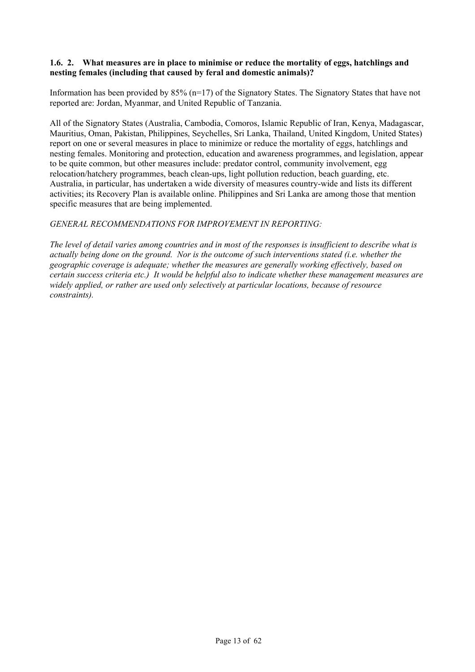#### **1.6. 2. What measures are in place to minimise or reduce the mortality of eggs, hatchlings and nesting females (including that caused by feral and domestic animals)?**

Information has been provided by  $85\%$  (n=17) of the Signatory States. The Signatory States that have not reported are: Jordan, Myanmar, and United Republic of Tanzania.

All of the Signatory States (Australia, Cambodia, Comoros, Islamic Republic of Iran, Kenya, Madagascar, Mauritius, Oman, Pakistan, Philippines, Seychelles, Sri Lanka, Thailand, United Kingdom, United States) report on one or several measures in place to minimize or reduce the mortality of eggs, hatchlings and nesting females. Monitoring and protection, education and awareness programmes, and legislation, appear to be quite common, but other measures include: predator control, community involvement, egg relocation/hatchery programmes, beach clean-ups, light pollution reduction, beach guarding, etc. Australia, in particular, has undertaken a wide diversity of measures country-wide and lists its different activities; its Recovery Plan is available online. Philippines and Sri Lanka are among those that mention specific measures that are being implemented.

## *GENERAL RECOMMENDATIONS FOR IMPROVEMENT IN REPORTING:*

*The level of detail varies among countries and in most of the responses is insufficient to describe what is actually being done on the ground. Nor is the outcome of such interventions stated (i.e. whether the geographic coverage is adequate; whether the measures are generally working effectively, based on certain success criteria etc.) It would be helpful also to indicate whether these management measures are widely applied, or rather are used only selectively at particular locations, because of resource constraints).*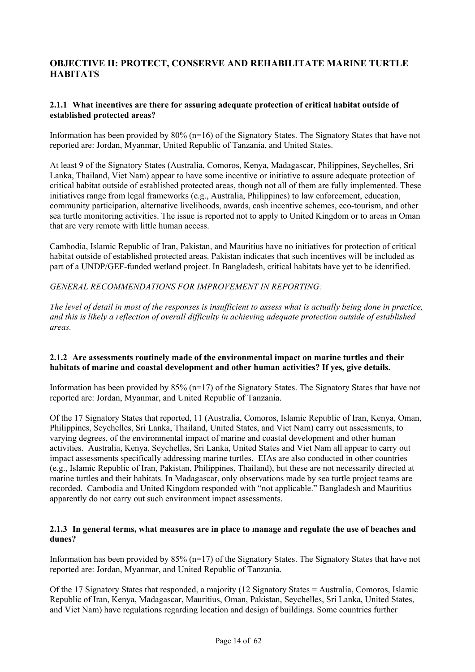# **OBJECTIVE II: PROTECT, CONSERVE AND REHABILITATE MARINE TURTLE HABITATS**

## **2.1.1 What incentives are there for assuring adequate protection of critical habitat outside of established protected areas?**

Information has been provided by 80% (n=16) of the Signatory States. The Signatory States that have not reported are: Jordan, Myanmar, United Republic of Tanzania, and United States.

At least 9 of the Signatory States (Australia, Comoros, Kenya, Madagascar, Philippines, Seychelles, Sri Lanka, Thailand, Viet Nam) appear to have some incentive or initiative to assure adequate protection of critical habitat outside of established protected areas, though not all of them are fully implemented. These initiatives range from legal frameworks (e.g., Australia, Philippines) to law enforcement, education, community participation, alternative livelihoods, awards, cash incentive schemes, eco-tourism, and other sea turtle monitoring activities. The issue is reported not to apply to United Kingdom or to areas in Oman that are very remote with little human access.

Cambodia, Islamic Republic of Iran, Pakistan, and Mauritius have no initiatives for protection of critical habitat outside of established protected areas. Pakistan indicates that such incentives will be included as part of a UNDP/GEF-funded wetland project. In Bangladesh, critical habitats have yet to be identified.

*GENERAL RECOMMENDATIONS FOR IMPROVEMENT IN REPORTING:*

*The level of detail in most of the responses is insufficient to assess what is actually being done in practice, and this is likely a reflection of overall difficulty in achieving adequate protection outside of established areas.* 

#### **2.1.2 Are assessments routinely made of the environmental impact on marine turtles and their habitats of marine and coastal development and other human activities? If yes, give details.**

Information has been provided by  $85\%$  (n=17) of the Signatory States. The Signatory States that have not reported are: Jordan, Myanmar, and United Republic of Tanzania.

Of the 17 Signatory States that reported, 11 (Australia, Comoros, Islamic Republic of Iran, Kenya, Oman, Philippines, Seychelles, Sri Lanka, Thailand, United States, and Viet Nam) carry out assessments, to varying degrees, of the environmental impact of marine and coastal development and other human activities. Australia, Kenya, Seychelles, Sri Lanka, United States and Viet Nam all appear to carry out impact assessments specifically addressing marine turtles. EIAs are also conducted in other countries (e.g., Islamic Republic of Iran, Pakistan, Philippines, Thailand), but these are not necessarily directed at marine turtles and their habitats. In Madagascar, only observations made by sea turtle project teams are recorded. Cambodia and United Kingdom responded with "not applicable." Bangladesh and Mauritius apparently do not carry out such environment impact assessments.

## **2.1.3 In general terms, what measures are in place to manage and regulate the use of beaches and dunes?**

Information has been provided by 85% (n=17) of the Signatory States. The Signatory States that have not reported are: Jordan, Myanmar, and United Republic of Tanzania.

Of the 17 Signatory States that responded, a majority (12 Signatory States = Australia, Comoros, Islamic Republic of Iran, Kenya, Madagascar, Mauritius, Oman, Pakistan, Seychelles, Sri Lanka, United States, and Viet Nam) have regulations regarding location and design of buildings. Some countries further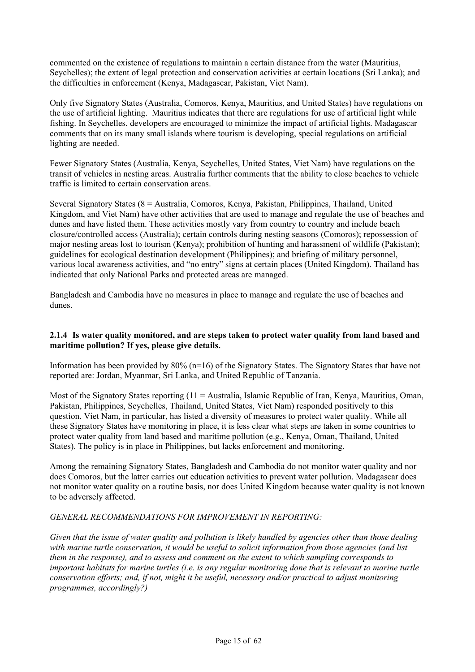commented on the existence of regulations to maintain a certain distance from the water (Mauritius, Seychelles); the extent of legal protection and conservation activities at certain locations (Sri Lanka); and the difficulties in enforcement (Kenya, Madagascar, Pakistan, Viet Nam).

Only five Signatory States (Australia, Comoros, Kenya, Mauritius, and United States) have regulations on the use of artificial lighting. Mauritius indicates that there are regulations for use of artificial light while fishing. In Seychelles, developers are encouraged to minimize the impact of artificial lights. Madagascar comments that on its many small islands where tourism is developing, special regulations on artificial lighting are needed.

Fewer Signatory States (Australia, Kenya, Seychelles, United States, Viet Nam) have regulations on the transit of vehicles in nesting areas. Australia further comments that the ability to close beaches to vehicle traffic is limited to certain conservation areas.

Several Signatory States (8 = Australia, Comoros, Kenya, Pakistan, Philippines, Thailand, United Kingdom, and Viet Nam) have other activities that are used to manage and regulate the use of beaches and dunes and have listed them. These activities mostly vary from country to country and include beach closure/controlled access (Australia); certain controls during nesting seasons (Comoros); repossession of major nesting areas lost to tourism (Kenya); prohibition of hunting and harassment of wildlife (Pakistan); guidelines for ecological destination development (Philippines); and briefing of military personnel, various local awareness activities, and "no entry" signs at certain places (United Kingdom). Thailand has indicated that only National Parks and protected areas are managed.

Bangladesh and Cambodia have no measures in place to manage and regulate the use of beaches and dunes.

## **2.1.4 Is water quality monitored, and are steps taken to protect water quality from land based and maritime pollution? If yes, please give details.**

Information has been provided by 80% (n=16) of the Signatory States. The Signatory States that have not reported are: Jordan, Myanmar, Sri Lanka, and United Republic of Tanzania.

Most of the Signatory States reporting (11 = Australia, Islamic Republic of Iran, Kenya, Mauritius, Oman, Pakistan, Philippines, Seychelles, Thailand, United States, Viet Nam) responded positively to this question. Viet Nam, in particular, has listed a diversity of measures to protect water quality. While all these Signatory States have monitoring in place, it is less clear what steps are taken in some countries to protect water quality from land based and maritime pollution (e.g., Kenya, Oman, Thailand, United States). The policy is in place in Philippines, but lacks enforcement and monitoring.

Among the remaining Signatory States, Bangladesh and Cambodia do not monitor water quality and nor does Comoros, but the latter carries out education activities to prevent water pollution. Madagascar does not monitor water quality on a routine basis, nor does United Kingdom because water quality is not known to be adversely affected.

## *GENERAL RECOMMENDATIONS FOR IMPROVEMENT IN REPORTING:*

*Given that the issue of water quality and pollution is likely handled by agencies other than those dealing with marine turtle conservation, it would be useful to solicit information from those agencies (and list them in the response), and to assess and comment on the extent to which sampling corresponds to important habitats for marine turtles (i.e. is any regular monitoring done that is relevant to marine turtle conservation efforts; and, if not, might it be useful, necessary and/or practical to adjust monitoring programmes, accordingly?)*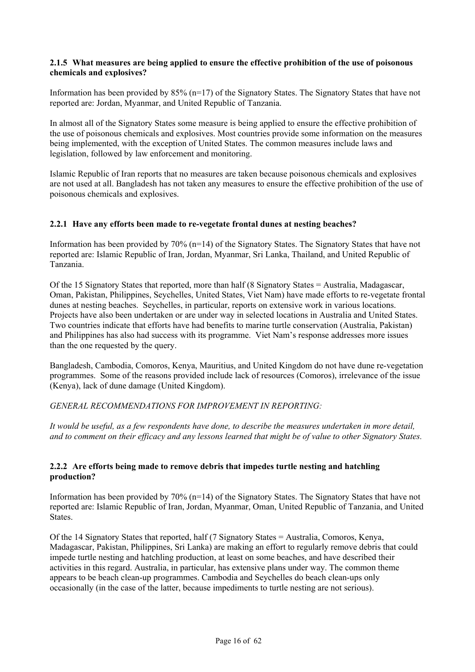#### **2.1.5 What measures are being applied to ensure the effective prohibition of the use of poisonous chemicals and explosives?**

Information has been provided by  $85\%$  (n=17) of the Signatory States. The Signatory States that have not reported are: Jordan, Myanmar, and United Republic of Tanzania.

In almost all of the Signatory States some measure is being applied to ensure the effective prohibition of the use of poisonous chemicals and explosives. Most countries provide some information on the measures being implemented, with the exception of United States. The common measures include laws and legislation, followed by law enforcement and monitoring.

Islamic Republic of Iran reports that no measures are taken because poisonous chemicals and explosives are not used at all. Bangladesh has not taken any measures to ensure the effective prohibition of the use of poisonous chemicals and explosives.

## **2.2.1 Have any efforts been made to re-vegetate frontal dunes at nesting beaches?**

Information has been provided by 70% (n=14) of the Signatory States. The Signatory States that have not reported are: Islamic Republic of Iran, Jordan, Myanmar, Sri Lanka, Thailand, and United Republic of Tanzania.

Of the 15 Signatory States that reported, more than half (8 Signatory States = Australia, Madagascar, Oman, Pakistan, Philippines, Seychelles, United States, Viet Nam) have made efforts to re-vegetate frontal dunes at nesting beaches. Seychelles, in particular, reports on extensive work in various locations. Projects have also been undertaken or are under way in selected locations in Australia and United States. Two countries indicate that efforts have had benefits to marine turtle conservation (Australia, Pakistan) and Philippines has also had success with its programme. Viet Nam's response addresses more issues than the one requested by the query.

Bangladesh, Cambodia, Comoros, Kenya, Mauritius, and United Kingdom do not have dune re-vegetation programmes. Some of the reasons provided include lack of resources (Comoros), irrelevance of the issue (Kenya), lack of dune damage (United Kingdom).

#### *GENERAL RECOMMENDATIONS FOR IMPROVEMENT IN REPORTING:*

*It would be useful, as a few respondents have done, to describe the measures undertaken in more detail, and to comment on their efficacy and any lessons learned that might be of value to other Signatory States.* 

## **2.2.2 Are efforts being made to remove debris that impedes turtle nesting and hatchling production?**

Information has been provided by  $70\%$  (n=14) of the Signatory States. The Signatory States that have not reported are: Islamic Republic of Iran, Jordan, Myanmar, Oman, United Republic of Tanzania, and United States.

Of the 14 Signatory States that reported, half (7 Signatory States = Australia, Comoros, Kenya, Madagascar, Pakistan, Philippines, Sri Lanka) are making an effort to regularly remove debris that could impede turtle nesting and hatchling production, at least on some beaches, and have described their activities in this regard. Australia, in particular, has extensive plans under way. The common theme appears to be beach clean-up programmes. Cambodia and Seychelles do beach clean-ups only occasionally (in the case of the latter, because impediments to turtle nesting are not serious).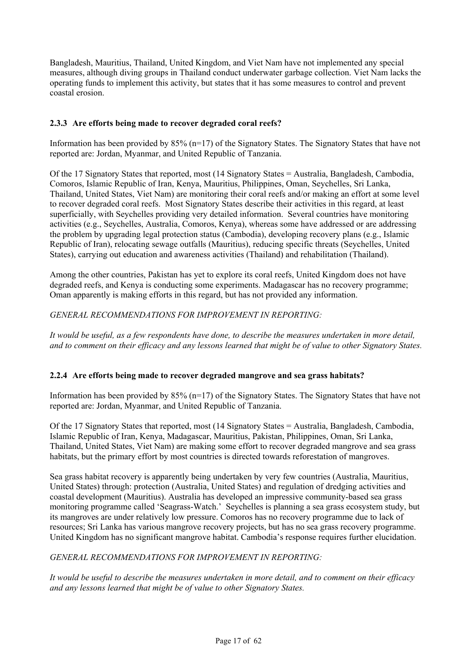Bangladesh, Mauritius, Thailand, United Kingdom, and Viet Nam have not implemented any special measures, although diving groups in Thailand conduct underwater garbage collection. Viet Nam lacks the operating funds to implement this activity, but states that it has some measures to control and prevent coastal erosion.

## **2.3.3 Are efforts being made to recover degraded coral reefs?**

Information has been provided by  $85\%$  (n=17) of the Signatory States. The Signatory States that have not reported are: Jordan, Myanmar, and United Republic of Tanzania.

Of the 17 Signatory States that reported, most (14 Signatory States = Australia, Bangladesh, Cambodia, Comoros, Islamic Republic of Iran, Kenya, Mauritius, Philippines, Oman, Seychelles, Sri Lanka, Thailand, United States, Viet Nam) are monitoring their coral reefs and/or making an effort at some level to recover degraded coral reefs. Most Signatory States describe their activities in this regard, at least superficially, with Seychelles providing very detailed information. Several countries have monitoring activities (e.g., Seychelles, Australia, Comoros, Kenya), whereas some have addressed or are addressing the problem by upgrading legal protection status (Cambodia), developing recovery plans (e.g., Islamic Republic of Iran), relocating sewage outfalls (Mauritius), reducing specific threats (Seychelles, United States), carrying out education and awareness activities (Thailand) and rehabilitation (Thailand).

Among the other countries, Pakistan has yet to explore its coral reefs, United Kingdom does not have degraded reefs, and Kenya is conducting some experiments. Madagascar has no recovery programme; Oman apparently is making efforts in this regard, but has not provided any information.

## *GENERAL RECOMMENDATIONS FOR IMPROVEMENT IN REPORTING:*

*It would be useful, as a few respondents have done, to describe the measures undertaken in more detail, and to comment on their efficacy and any lessons learned that might be of value to other Signatory States.* 

#### **2.2.4 Are efforts being made to recover degraded mangrove and sea grass habitats?**

Information has been provided by 85% (n=17) of the Signatory States. The Signatory States that have not reported are: Jordan, Myanmar, and United Republic of Tanzania.

Of the 17 Signatory States that reported, most (14 Signatory States = Australia, Bangladesh, Cambodia, Islamic Republic of Iran, Kenya, Madagascar, Mauritius, Pakistan, Philippines, Oman, Sri Lanka, Thailand, United States, Viet Nam) are making some effort to recover degraded mangrove and sea grass habitats, but the primary effort by most countries is directed towards reforestation of mangroves.

Sea grass habitat recovery is apparently being undertaken by very few countries (Australia, Mauritius, United States) through: protection (Australia, United States) and regulation of dredging activities and coastal development (Mauritius). Australia has developed an impressive community-based sea grass monitoring programme called 'Seagrass-Watch.' Seychelles is planning a sea grass ecosystem study, but its mangroves are under relatively low pressure. Comoros has no recovery programme due to lack of resources; Sri Lanka has various mangrove recovery projects, but has no sea grass recovery programme. United Kingdom has no significant mangrove habitat. Cambodia's response requires further elucidation.

#### *GENERAL RECOMMENDATIONS FOR IMPROVEMENT IN REPORTING:*

*It would be useful to describe the measures undertaken in more detail, and to comment on their efficacy and any lessons learned that might be of value to other Signatory States.*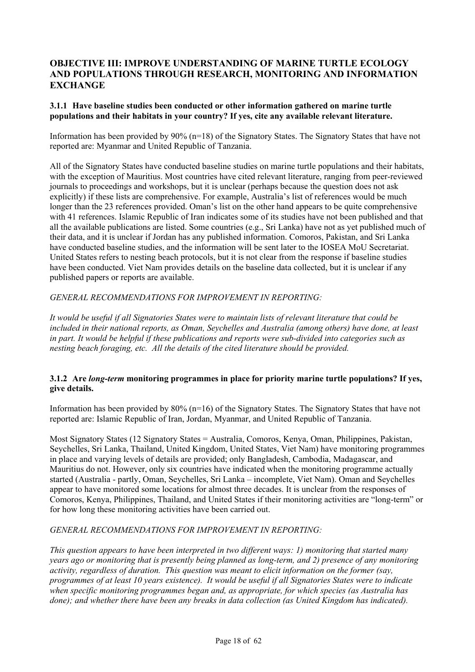## **OBJECTIVE III: IMPROVE UNDERSTANDING OF MARINE TURTLE ECOLOGY AND POPULATIONS THROUGH RESEARCH, MONITORING AND INFORMATION EXCHANGE**

### **3.1.1 Have baseline studies been conducted or other information gathered on marine turtle populations and their habitats in your country? If yes, cite any available relevant literature.**

Information has been provided by  $90\%$  (n=18) of the Signatory States. The Signatory States that have not reported are: Myanmar and United Republic of Tanzania.

All of the Signatory States have conducted baseline studies on marine turtle populations and their habitats, with the exception of Mauritius. Most countries have cited relevant literature, ranging from peer-reviewed journals to proceedings and workshops, but it is unclear (perhaps because the question does not ask explicitly) if these lists are comprehensive. For example, Australia's list of references would be much longer than the 23 references provided. Oman's list on the other hand appears to be quite comprehensive with 41 references. Islamic Republic of Iran indicates some of its studies have not been published and that all the available publications are listed. Some countries (e.g., Sri Lanka) have not as yet published much of their data, and it is unclear if Jordan has any published information. Comoros, Pakistan, and Sri Lanka have conducted baseline studies, and the information will be sent later to the IOSEA MoU Secretariat. United States refers to nesting beach protocols, but it is not clear from the response if baseline studies have been conducted. Viet Nam provides details on the baseline data collected, but it is unclear if any published papers or reports are available.

## *GENERAL RECOMMENDATIONS FOR IMPROVEMENT IN REPORTING:*

*It would be useful if all Signatories States were to maintain lists of relevant literature that could be included in their national reports, as Oman, Seychelles and Australia (among others) have done, at least in part. It would be helpful if these publications and reports were sub-divided into categories such as nesting beach foraging, etc. All the details of the cited literature should be provided.* 

#### **3.1.2 Are** *long-term* **monitoring programmes in place for priority marine turtle populations? If yes, give details.**

Information has been provided by 80% (n=16) of the Signatory States. The Signatory States that have not reported are: Islamic Republic of Iran, Jordan, Myanmar, and United Republic of Tanzania.

Most Signatory States (12 Signatory States = Australia, Comoros, Kenya, Oman, Philippines, Pakistan, Seychelles, Sri Lanka, Thailand, United Kingdom, United States, Viet Nam) have monitoring programmes in place and varying levels of details are provided; only Bangladesh, Cambodia, Madagascar, and Mauritius do not. However, only six countries have indicated when the monitoring programme actually started (Australia - partly, Oman, Seychelles, Sri Lanka – incomplete, Viet Nam). Oman and Seychelles appear to have monitored some locations for almost three decades. It is unclear from the responses of Comoros, Kenya, Philippines, Thailand, and United States if their monitoring activities are "long-term" or for how long these monitoring activities have been carried out.

#### *GENERAL RECOMMENDATIONS FOR IMPROVEMENT IN REPORTING:*

*This question appears to have been interpreted in two different ways: 1) monitoring that started many years ago or monitoring that is presently being planned as long-term, and 2) presence of any monitoring activity, regardless of duration. This question was meant to elicit information on the former (say, programmes of at least 10 years existence). It would be useful if all Signatories States were to indicate when specific monitoring programmes began and, as appropriate, for which species (as Australia has done); and whether there have been any breaks in data collection (as United Kingdom has indicated).*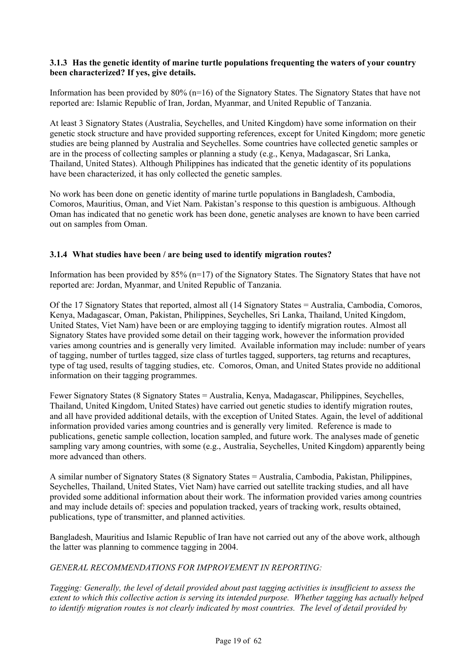## **3.1.3 Has the genetic identity of marine turtle populations frequenting the waters of your country been characterized? If yes, give details.**

Information has been provided by 80% (n=16) of the Signatory States. The Signatory States that have not reported are: Islamic Republic of Iran, Jordan, Myanmar, and United Republic of Tanzania.

At least 3 Signatory States (Australia, Seychelles, and United Kingdom) have some information on their genetic stock structure and have provided supporting references, except for United Kingdom; more genetic studies are being planned by Australia and Seychelles. Some countries have collected genetic samples or are in the process of collecting samples or planning a study (e.g., Kenya, Madagascar, Sri Lanka, Thailand, United States). Although Philippines has indicated that the genetic identity of its populations have been characterized, it has only collected the genetic samples.

No work has been done on genetic identity of marine turtle populations in Bangladesh, Cambodia, Comoros, Mauritius, Oman, and Viet Nam. Pakistan's response to this question is ambiguous. Although Oman has indicated that no genetic work has been done, genetic analyses are known to have been carried out on samples from Oman.

## **3.1.4 What studies have been / are being used to identify migration routes?**

Information has been provided by 85% (n=17) of the Signatory States. The Signatory States that have not reported are: Jordan, Myanmar, and United Republic of Tanzania.

Of the 17 Signatory States that reported, almost all (14 Signatory States = Australia, Cambodia, Comoros, Kenya, Madagascar, Oman, Pakistan, Philippines, Seychelles, Sri Lanka, Thailand, United Kingdom, United States, Viet Nam) have been or are employing tagging to identify migration routes. Almost all Signatory States have provided some detail on their tagging work, however the information provided varies among countries and is generally very limited. Available information may include: number of years of tagging, number of turtles tagged, size class of turtles tagged, supporters, tag returns and recaptures, type of tag used, results of tagging studies, etc. Comoros, Oman, and United States provide no additional information on their tagging programmes.

Fewer Signatory States (8 Signatory States = Australia, Kenya, Madagascar, Philippines, Seychelles, Thailand, United Kingdom, United States) have carried out genetic studies to identify migration routes, and all have provided additional details, with the exception of United States. Again, the level of additional information provided varies among countries and is generally very limited. Reference is made to publications, genetic sample collection, location sampled, and future work. The analyses made of genetic sampling vary among countries, with some (e.g., Australia, Seychelles, United Kingdom) apparently being more advanced than others.

A similar number of Signatory States (8 Signatory States = Australia, Cambodia, Pakistan, Philippines, Seychelles, Thailand, United States, Viet Nam) have carried out satellite tracking studies, and all have provided some additional information about their work. The information provided varies among countries and may include details of: species and population tracked, years of tracking work, results obtained, publications, type of transmitter, and planned activities.

Bangladesh, Mauritius and Islamic Republic of Iran have not carried out any of the above work, although the latter was planning to commence tagging in 2004.

#### *GENERAL RECOMMENDATIONS FOR IMPROVEMENT IN REPORTING:*

*Tagging: Generally, the level of detail provided about past tagging activities is insufficient to assess the extent to which this collective action is serving its intended purpose. Whether tagging has actually helped to identify migration routes is not clearly indicated by most countries. The level of detail provided by*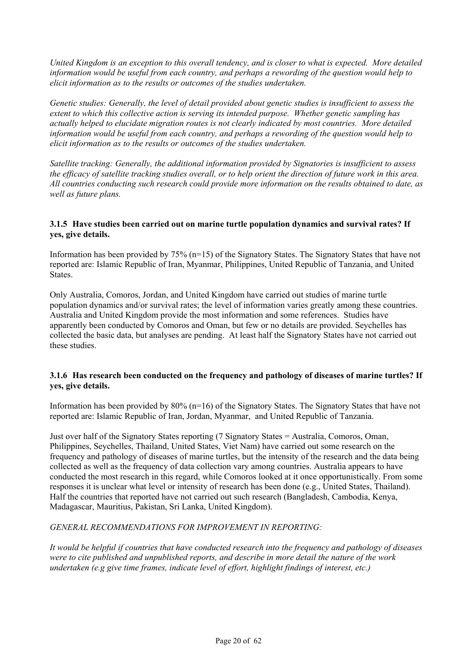*United Kingdom is an exception to this overall tendency, and is closer to what is expected. More detailed information would be useful from each country, and perhaps a rewording of the question would help to elicit information as to the results or outcomes of the studies undertaken.* 

*Genetic studies: Generally, the level of detail provided about genetic studies is insufficient to assess the extent to which this collective action is serving its intended purpose. Whether genetic sampling has actually helped to elucidate migration routes is not clearly indicated by most countries. More detailed information would be useful from each country, and perhaps a rewording of the question would help to elicit information as to the results or outcomes of the studies undertaken.* 

*Satellite tracking: Generally, the additional information provided by Signatories is insufficient to assess the efficacy of satellite tracking studies overall, or to help orient the direction of future work in this area. All countries conducting such research could provide more information on the results obtained to date, as well as future plans.*

### **3.1.5 Have studies been carried out on marine turtle population dynamics and survival rates? If yes, give details.**

Information has been provided by 75% (n=15) of the Signatory States. The Signatory States that have not reported are: Islamic Republic of Iran, Myanmar, Philippines, United Republic of Tanzania, and United States.

Only Australia, Comoros, Jordan, and United Kingdom have carried out studies of marine turtle population dynamics and/or survival rates; the level of information varies greatly among these countries. Australia and United Kingdom provide the most information and some references. Studies have apparently been conducted by Comoros and Oman, but few or no details are provided. Seychelles has collected the basic data, but analyses are pending. At least half the Signatory States have not carried out these studies.

## **3.1.6 Has research been conducted on the frequency and pathology of diseases of marine turtles? If yes, give details.**

Information has been provided by 80% (n=16) of the Signatory States. The Signatory States that have not reported are: Islamic Republic of Iran, Jordan, Myanmar, and United Republic of Tanzania.

Just over half of the Signatory States reporting (7 Signatory States = Australia, Comoros, Oman, Philippines, Seychelles, Thailand, United States, Viet Nam) have carried out some research on the frequency and pathology of diseases of marine turtles, but the intensity of the research and the data being collected as well as the frequency of data collection vary among countries. Australia appears to have conducted the most research in this regard, while Comoros looked at it once opportunistically. From some responses it is unclear what level or intensity of research has been done (e.g., United States, Thailand). Half the countries that reported have not carried out such research (Bangladesh, Cambodia, Kenya, Madagascar, Mauritius, Pakistan, Sri Lanka, United Kingdom).

## *GENERAL RECOMMENDATIONS FOR IMPROVEMENT IN REPORTING:*

*It would be helpful if countries that have conducted research into the frequency and pathology of diseases were to cite published and unpublished reports, and describe in more detail the nature of the work undertaken (e.g give time frames, indicate level of effort, highlight findings of interest, etc.)*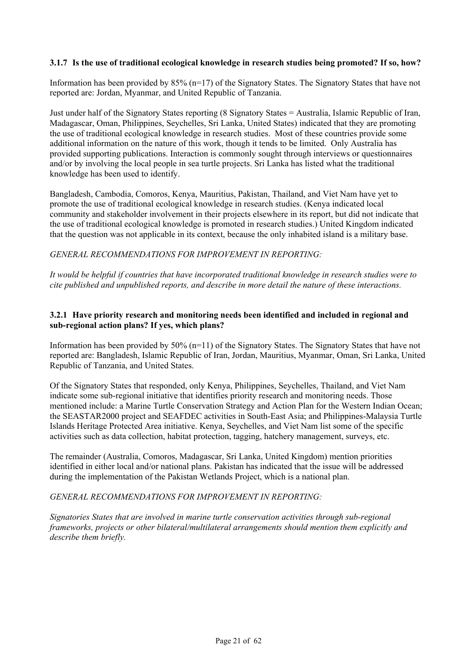## **3.1.7 Is the use of traditional ecological knowledge in research studies being promoted? If so, how?**

Information has been provided by 85% (n=17) of the Signatory States. The Signatory States that have not reported are: Jordan, Myanmar, and United Republic of Tanzania.

Just under half of the Signatory States reporting (8 Signatory States = Australia, Islamic Republic of Iran, Madagascar, Oman, Philippines, Seychelles, Sri Lanka, United States) indicated that they are promoting the use of traditional ecological knowledge in research studies. Most of these countries provide some additional information on the nature of this work, though it tends to be limited. Only Australia has provided supporting publications. Interaction is commonly sought through interviews or questionnaires and/or by involving the local people in sea turtle projects. Sri Lanka has listed what the traditional knowledge has been used to identify.

Bangladesh, Cambodia, Comoros, Kenya, Mauritius, Pakistan, Thailand, and Viet Nam have yet to promote the use of traditional ecological knowledge in research studies. (Kenya indicated local community and stakeholder involvement in their projects elsewhere in its report, but did not indicate that the use of traditional ecological knowledge is promoted in research studies.) United Kingdom indicated that the question was not applicable in its context, because the only inhabited island is a military base.

#### *GENERAL RECOMMENDATIONS FOR IMPROVEMENT IN REPORTING:*

*It would be helpful if countries that have incorporated traditional knowledge in research studies were to cite published and unpublished reports, and describe in more detail the nature of these interactions.* 

## **3.2.1 Have priority research and monitoring needs been identified and included in regional and sub-regional action plans? If yes, which plans?**

Information has been provided by  $50\%$  (n=11) of the Signatory States. The Signatory States that have not reported are: Bangladesh, Islamic Republic of Iran, Jordan, Mauritius, Myanmar, Oman, Sri Lanka, United Republic of Tanzania, and United States.

Of the Signatory States that responded, only Kenya, Philippines, Seychelles, Thailand, and Viet Nam indicate some sub-regional initiative that identifies priority research and monitoring needs. Those mentioned include: a Marine Turtle Conservation Strategy and Action Plan for the Western Indian Ocean; the SEASTAR2000 project and SEAFDEC activities in South-East Asia; and Philippines-Malaysia Turtle Islands Heritage Protected Area initiative. Kenya, Seychelles, and Viet Nam list some of the specific activities such as data collection, habitat protection, tagging, hatchery management, surveys, etc.

The remainder (Australia, Comoros, Madagascar, Sri Lanka, United Kingdom) mention priorities identified in either local and/or national plans. Pakistan has indicated that the issue will be addressed during the implementation of the Pakistan Wetlands Project, which is a national plan.

#### *GENERAL RECOMMENDATIONS FOR IMPROVEMENT IN REPORTING:*

*Signatories States that are involved in marine turtle conservation activities through sub-regional frameworks, projects or other bilateral/multilateral arrangements should mention them explicitly and describe them briefly.*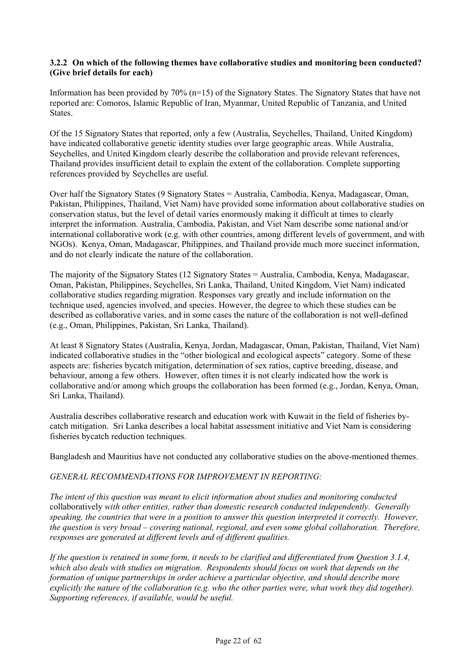#### **3.2.2 On which of the following themes have collaborative studies and monitoring been conducted? (Give brief details for each)**

Information has been provided by 70% (n=15) of the Signatory States. The Signatory States that have not reported are: Comoros, Islamic Republic of Iran, Myanmar, United Republic of Tanzania, and United States.

Of the 15 Signatory States that reported, only a few (Australia, Seychelles, Thailand, United Kingdom) have indicated collaborative genetic identity studies over large geographic areas. While Australia, Seychelles, and United Kingdom clearly describe the collaboration and provide relevant references, Thailand provides insufficient detail to explain the extent of the collaboration. Complete supporting references provided by Seychelles are useful.

Over half the Signatory States (9 Signatory States = Australia, Cambodia, Kenya, Madagascar, Oman, Pakistan, Philippines, Thailand, Viet Nam) have provided some information about collaborative studies on conservation status, but the level of detail varies enormously making it difficult at times to clearly interpret the information. Australia, Cambodia, Pakistan, and Viet Nam describe some national and/or international collaborative work (e.g. with other countries, among different levels of government, and with NGOs). Kenya, Oman, Madagascar, Philippines, and Thailand provide much more succinct information, and do not clearly indicate the nature of the collaboration.

The majority of the Signatory States (12 Signatory States = Australia, Cambodia, Kenya, Madagascar, Oman, Pakistan, Philippines, Seychelles, Sri Lanka, Thailand, United Kingdom, Viet Nam) indicated collaborative studies regarding migration. Responses vary greatly and include information on the technique used, agencies involved, and species. However, the degree to which these studies can be described as collaborative varies, and in some cases the nature of the collaboration is not well-defined (e.g., Oman, Philippines, Pakistan, Sri Lanka, Thailand).

At least 8 Signatory States (Australia, Kenya, Jordan, Madagascar, Oman, Pakistan, Thailand, Viet Nam) indicated collaborative studies in the "other biological and ecological aspects" category. Some of these aspects are: fisheries bycatch mitigation, determination of sex ratios, captive breeding, disease, and behaviour, among a few others. However, often times it is not clearly indicated how the work is collaborative and/or among which groups the collaboration has been formed (e.g., Jordan, Kenya, Oman, Sri Lanka, Thailand).

Australia describes collaborative research and education work with Kuwait in the field of fisheries bycatch mitigation. Sri Lanka describes a local habitat assessment initiative and Viet Nam is considering fisheries bycatch reduction techniques.

Bangladesh and Mauritius have not conducted any collaborative studies on the above-mentioned themes.

## *GENERAL RECOMMENDATIONS FOR IMPROVEMENT IN REPORTING:*

*The intent of this question was meant to elicit information about studies and monitoring conducted*  collaboratively *with other entities, rather than domestic research conducted independently. Generally speaking, the countries that were in a position to answer this question interpreted it correctly. However, the question is very broad – covering national, regional, and even some global collaboration. Therefore, responses are generated at different levels and of different qualities.* 

*If the question is retained in some form, it needs to be clarified and differentiated from Question 3.1.4, which also deals with studies on migration. Respondents should focus on work that depends on the formation of unique partnerships in order achieve a particular objective, and should describe more explicitly the nature of the collaboration (e.g. who the other parties were, what work they did together). Supporting references, if available, would be useful.*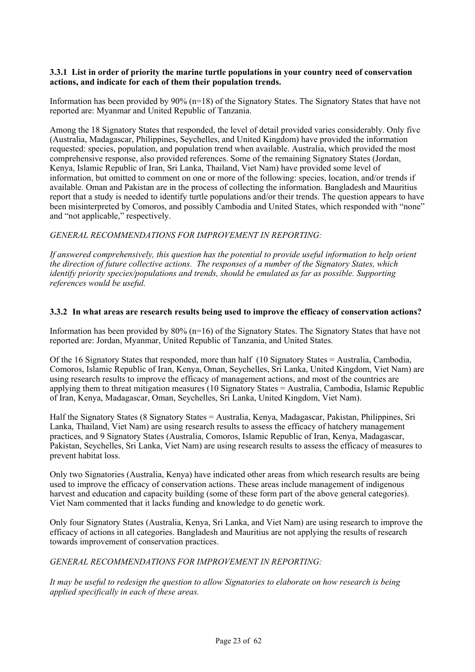#### **3.3.1 List in order of priority the marine turtle populations in your country need of conservation actions, and indicate for each of them their population trends.**

Information has been provided by 90% (n=18) of the Signatory States. The Signatory States that have not reported are: Myanmar and United Republic of Tanzania.

Among the 18 Signatory States that responded, the level of detail provided varies considerably. Only five (Australia, Madagascar, Philippines, Seychelles, and United Kingdom) have provided the information requested: species, population, and population trend when available. Australia, which provided the most comprehensive response, also provided references. Some of the remaining Signatory States (Jordan, Kenya, Islamic Republic of Iran, Sri Lanka, Thailand, Viet Nam) have provided some level of information, but omitted to comment on one or more of the following: species, location, and/or trends if available. Oman and Pakistan are in the process of collecting the information. Bangladesh and Mauritius report that a study is needed to identify turtle populations and/or their trends. The question appears to have been misinterpreted by Comoros, and possibly Cambodia and United States, which responded with "none" and "not applicable," respectively.

## *GENERAL RECOMMENDATIONS FOR IMPROVEMENT IN REPORTING:*

*If answered comprehensively, this question has the potential to provide useful information to help orient the direction of future collective actions. The responses of a number of the Signatory States, which identify priority species/populations and trends, should be emulated as far as possible. Supporting references would be useful.* 

#### **3.3.2 In what areas are research results being used to improve the efficacy of conservation actions?**

Information has been provided by 80% (n=16) of the Signatory States. The Signatory States that have not reported are: Jordan, Myanmar, United Republic of Tanzania, and United States.

Of the 16 Signatory States that responded, more than half (10 Signatory States = Australia, Cambodia, Comoros, Islamic Republic of Iran, Kenya, Oman, Seychelles, Sri Lanka, United Kingdom, Viet Nam) are using research results to improve the efficacy of management actions, and most of the countries are applying them to threat mitigation measures (10 Signatory States = Australia, Cambodia, Islamic Republic of Iran, Kenya, Madagascar, Oman, Seychelles, Sri Lanka, United Kingdom, Viet Nam).

Half the Signatory States (8 Signatory States = Australia, Kenya, Madagascar, Pakistan, Philippines, Sri Lanka, Thailand, Viet Nam) are using research results to assess the efficacy of hatchery management practices, and 9 Signatory States (Australia, Comoros, Islamic Republic of Iran, Kenya, Madagascar, Pakistan, Seychelles, Sri Lanka, Viet Nam) are using research results to assess the efficacy of measures to prevent habitat loss.

Only two Signatories (Australia, Kenya) have indicated other areas from which research results are being used to improve the efficacy of conservation actions. These areas include management of indigenous harvest and education and capacity building (some of these form part of the above general categories). Viet Nam commented that it lacks funding and knowledge to do genetic work.

Only four Signatory States (Australia, Kenya, Sri Lanka, and Viet Nam) are using research to improve the efficacy of actions in all categories. Bangladesh and Mauritius are not applying the results of research towards improvement of conservation practices.

*GENERAL RECOMMENDATIONS FOR IMPROVEMENT IN REPORTING:*

*It may be useful to redesign the question to allow Signatories to elaborate on how research is being applied specifically in each of these areas.*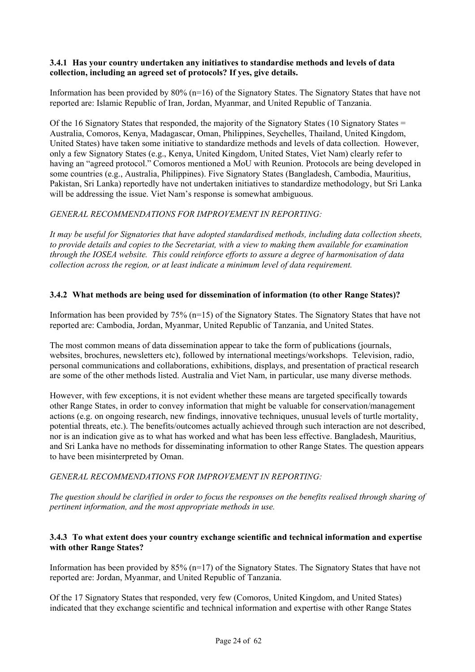#### **3.4.1 Has your country undertaken any initiatives to standardise methods and levels of data collection, including an agreed set of protocols? If yes, give details.**

Information has been provided by 80% (n=16) of the Signatory States. The Signatory States that have not reported are: Islamic Republic of Iran, Jordan, Myanmar, and United Republic of Tanzania.

Of the 16 Signatory States that responded, the majority of the Signatory States (10 Signatory States = Australia, Comoros, Kenya, Madagascar, Oman, Philippines, Seychelles, Thailand, United Kingdom, United States) have taken some initiative to standardize methods and levels of data collection. However, only a few Signatory States (e.g., Kenya, United Kingdom, United States, Viet Nam) clearly refer to having an "agreed protocol." Comoros mentioned a MoU with Reunion. Protocols are being developed in some countries (e.g., Australia, Philippines). Five Signatory States (Bangladesh, Cambodia, Mauritius, Pakistan, Sri Lanka) reportedly have not undertaken initiatives to standardize methodology, but Sri Lanka will be addressing the issue. Viet Nam's response is somewhat ambiguous.

## *GENERAL RECOMMENDATIONS FOR IMPROVEMENT IN REPORTING:*

*It may be useful for Signatories that have adopted standardised methods, including data collection sheets, to provide details and copies to the Secretariat, with a view to making them available for examination through the IOSEA website. This could reinforce efforts to assure a degree of harmonisation of data collection across the region, or at least indicate a minimum level of data requirement.* 

#### **3.4.2 What methods are being used for dissemination of information (to other Range States)?**

Information has been provided by 75% (n=15) of the Signatory States. The Signatory States that have not reported are: Cambodia, Jordan, Myanmar, United Republic of Tanzania, and United States.

The most common means of data dissemination appear to take the form of publications (journals, websites, brochures, newsletters etc), followed by international meetings/workshops. Television, radio, personal communications and collaborations, exhibitions, displays, and presentation of practical research are some of the other methods listed. Australia and Viet Nam, in particular, use many diverse methods.

However, with few exceptions, it is not evident whether these means are targeted specifically towards other Range States, in order to convey information that might be valuable for conservation/management actions (e.g. on ongoing research, new findings, innovative techniques, unusual levels of turtle mortality, potential threats, etc.). The benefits/outcomes actually achieved through such interaction are not described, nor is an indication give as to what has worked and what has been less effective. Bangladesh, Mauritius, and Sri Lanka have no methods for disseminating information to other Range States. The question appears to have been misinterpreted by Oman.

#### *GENERAL RECOMMENDATIONS FOR IMPROVEMENT IN REPORTING:*

*The question should be clarified in order to focus the responses on the benefits realised through sharing of pertinent information, and the most appropriate methods in use.* 

#### **3.4.3 To what extent does your country exchange scientific and technical information and expertise with other Range States?**

Information has been provided by 85% (n=17) of the Signatory States. The Signatory States that have not reported are: Jordan, Myanmar, and United Republic of Tanzania.

Of the 17 Signatory States that responded, very few (Comoros, United Kingdom, and United States) indicated that they exchange scientific and technical information and expertise with other Range States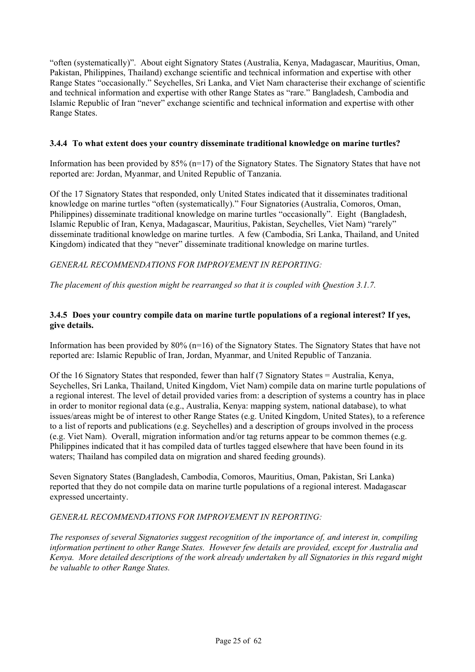"often (systematically)". About eight Signatory States (Australia, Kenya, Madagascar, Mauritius, Oman, Pakistan, Philippines, Thailand) exchange scientific and technical information and expertise with other Range States "occasionally." Seychelles, Sri Lanka, and Viet Nam characterise their exchange of scientific and technical information and expertise with other Range States as "rare." Bangladesh, Cambodia and Islamic Republic of Iran "never" exchange scientific and technical information and expertise with other Range States.

## **3.4.4 To what extent does your country disseminate traditional knowledge on marine turtles?**

Information has been provided by  $85\%$  (n=17) of the Signatory States. The Signatory States that have not reported are: Jordan, Myanmar, and United Republic of Tanzania.

Of the 17 Signatory States that responded, only United States indicated that it disseminates traditional knowledge on marine turtles "often (systematically)." Four Signatories (Australia, Comoros, Oman, Philippines) disseminate traditional knowledge on marine turtles "occasionally". Eight (Bangladesh, Islamic Republic of Iran, Kenya, Madagascar, Mauritius, Pakistan, Seychelles, Viet Nam) "rarely" disseminate traditional knowledge on marine turtles. A few (Cambodia, Sri Lanka, Thailand, and United Kingdom) indicated that they "never" disseminate traditional knowledge on marine turtles.

*GENERAL RECOMMENDATIONS FOR IMPROVEMENT IN REPORTING:*

*The placement of this question might be rearranged so that it is coupled with Question 3.1.7.*

## **3.4.5 Does your country compile data on marine turtle populations of a regional interest? If yes, give details.**

Information has been provided by  $80\%$  (n=16) of the Signatory States. The Signatory States that have not reported are: Islamic Republic of Iran, Jordan, Myanmar, and United Republic of Tanzania.

Of the 16 Signatory States that responded, fewer than half (7 Signatory States = Australia, Kenya, Seychelles, Sri Lanka, Thailand, United Kingdom, Viet Nam) compile data on marine turtle populations of a regional interest. The level of detail provided varies from: a description of systems a country has in place in order to monitor regional data (e.g., Australia, Kenya: mapping system, national database), to what issues/areas might be of interest to other Range States (e.g. United Kingdom, United States), to a reference to a list of reports and publications (e.g. Seychelles) and a description of groups involved in the process (e.g. Viet Nam). Overall, migration information and/or tag returns appear to be common themes (e.g. Philippines indicated that it has compiled data of turtles tagged elsewhere that have been found in its waters; Thailand has compiled data on migration and shared feeding grounds).

Seven Signatory States (Bangladesh, Cambodia, Comoros, Mauritius, Oman, Pakistan, Sri Lanka) reported that they do not compile data on marine turtle populations of a regional interest. Madagascar expressed uncertainty.

## *GENERAL RECOMMENDATIONS FOR IMPROVEMENT IN REPORTING:*

*The responses of several Signatories suggest recognition of the importance of, and interest in, compiling information pertinent to other Range States. However few details are provided, except for Australia and Kenya. More detailed descriptions of the work already undertaken by all Signatories in this regard might be valuable to other Range States.*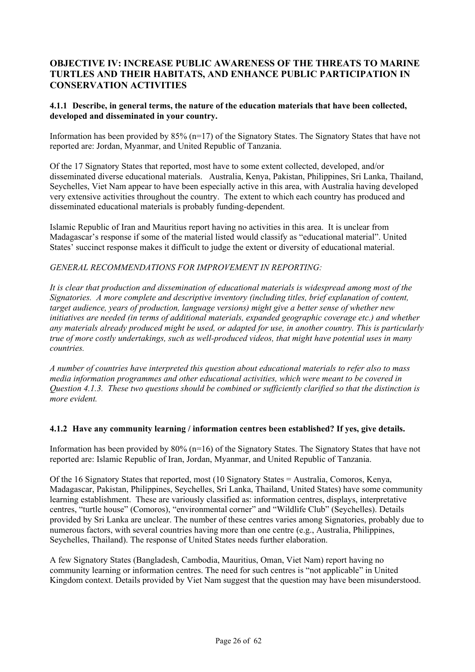## **OBJECTIVE IV: INCREASE PUBLIC AWARENESS OF THE THREATS TO MARINE TURTLES AND THEIR HABITATS, AND ENHANCE PUBLIC PARTICIPATION IN CONSERVATION ACTIVITIES**

## **4.1.1 Describe, in general terms, the nature of the education materials that have been collected, developed and disseminated in your country.**

Information has been provided by  $85\%$  (n=17) of the Signatory States. The Signatory States that have not reported are: Jordan, Myanmar, and United Republic of Tanzania.

Of the 17 Signatory States that reported, most have to some extent collected, developed, and/or disseminated diverse educational materials. Australia, Kenya, Pakistan, Philippines, Sri Lanka, Thailand, Seychelles, Viet Nam appear to have been especially active in this area, with Australia having developed very extensive activities throughout the country. The extent to which each country has produced and disseminated educational materials is probably funding-dependent.

Islamic Republic of Iran and Mauritius report having no activities in this area. It is unclear from Madagascar's response if some of the material listed would classify as "educational material". United States' succinct response makes it difficult to judge the extent or diversity of educational material.

#### *GENERAL RECOMMENDATIONS FOR IMPROVEMENT IN REPORTING:*

*It is clear that production and dissemination of educational materials is widespread among most of the Signatories. A more complete and descriptive inventory (including titles, brief explanation of content, target audience, years of production, language versions) might give a better sense of whether new initiatives are needed (in terms of additional materials, expanded geographic coverage etc.) and whether any materials already produced might be used, or adapted for use, in another country. This is particularly true of more costly undertakings, such as well-produced videos, that might have potential uses in many countries.* 

*A number of countries have interpreted this question about educational materials to refer also to mass media information programmes and other educational activities, which were meant to be covered in Question 4.1.3. These two questions should be combined or sufficiently clarified so that the distinction is more evident.*

#### **4.1.2 Have any community learning / information centres been established? If yes, give details.**

Information has been provided by 80% (n=16) of the Signatory States. The Signatory States that have not reported are: Islamic Republic of Iran, Jordan, Myanmar, and United Republic of Tanzania.

Of the 16 Signatory States that reported, most (10 Signatory States = Australia, Comoros, Kenya, Madagascar, Pakistan, Philippines, Seychelles, Sri Lanka, Thailand, United States) have some community learning establishment. These are variously classified as: information centres, displays, interpretative centres, "turtle house" (Comoros), "environmental corner" and "Wildlife Club" (Seychelles). Details provided by Sri Lanka are unclear. The number of these centres varies among Signatories, probably due to numerous factors, with several countries having more than one centre (e.g., Australia, Philippines, Seychelles, Thailand). The response of United States needs further elaboration.

A few Signatory States (Bangladesh, Cambodia, Mauritius, Oman, Viet Nam) report having no community learning or information centres. The need for such centres is "not applicable" in United Kingdom context. Details provided by Viet Nam suggest that the question may have been misunderstood.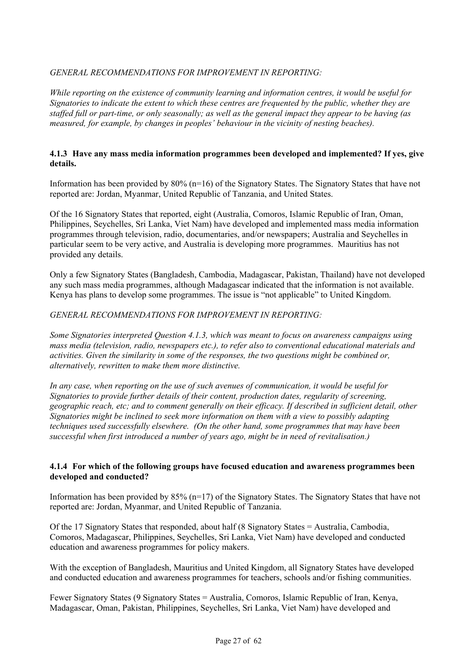## *GENERAL RECOMMENDATIONS FOR IMPROVEMENT IN REPORTING:*

*While reporting on the existence of community learning and information centres, it would be useful for Signatories to indicate the extent to which these centres are frequented by the public, whether they are staffed full or part-time, or only seasonally; as well as the general impact they appear to be having (as measured, for example, by changes in peoples' behaviour in the vicinity of nesting beaches).* 

#### **4.1.3 Have any mass media information programmes been developed and implemented? If yes, give details.**

Information has been provided by 80% (n=16) of the Signatory States. The Signatory States that have not reported are: Jordan, Myanmar, United Republic of Tanzania, and United States.

Of the 16 Signatory States that reported, eight (Australia, Comoros, Islamic Republic of Iran, Oman, Philippines, Seychelles, Sri Lanka, Viet Nam) have developed and implemented mass media information programmes through television, radio, documentaries, and/or newspapers; Australia and Seychelles in particular seem to be very active, and Australia is developing more programmes. Mauritius has not provided any details.

Only a few Signatory States (Bangladesh, Cambodia, Madagascar, Pakistan, Thailand) have not developed any such mass media programmes, although Madagascar indicated that the information is not available. Kenya has plans to develop some programmes. The issue is "not applicable" to United Kingdom.

#### *GENERAL RECOMMENDATIONS FOR IMPROVEMENT IN REPORTING:*

*Some Signatories interpreted Question 4.1.3, which was meant to focus on awareness campaigns using mass media (television, radio, newspapers etc.), to refer also to conventional educational materials and activities. Given the similarity in some of the responses, the two questions might be combined or, alternatively, rewritten to make them more distinctive.* 

*In any case, when reporting on the use of such avenues of communication, it would be useful for Signatories to provide further details of their content, production dates, regularity of screening, geographic reach, etc; and to comment generally on their efficacy. If described in sufficient detail, other Signatories might be inclined to seek more information on them with a view to possibly adapting techniques used successfully elsewhere. (On the other hand, some programmes that may have been successful when first introduced a number of years ago, might be in need of revitalisation.)* 

#### **4.1.4 For which of the following groups have focused education and awareness programmes been developed and conducted?**

Information has been provided by  $85\%$  (n=17) of the Signatory States. The Signatory States that have not reported are: Jordan, Myanmar, and United Republic of Tanzania.

Of the 17 Signatory States that responded, about half (8 Signatory States = Australia, Cambodia, Comoros, Madagascar, Philippines, Seychelles, Sri Lanka, Viet Nam) have developed and conducted education and awareness programmes for policy makers.

With the exception of Bangladesh, Mauritius and United Kingdom, all Signatory States have developed and conducted education and awareness programmes for teachers, schools and/or fishing communities.

Fewer Signatory States (9 Signatory States = Australia, Comoros, Islamic Republic of Iran, Kenya, Madagascar, Oman, Pakistan, Philippines, Seychelles, Sri Lanka, Viet Nam) have developed and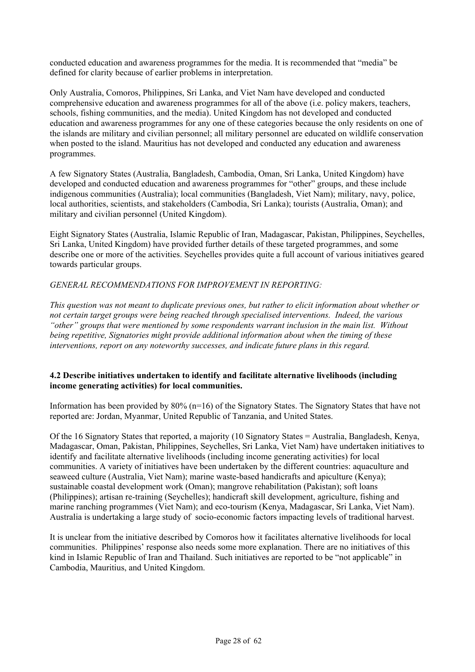conducted education and awareness programmes for the media. It is recommended that "media" be defined for clarity because of earlier problems in interpretation.

Only Australia, Comoros, Philippines, Sri Lanka, and Viet Nam have developed and conducted comprehensive education and awareness programmes for all of the above (i.e. policy makers, teachers, schools, fishing communities, and the media). United Kingdom has not developed and conducted education and awareness programmes for any one of these categories because the only residents on one of the islands are military and civilian personnel; all military personnel are educated on wildlife conservation when posted to the island. Mauritius has not developed and conducted any education and awareness programmes.

A few Signatory States (Australia, Bangladesh, Cambodia, Oman, Sri Lanka, United Kingdom) have developed and conducted education and awareness programmes for "other" groups, and these include indigenous communities (Australia); local communities (Bangladesh, Viet Nam); military, navy, police, local authorities, scientists, and stakeholders (Cambodia, Sri Lanka); tourists (Australia, Oman); and military and civilian personnel (United Kingdom).

Eight Signatory States (Australia, Islamic Republic of Iran, Madagascar, Pakistan, Philippines, Seychelles, Sri Lanka, United Kingdom) have provided further details of these targeted programmes, and some describe one or more of the activities. Seychelles provides quite a full account of various initiatives geared towards particular groups.

## *GENERAL RECOMMENDATIONS FOR IMPROVEMENT IN REPORTING:*

*This question was not meant to duplicate previous ones, but rather to elicit information about whether or not certain target groups were being reached through specialised interventions. Indeed, the various "other" groups that were mentioned by some respondents warrant inclusion in the main list. Without being repetitive, Signatories might provide additional information about when the timing of these interventions, report on any noteworthy successes, and indicate future plans in this regard.* 

## **4.2 Describe initiatives undertaken to identify and facilitate alternative livelihoods (including income generating activities) for local communities.**

Information has been provided by 80% (n=16) of the Signatory States. The Signatory States that have not reported are: Jordan, Myanmar, United Republic of Tanzania, and United States.

Of the 16 Signatory States that reported, a majority (10 Signatory States = Australia, Bangladesh, Kenya, Madagascar, Oman, Pakistan, Philippines, Seychelles, Sri Lanka, Viet Nam) have undertaken initiatives to identify and facilitate alternative livelihoods (including income generating activities) for local communities. A variety of initiatives have been undertaken by the different countries: aquaculture and seaweed culture (Australia, Viet Nam); marine waste-based handicrafts and apiculture (Kenya); sustainable coastal development work (Oman); mangrove rehabilitation (Pakistan); soft loans (Philippines); artisan re-training (Seychelles); handicraft skill development, agriculture, fishing and marine ranching programmes (Viet Nam); and eco-tourism (Kenya, Madagascar, Sri Lanka, Viet Nam). Australia is undertaking a large study of socio-economic factors impacting levels of traditional harvest.

It is unclear from the initiative described by Comoros how it facilitates alternative livelihoods for local communities. Philippines' response also needs some more explanation. There are no initiatives of this kind in Islamic Republic of Iran and Thailand. Such initiatives are reported to be "not applicable" in Cambodia, Mauritius, and United Kingdom.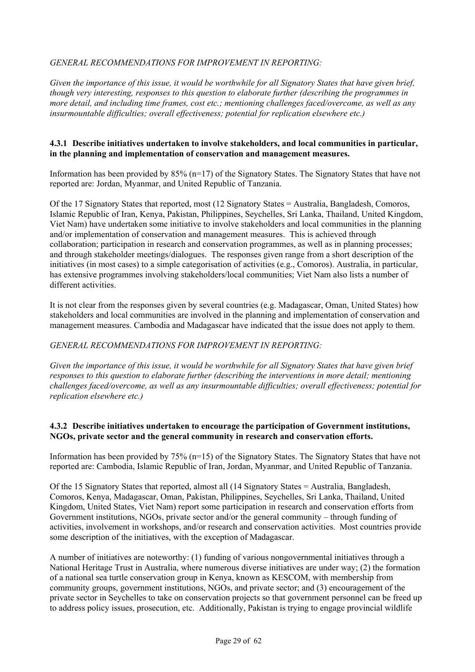## *GENERAL RECOMMENDATIONS FOR IMPROVEMENT IN REPORTING:*

*Given the importance of this issue, it would be worthwhile for all Signatory States that have given brief, though very interesting, responses to this question to elaborate further (describing the programmes in more detail, and including time frames, cost etc.; mentioning challenges faced/overcome, as well as any insurmountable difficulties; overall effectiveness; potential for replication elsewhere etc.)* 

#### **4.3.1 Describe initiatives undertaken to involve stakeholders, and local communities in particular, in the planning and implementation of conservation and management measures.**

Information has been provided by 85% (n=17) of the Signatory States. The Signatory States that have not reported are: Jordan, Myanmar, and United Republic of Tanzania.

Of the 17 Signatory States that reported, most (12 Signatory States = Australia, Bangladesh, Comoros, Islamic Republic of Iran, Kenya, Pakistan, Philippines, Seychelles, Sri Lanka, Thailand, United Kingdom, Viet Nam) have undertaken some initiative to involve stakeholders and local communities in the planning and/or implementation of conservation and management measures. This is achieved through collaboration; participation in research and conservation programmes, as well as in planning processes; and through stakeholder meetings/dialogues. The responses given range from a short description of the initiatives (in most cases) to a simple categorisation of activities (e.g., Comoros). Australia, in particular, has extensive programmes involving stakeholders/local communities; Viet Nam also lists a number of different activities.

It is not clear from the responses given by several countries (e.g. Madagascar, Oman, United States) how stakeholders and local communities are involved in the planning and implementation of conservation and management measures. Cambodia and Madagascar have indicated that the issue does not apply to them.

#### *GENERAL RECOMMENDATIONS FOR IMPROVEMENT IN REPORTING:*

*Given the importance of this issue, it would be worthwhile for all Signatory States that have given brief responses to this question to elaborate further (describing the interventions in more detail; mentioning challenges faced/overcome, as well as any insurmountable difficulties; overall effectiveness; potential for replication elsewhere etc.)* 

## **4.3.2 Describe initiatives undertaken to encourage the participation of Government institutions, NGOs, private sector and the general community in research and conservation efforts.**

Information has been provided by 75% (n=15) of the Signatory States. The Signatory States that have not reported are: Cambodia, Islamic Republic of Iran, Jordan, Myanmar, and United Republic of Tanzania.

Of the 15 Signatory States that reported, almost all (14 Signatory States = Australia, Bangladesh, Comoros, Kenya, Madagascar, Oman, Pakistan, Philippines, Seychelles, Sri Lanka, Thailand, United Kingdom, United States, Viet Nam) report some participation in research and conservation efforts from Government institutions, NGOs, private sector and/or the general community – through funding of activities, involvement in workshops, and/or research and conservation activities. Most countries provide some description of the initiatives, with the exception of Madagascar.

A number of initiatives are noteworthy: (1) funding of various nongovernmental initiatives through a National Heritage Trust in Australia, where numerous diverse initiatives are under way; (2) the formation of a national sea turtle conservation group in Kenya, known as KESCOM, with membership from community groups, government institutions, NGOs, and private sector; and (3) encouragement of the private sector in Seychelles to take on conservation projects so that government personnel can be freed up to address policy issues, prosecution, etc. Additionally, Pakistan is trying to engage provincial wildlife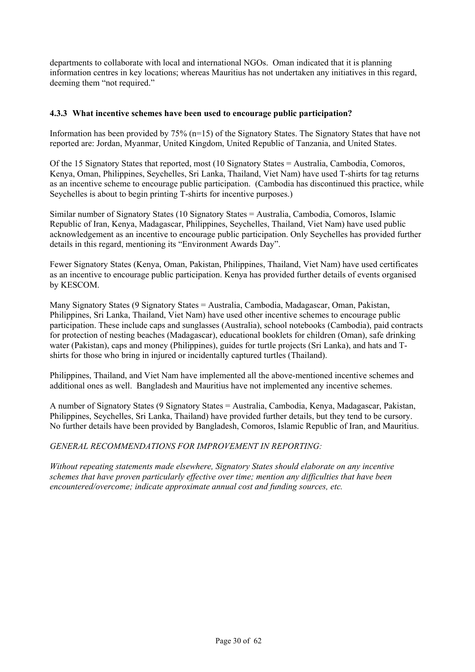departments to collaborate with local and international NGOs. Oman indicated that it is planning information centres in key locations; whereas Mauritius has not undertaken any initiatives in this regard, deeming them "not required."

## **4.3.3 What incentive schemes have been used to encourage public participation?**

Information has been provided by 75% (n=15) of the Signatory States. The Signatory States that have not reported are: Jordan, Myanmar, United Kingdom, United Republic of Tanzania, and United States.

Of the 15 Signatory States that reported, most (10 Signatory States = Australia, Cambodia, Comoros, Kenya, Oman, Philippines, Seychelles, Sri Lanka, Thailand, Viet Nam) have used T-shirts for tag returns as an incentive scheme to encourage public participation. (Cambodia has discontinued this practice, while Seychelles is about to begin printing T-shirts for incentive purposes.)

Similar number of Signatory States (10 Signatory States = Australia, Cambodia, Comoros, Islamic Republic of Iran, Kenya, Madagascar, Philippines, Seychelles, Thailand, Viet Nam) have used public acknowledgement as an incentive to encourage public participation. Only Seychelles has provided further details in this regard, mentioning its "Environment Awards Day".

Fewer Signatory States (Kenya, Oman, Pakistan, Philippines, Thailand, Viet Nam) have used certificates as an incentive to encourage public participation. Kenya has provided further details of events organised by KESCOM.

Many Signatory States (9 Signatory States = Australia, Cambodia, Madagascar, Oman, Pakistan, Philippines, Sri Lanka, Thailand, Viet Nam) have used other incentive schemes to encourage public participation. These include caps and sunglasses (Australia), school notebooks (Cambodia), paid contracts for protection of nesting beaches (Madagascar), educational booklets for children (Oman), safe drinking water (Pakistan), caps and money (Philippines), guides for turtle projects (Sri Lanka), and hats and Tshirts for those who bring in injured or incidentally captured turtles (Thailand).

Philippines, Thailand, and Viet Nam have implemented all the above-mentioned incentive schemes and additional ones as well. Bangladesh and Mauritius have not implemented any incentive schemes.

A number of Signatory States (9 Signatory States = Australia, Cambodia, Kenya, Madagascar, Pakistan, Philippines, Seychelles, Sri Lanka, Thailand) have provided further details, but they tend to be cursory. No further details have been provided by Bangladesh, Comoros, Islamic Republic of Iran, and Mauritius.

*GENERAL RECOMMENDATIONS FOR IMPROVEMENT IN REPORTING:*

*Without repeating statements made elsewhere, Signatory States should elaborate on any incentive schemes that have proven particularly effective over time; mention any difficulties that have been encountered/overcome; indicate approximate annual cost and funding sources, etc.*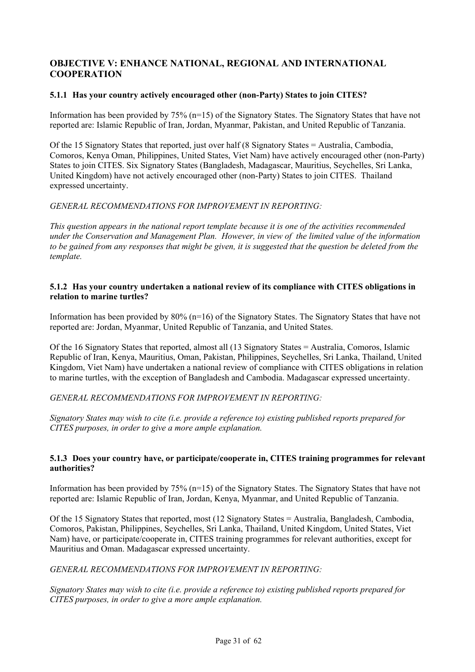## **OBJECTIVE V: ENHANCE NATIONAL, REGIONAL AND INTERNATIONAL COOPERATION**

## **5.1.1 Has your country actively encouraged other (non-Party) States to join CITES?**

Information has been provided by 75% (n=15) of the Signatory States. The Signatory States that have not reported are: Islamic Republic of Iran, Jordan, Myanmar, Pakistan, and United Republic of Tanzania.

Of the 15 Signatory States that reported, just over half (8 Signatory States = Australia, Cambodia, Comoros, Kenya Oman, Philippines, United States, Viet Nam) have actively encouraged other (non-Party) States to join CITES. Six Signatory States (Bangladesh, Madagascar, Mauritius, Seychelles, Sri Lanka, United Kingdom) have not actively encouraged other (non-Party) States to join CITES. Thailand expressed uncertainty.

## *GENERAL RECOMMENDATIONS FOR IMPROVEMENT IN REPORTING:*

*This question appears in the national report template because it is one of the activities recommended under the Conservation and Management Plan. However, in view of the limited value of the information to be gained from any responses that might be given, it is suggested that the question be deleted from the template.*

### **5.1.2 Has your country undertaken a national review of its compliance with CITES obligations in relation to marine turtles?**

Information has been provided by 80% (n=16) of the Signatory States. The Signatory States that have not reported are: Jordan, Myanmar, United Republic of Tanzania, and United States.

Of the 16 Signatory States that reported, almost all (13 Signatory States = Australia, Comoros, Islamic Republic of Iran, Kenya, Mauritius, Oman, Pakistan, Philippines, Seychelles, Sri Lanka, Thailand, United Kingdom, Viet Nam) have undertaken a national review of compliance with CITES obligations in relation to marine turtles, with the exception of Bangladesh and Cambodia. Madagascar expressed uncertainty.

*GENERAL RECOMMENDATIONS FOR IMPROVEMENT IN REPORTING:*

*Signatory States may wish to cite (i.e. provide a reference to) existing published reports prepared for CITES purposes, in order to give a more ample explanation.* 

## **5.1.3 Does your country have, or participate/cooperate in, CITES training programmes for relevant authorities?**

Information has been provided by 75% (n=15) of the Signatory States. The Signatory States that have not reported are: Islamic Republic of Iran, Jordan, Kenya, Myanmar, and United Republic of Tanzania.

Of the 15 Signatory States that reported, most (12 Signatory States = Australia, Bangladesh, Cambodia, Comoros, Pakistan, Philippines, Seychelles, Sri Lanka, Thailand, United Kingdom, United States, Viet Nam) have, or participate/cooperate in, CITES training programmes for relevant authorities, except for Mauritius and Oman. Madagascar expressed uncertainty.

#### *GENERAL RECOMMENDATIONS FOR IMPROVEMENT IN REPORTING:*

*Signatory States may wish to cite (i.e. provide a reference to) existing published reports prepared for CITES purposes, in order to give a more ample explanation.*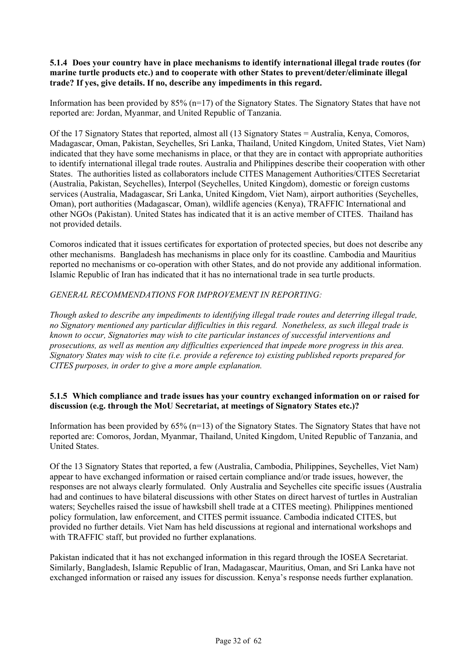#### **5.1.4 Does your country have in place mechanisms to identify international illegal trade routes (for marine turtle products etc.) and to cooperate with other States to prevent/deter/eliminate illegal trade? If yes, give details. If no, describe any impediments in this regard.**

Information has been provided by  $85\%$  (n=17) of the Signatory States. The Signatory States that have not reported are: Jordan, Myanmar, and United Republic of Tanzania.

Of the 17 Signatory States that reported, almost all (13 Signatory States = Australia, Kenya, Comoros, Madagascar, Oman, Pakistan, Seychelles, Sri Lanka, Thailand, United Kingdom, United States, Viet Nam) indicated that they have some mechanisms in place, or that they are in contact with appropriate authorities to identify international illegal trade routes. Australia and Philippines describe their cooperation with other States. The authorities listed as collaborators include CITES Management Authorities/CITES Secretariat (Australia, Pakistan, Seychelles), Interpol (Seychelles, United Kingdom), domestic or foreign customs services (Australia, Madagascar, Sri Lanka, United Kingdom, Viet Nam), airport authorities (Seychelles, Oman), port authorities (Madagascar, Oman), wildlife agencies (Kenya), TRAFFIC International and other NGOs (Pakistan). United States has indicated that it is an active member of CITES. Thailand has not provided details.

Comoros indicated that it issues certificates for exportation of protected species, but does not describe any other mechanisms. Bangladesh has mechanisms in place only for its coastline. Cambodia and Mauritius reported no mechanisms or co-operation with other States, and do not provide any additional information. Islamic Republic of Iran has indicated that it has no international trade in sea turtle products.

## *GENERAL RECOMMENDATIONS FOR IMPROVEMENT IN REPORTING:*

*Though asked to describe any impediments to identifying illegal trade routes and deterring illegal trade, no Signatory mentioned any particular difficulties in this regard. Nonetheless, as such illegal trade is known to occur, Signatories may wish to cite particular instances of successful interventions and prosecutions, as well as mention any difficulties experienced that impede more progress in this area. Signatory States may wish to cite (i.e. provide a reference to) existing published reports prepared for CITES purposes, in order to give a more ample explanation.* 

## **5.1.5 Which compliance and trade issues has your country exchanged information on or raised for discussion (e.g. through the MoU Secretariat, at meetings of Signatory States etc.)?**

Information has been provided by 65% (n=13) of the Signatory States. The Signatory States that have not reported are: Comoros, Jordan, Myanmar, Thailand, United Kingdom, United Republic of Tanzania, and United States.

Of the 13 Signatory States that reported, a few (Australia, Cambodia, Philippines, Seychelles, Viet Nam) appear to have exchanged information or raised certain compliance and/or trade issues, however, the responses are not always clearly formulated. Only Australia and Seychelles cite specific issues (Australia had and continues to have bilateral discussions with other States on direct harvest of turtles in Australian waters; Seychelles raised the issue of hawksbill shell trade at a CITES meeting). Philippines mentioned policy formulation, law enforcement, and CITES permit issuance. Cambodia indicated CITES, but provided no further details. Viet Nam has held discussions at regional and international workshops and with TRAFFIC staff, but provided no further explanations.

Pakistan indicated that it has not exchanged information in this regard through the IOSEA Secretariat. Similarly, Bangladesh, Islamic Republic of Iran, Madagascar, Mauritius, Oman, and Sri Lanka have not exchanged information or raised any issues for discussion. Kenya's response needs further explanation.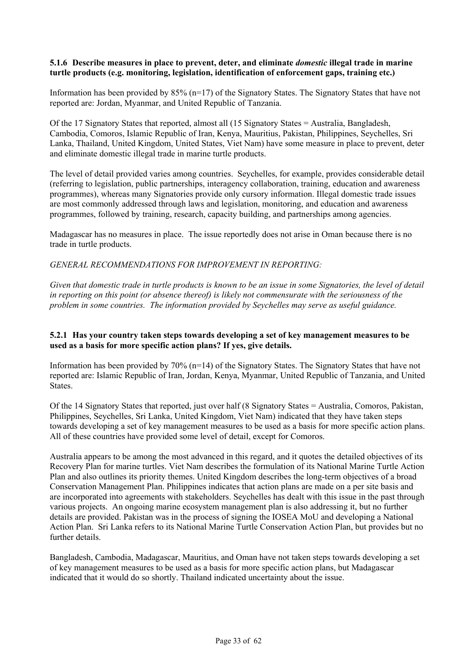#### **5.1.6 Describe measures in place to prevent, deter, and eliminate** *domestic* **illegal trade in marine turtle products (e.g. monitoring, legislation, identification of enforcement gaps, training etc.)**

Information has been provided by  $85\%$  (n=17) of the Signatory States. The Signatory States that have not reported are: Jordan, Myanmar, and United Republic of Tanzania.

Of the 17 Signatory States that reported, almost all (15 Signatory States = Australia, Bangladesh, Cambodia, Comoros, Islamic Republic of Iran, Kenya, Mauritius, Pakistan, Philippines, Seychelles, Sri Lanka, Thailand, United Kingdom, United States, Viet Nam) have some measure in place to prevent, deter and eliminate domestic illegal trade in marine turtle products.

The level of detail provided varies among countries. Seychelles, for example, provides considerable detail (referring to legislation, public partnerships, interagency collaboration, training, education and awareness programmes), whereas many Signatories provide only cursory information. Illegal domestic trade issues are most commonly addressed through laws and legislation, monitoring, and education and awareness programmes, followed by training, research, capacity building, and partnerships among agencies.

Madagascar has no measures in place. The issue reportedly does not arise in Oman because there is no trade in turtle products.

*GENERAL RECOMMENDATIONS FOR IMPROVEMENT IN REPORTING:*

*Given that domestic trade in turtle products is known to be an issue in some Signatories, the level of detail in reporting on this point (or absence thereof) is likely not commensurate with the seriousness of the problem in some countries. The information provided by Seychelles may serve as useful guidance.* 

#### **5.2.1 Has your country taken steps towards developing a set of key management measures to be used as a basis for more specific action plans? If yes, give details.**

Information has been provided by  $70\%$  (n=14) of the Signatory States. The Signatory States that have not reported are: Islamic Republic of Iran, Jordan, Kenya, Myanmar, United Republic of Tanzania, and United States.

Of the 14 Signatory States that reported, just over half (8 Signatory States = Australia, Comoros, Pakistan, Philippines, Seychelles, Sri Lanka, United Kingdom, Viet Nam) indicated that they have taken steps towards developing a set of key management measures to be used as a basis for more specific action plans. All of these countries have provided some level of detail, except for Comoros.

Australia appears to be among the most advanced in this regard, and it quotes the detailed objectives of its Recovery Plan for marine turtles. Viet Nam describes the formulation of its National Marine Turtle Action Plan and also outlines its priority themes. United Kingdom describes the long-term objectives of a broad Conservation Management Plan. Philippines indicates that action plans are made on a per site basis and are incorporated into agreements with stakeholders. Seychelles has dealt with this issue in the past through various projects. An ongoing marine ecosystem management plan is also addressing it, but no further details are provided. Pakistan was in the process of signing the IOSEA MoU and developing a National Action Plan. Sri Lanka refers to its National Marine Turtle Conservation Action Plan, but provides but no further details.

Bangladesh, Cambodia, Madagascar, Mauritius, and Oman have not taken steps towards developing a set of key management measures to be used as a basis for more specific action plans, but Madagascar indicated that it would do so shortly. Thailand indicated uncertainty about the issue.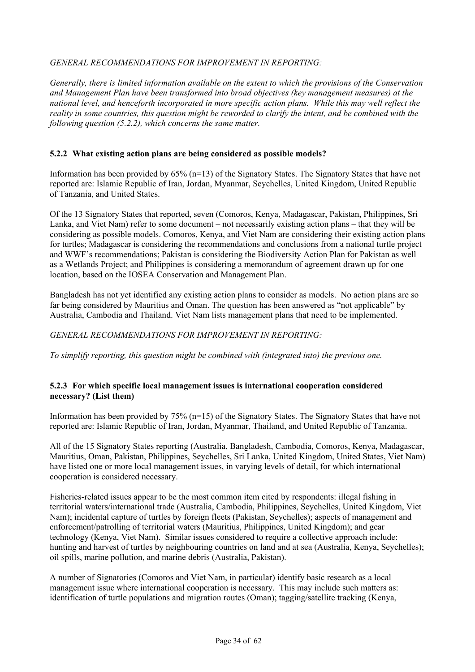## *GENERAL RECOMMENDATIONS FOR IMPROVEMENT IN REPORTING:*

*Generally, there is limited information available on the extent to which the provisions of the Conservation and Management Plan have been transformed into broad objectives (key management measures) at the national level, and henceforth incorporated in more specific action plans. While this may well reflect the reality in some countries, this question might be reworded to clarify the intent, and be combined with the following question (5.2.2), which concerns the same matter.* 

### **5.2.2 What existing action plans are being considered as possible models?**

Information has been provided by  $65\%$  (n=13) of the Signatory States. The Signatory States that have not reported are: Islamic Republic of Iran, Jordan, Myanmar, Seychelles, United Kingdom, United Republic of Tanzania, and United States.

Of the 13 Signatory States that reported, seven (Comoros, Kenya, Madagascar, Pakistan, Philippines, Sri Lanka, and Viet Nam) refer to some document – not necessarily existing action plans – that they will be considering as possible models. Comoros, Kenya, and Viet Nam are considering their existing action plans for turtles; Madagascar is considering the recommendations and conclusions from a national turtle project and WWF's recommendations; Pakistan is considering the Biodiversity Action Plan for Pakistan as well as a Wetlands Project; and Philippines is considering a memorandum of agreement drawn up for one location, based on the IOSEA Conservation and Management Plan.

Bangladesh has not yet identified any existing action plans to consider as models. No action plans are so far being considered by Mauritius and Oman. The question has been answered as "not applicable" by Australia, Cambodia and Thailand. Viet Nam lists management plans that need to be implemented.

*GENERAL RECOMMENDATIONS FOR IMPROVEMENT IN REPORTING:*

*To simplify reporting, this question might be combined with (integrated into) the previous one.* 

## **5.2.3 For which specific local management issues is international cooperation considered necessary? (List them)**

Information has been provided by 75% (n=15) of the Signatory States. The Signatory States that have not reported are: Islamic Republic of Iran, Jordan, Myanmar, Thailand, and United Republic of Tanzania.

All of the 15 Signatory States reporting (Australia, Bangladesh, Cambodia, Comoros, Kenya, Madagascar, Mauritius, Oman, Pakistan, Philippines, Seychelles, Sri Lanka, United Kingdom, United States, Viet Nam) have listed one or more local management issues, in varying levels of detail, for which international cooperation is considered necessary.

Fisheries-related issues appear to be the most common item cited by respondents: illegal fishing in territorial waters/international trade (Australia, Cambodia, Philippines, Seychelles, United Kingdom, Viet Nam); incidental capture of turtles by foreign fleets (Pakistan, Seychelles); aspects of management and enforcement/patrolling of territorial waters (Mauritius, Philippines, United Kingdom); and gear technology (Kenya, Viet Nam). Similar issues considered to require a collective approach include: hunting and harvest of turtles by neighbouring countries on land and at sea (Australia, Kenya, Seychelles); oil spills, marine pollution, and marine debris (Australia, Pakistan).

A number of Signatories (Comoros and Viet Nam, in particular) identify basic research as a local management issue where international cooperation is necessary. This may include such matters as: identification of turtle populations and migration routes (Oman); tagging/satellite tracking (Kenya,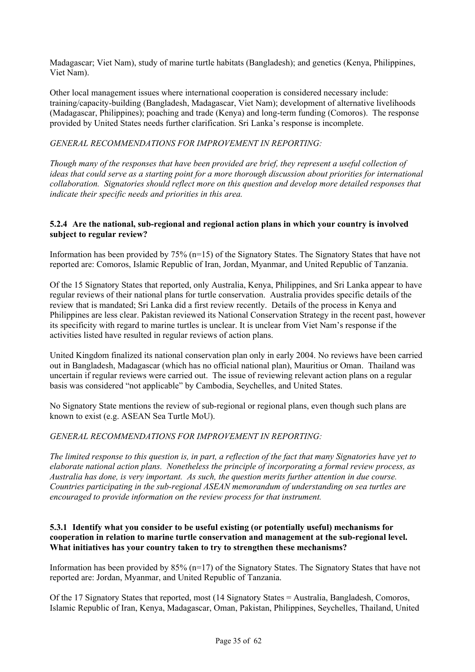Madagascar; Viet Nam), study of marine turtle habitats (Bangladesh); and genetics (Kenya, Philippines, Viet Nam).

Other local management issues where international cooperation is considered necessary include: training/capacity-building (Bangladesh, Madagascar, Viet Nam); development of alternative livelihoods (Madagascar, Philippines); poaching and trade (Kenya) and long-term funding (Comoros). The response provided by United States needs further clarification. Sri Lanka's response is incomplete.

## *GENERAL RECOMMENDATIONS FOR IMPROVEMENT IN REPORTING:*

*Though many of the responses that have been provided are brief, they represent a useful collection of ideas that could serve as a starting point for a more thorough discussion about priorities for international collaboration. Signatories should reflect more on this question and develop more detailed responses that indicate their specific needs and priorities in this area.* 

#### **5.2.4 Are the national, sub-regional and regional action plans in which your country is involved subject to regular review?**

Information has been provided by 75% (n=15) of the Signatory States. The Signatory States that have not reported are: Comoros, Islamic Republic of Iran, Jordan, Myanmar, and United Republic of Tanzania.

Of the 15 Signatory States that reported, only Australia, Kenya, Philippines, and Sri Lanka appear to have regular reviews of their national plans for turtle conservation. Australia provides specific details of the review that is mandated; Sri Lanka did a first review recently. Details of the process in Kenya and Philippines are less clear. Pakistan reviewed its National Conservation Strategy in the recent past, however its specificity with regard to marine turtles is unclear. It is unclear from Viet Nam's response if the activities listed have resulted in regular reviews of action plans.

United Kingdom finalized its national conservation plan only in early 2004. No reviews have been carried out in Bangladesh, Madagascar (which has no official national plan), Mauritius or Oman. Thailand was uncertain if regular reviews were carried out. The issue of reviewing relevant action plans on a regular basis was considered "not applicable" by Cambodia, Seychelles, and United States.

No Signatory State mentions the review of sub-regional or regional plans, even though such plans are known to exist (e.g. ASEAN Sea Turtle MoU).

#### *GENERAL RECOMMENDATIONS FOR IMPROVEMENT IN REPORTING:*

*The limited response to this question is, in part, a reflection of the fact that many Signatories have yet to elaborate national action plans. Nonetheless the principle of incorporating a formal review process, as Australia has done, is very important. As such, the question merits further attention in due course. Countries participating in the sub-regional ASEAN memorandum of understanding on sea turtles are encouraged to provide information on the review process for that instrument.* 

#### **5.3.1 Identify what you consider to be useful existing (or potentially useful) mechanisms for cooperation in relation to marine turtle conservation and management at the sub-regional level. What initiatives has your country taken to try to strengthen these mechanisms?**

Information has been provided by 85% (n=17) of the Signatory States. The Signatory States that have not reported are: Jordan, Myanmar, and United Republic of Tanzania.

Of the 17 Signatory States that reported, most (14 Signatory States = Australia, Bangladesh, Comoros, Islamic Republic of Iran, Kenya, Madagascar, Oman, Pakistan, Philippines, Seychelles, Thailand, United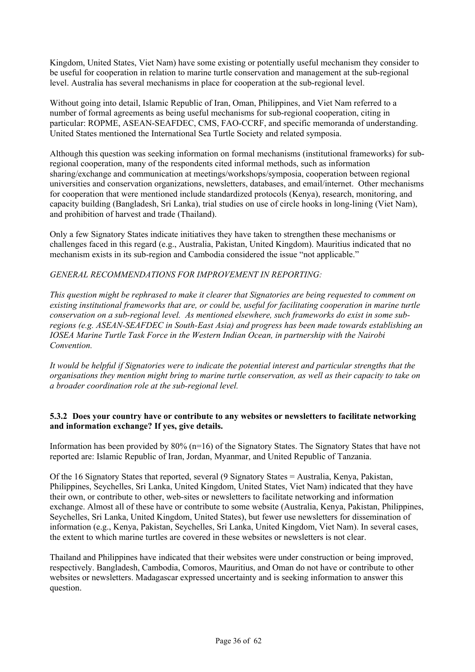Kingdom, United States, Viet Nam) have some existing or potentially useful mechanism they consider to be useful for cooperation in relation to marine turtle conservation and management at the sub-regional level. Australia has several mechanisms in place for cooperation at the sub-regional level.

Without going into detail, Islamic Republic of Iran, Oman, Philippines, and Viet Nam referred to a number of formal agreements as being useful mechanisms for sub-regional cooperation, citing in particular: ROPME, ASEAN-SEAFDEC, CMS, FAO-CCRF, and specific memoranda of understanding. United States mentioned the International Sea Turtle Society and related symposia.

Although this question was seeking information on formal mechanisms (institutional frameworks) for subregional cooperation, many of the respondents cited informal methods, such as information sharing/exchange and communication at meetings/workshops/symposia, cooperation between regional universities and conservation organizations, newsletters, databases, and email/internet. Other mechanisms for cooperation that were mentioned include standardized protocols (Kenya), research, monitoring, and capacity building (Bangladesh, Sri Lanka), trial studies on use of circle hooks in long-lining (Viet Nam), and prohibition of harvest and trade (Thailand).

Only a few Signatory States indicate initiatives they have taken to strengthen these mechanisms or challenges faced in this regard (e.g., Australia, Pakistan, United Kingdom). Mauritius indicated that no mechanism exists in its sub-region and Cambodia considered the issue "not applicable."

*GENERAL RECOMMENDATIONS FOR IMPROVEMENT IN REPORTING:*

*This question might be rephrased to make it clearer that Signatories are being requested to comment on existing institutional frameworks that are, or could be, useful for facilitating cooperation in marine turtle conservation on a sub-regional level. As mentioned elsewhere, such frameworks do exist in some subregions (e.g. ASEAN-SEAFDEC in South-East Asia) and progress has been made towards establishing an IOSEA Marine Turtle Task Force in the Western Indian Ocean, in partnership with the Nairobi Convention.* 

*It would be helpful if Signatories were to indicate the potential interest and particular strengths that the organisations they mention might bring to marine turtle conservation, as well as their capacity to take on a broader coordination role at the sub-regional level.*

## **5.3.2 Does your country have or contribute to any websites or newsletters to facilitate networking and information exchange? If yes, give details.**

Information has been provided by 80% (n=16) of the Signatory States. The Signatory States that have not reported are: Islamic Republic of Iran, Jordan, Myanmar, and United Republic of Tanzania.

Of the 16 Signatory States that reported, several (9 Signatory States = Australia, Kenya, Pakistan, Philippines, Seychelles, Sri Lanka, United Kingdom, United States, Viet Nam) indicated that they have their own, or contribute to other, web-sites or newsletters to facilitate networking and information exchange. Almost all of these have or contribute to some website (Australia, Kenya, Pakistan, Philippines, Seychelles, Sri Lanka, United Kingdom, United States), but fewer use newsletters for dissemination of information (e.g., Kenya, Pakistan, Seychelles, Sri Lanka, United Kingdom, Viet Nam). In several cases, the extent to which marine turtles are covered in these websites or newsletters is not clear.

Thailand and Philippines have indicated that their websites were under construction or being improved, respectively. Bangladesh, Cambodia, Comoros, Mauritius, and Oman do not have or contribute to other websites or newsletters. Madagascar expressed uncertainty and is seeking information to answer this question.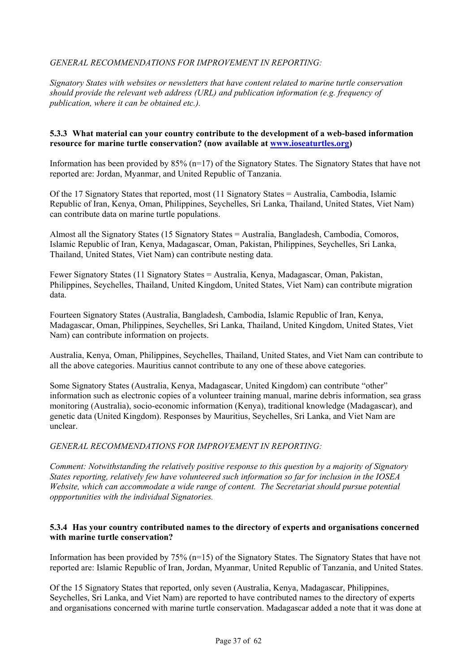## *GENERAL RECOMMENDATIONS FOR IMPROVEMENT IN REPORTING:*

*Signatory States with websites or newsletters that have content related to marine turtle conservation should provide the relevant web address (URL) and publication information (e.g. frequency of publication, where it can be obtained etc.).* 

#### **5.3.3 What material can your country contribute to the development of a web-based information resource for marine turtle conservation? (now available at www.ioseaturtles.org)**

Information has been provided by  $85\%$  (n=17) of the Signatory States. The Signatory States that have not reported are: Jordan, Myanmar, and United Republic of Tanzania.

Of the 17 Signatory States that reported, most (11 Signatory States = Australia, Cambodia, Islamic Republic of Iran, Kenya, Oman, Philippines, Seychelles, Sri Lanka, Thailand, United States, Viet Nam) can contribute data on marine turtle populations.

Almost all the Signatory States (15 Signatory States = Australia, Bangladesh, Cambodia, Comoros, Islamic Republic of Iran, Kenya, Madagascar, Oman, Pakistan, Philippines, Seychelles, Sri Lanka, Thailand, United States, Viet Nam) can contribute nesting data.

Fewer Signatory States (11 Signatory States = Australia, Kenya, Madagascar, Oman, Pakistan, Philippines, Seychelles, Thailand, United Kingdom, United States, Viet Nam) can contribute migration data.

Fourteen Signatory States (Australia, Bangladesh, Cambodia, Islamic Republic of Iran, Kenya, Madagascar, Oman, Philippines, Seychelles, Sri Lanka, Thailand, United Kingdom, United States, Viet Nam) can contribute information on projects.

Australia, Kenya, Oman, Philippines, Seychelles, Thailand, United States, and Viet Nam can contribute to all the above categories. Mauritius cannot contribute to any one of these above categories.

Some Signatory States (Australia, Kenya, Madagascar, United Kingdom) can contribute "other" information such as electronic copies of a volunteer training manual, marine debris information, sea grass monitoring (Australia), socio-economic information (Kenya), traditional knowledge (Madagascar), and genetic data (United Kingdom). Responses by Mauritius, Seychelles, Sri Lanka, and Viet Nam are unclear.

#### *GENERAL RECOMMENDATIONS FOR IMPROVEMENT IN REPORTING:*

*Comment: Notwithstanding the relatively positive response to this question by a majority of Signatory States reporting, relatively few have volunteered such information so far for inclusion in the IOSEA Website, which can accommodate a wide range of content. The Secretariat should pursue potential oppportunities with the individual Signatories.* 

#### **5.3.4 Has your country contributed names to the directory of experts and organisations concerned with marine turtle conservation?**

Information has been provided by 75% (n=15) of the Signatory States. The Signatory States that have not reported are: Islamic Republic of Iran, Jordan, Myanmar, United Republic of Tanzania, and United States.

Of the 15 Signatory States that reported, only seven (Australia, Kenya, Madagascar, Philippines, Seychelles, Sri Lanka, and Viet Nam) are reported to have contributed names to the directory of experts and organisations concerned with marine turtle conservation. Madagascar added a note that it was done at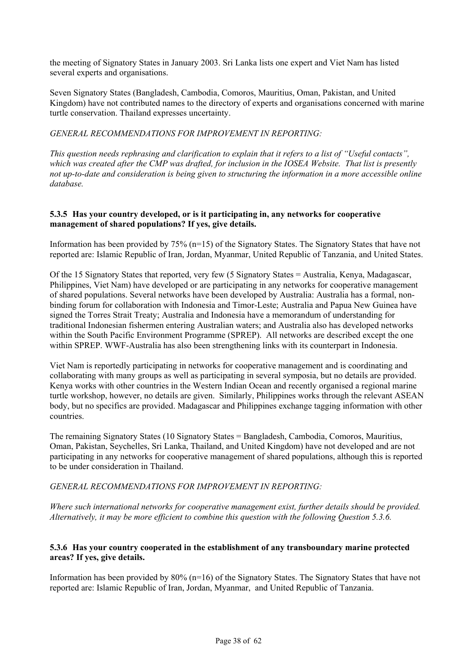the meeting of Signatory States in January 2003. Sri Lanka lists one expert and Viet Nam has listed several experts and organisations.

Seven Signatory States (Bangladesh, Cambodia, Comoros, Mauritius, Oman, Pakistan, and United Kingdom) have not contributed names to the directory of experts and organisations concerned with marine turtle conservation. Thailand expresses uncertainty.

## *GENERAL RECOMMENDATIONS FOR IMPROVEMENT IN REPORTING:*

*This question needs rephrasing and clarification to explain that it refers to a list of "Useful contacts", which was created after the CMP was drafted, for inclusion in the IOSEA Website. That list is presently not up-to-date and consideration is being given to structuring the information in a more accessible online database.* 

### **5.3.5 Has your country developed, or is it participating in, any networks for cooperative management of shared populations? If yes, give details.**

Information has been provided by  $75\%$  (n=15) of the Signatory States. The Signatory States that have not reported are: Islamic Republic of Iran, Jordan, Myanmar, United Republic of Tanzania, and United States.

Of the 15 Signatory States that reported, very few (5 Signatory States = Australia, Kenya, Madagascar, Philippines, Viet Nam) have developed or are participating in any networks for cooperative management of shared populations. Several networks have been developed by Australia: Australia has a formal, nonbinding forum for collaboration with Indonesia and Timor-Leste; Australia and Papua New Guinea have signed the Torres Strait Treaty; Australia and Indonesia have a memorandum of understanding for traditional Indonesian fishermen entering Australian waters; and Australia also has developed networks within the South Pacific Environment Programme (SPREP). All networks are described except the one within SPREP. WWF-Australia has also been strengthening links with its counterpart in Indonesia.

Viet Nam is reportedly participating in networks for cooperative management and is coordinating and collaborating with many groups as well as participating in several symposia, but no details are provided. Kenya works with other countries in the Western Indian Ocean and recently organised a regional marine turtle workshop, however, no details are given. Similarly, Philippines works through the relevant ASEAN body, but no specifics are provided. Madagascar and Philippines exchange tagging information with other countries.

The remaining Signatory States (10 Signatory States = Bangladesh, Cambodia, Comoros, Mauritius, Oman, Pakistan, Seychelles, Sri Lanka, Thailand, and United Kingdom) have not developed and are not participating in any networks for cooperative management of shared populations, although this is reported to be under consideration in Thailand.

#### *GENERAL RECOMMENDATIONS FOR IMPROVEMENT IN REPORTING:*

*Where such international networks for cooperative management exist, further details should be provided. Alternatively, it may be more efficient to combine this question with the following Question 5.3.6.*

## **5.3.6 Has your country cooperated in the establishment of any transboundary marine protected areas? If yes, give details.**

Information has been provided by 80% (n=16) of the Signatory States. The Signatory States that have not reported are: Islamic Republic of Iran, Jordan, Myanmar, and United Republic of Tanzania.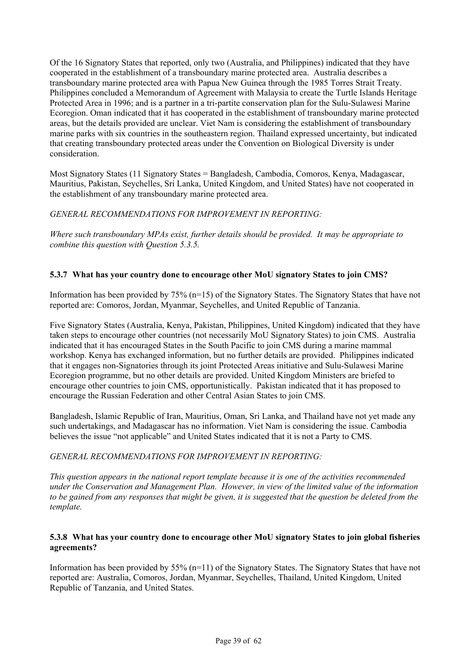Of the 16 Signatory States that reported, only two (Australia, and Philippines) indicated that they have cooperated in the establishment of a transboundary marine protected area. Australia describes a transboundary marine protected area with Papua New Guinea through the 1985 Torres Strait Treaty. Philippines concluded a Memorandum of Agreement with Malaysia to create the Turtle Islands Heritage Protected Area in 1996; and is a partner in a tri-partite conservation plan for the Sulu-Sulawesi Marine Ecoregion. Oman indicated that it has cooperated in the establishment of transboundary marine protected areas, but the details provided are unclear. Viet Nam is considering the establishment of transboundary marine parks with six countries in the southeastern region. Thailand expressed uncertainty, but indicated that creating transboundary protected areas under the Convention on Biological Diversity is under consideration.

Most Signatory States (11 Signatory States = Bangladesh, Cambodia, Comoros, Kenya, Madagascar, Mauritius, Pakistan, Seychelles, Sri Lanka, United Kingdom, and United States) have not cooperated in the establishment of any transboundary marine protected area.

## *GENERAL RECOMMENDATIONS FOR IMPROVEMENT IN REPORTING:*

*Where such transboundary MPAs exist, further details should be provided. It may be appropriate to combine this question with Question 5.3.5.*

## **5.3.7 What has your country done to encourage other MoU signatory States to join CMS?**

Information has been provided by 75% (n=15) of the Signatory States. The Signatory States that have not reported are: Comoros, Jordan, Myanmar, Seychelles, and United Republic of Tanzania.

Five Signatory States (Australia, Kenya, Pakistan, Philippines, United Kingdom) indicated that they have taken steps to encourage other countries (not necessarily MoU Signatory States) to join CMS. Australia indicated that it has encouraged States in the South Pacific to join CMS during a marine mammal workshop. Kenya has exchanged information, but no further details are provided. Philippines indicated that it engages non-Signatories through its joint Protected Areas initiative and Sulu-Sulawesi Marine Ecoregion programme, but no other details are provided. United Kingdom Ministers are briefed to encourage other countries to join CMS, opportunistically. Pakistan indicated that it has proposed to encourage the Russian Federation and other Central Asian States to join CMS.

Bangladesh, Islamic Republic of Iran, Mauritius, Oman, Sri Lanka, and Thailand have not yet made any such undertakings, and Madagascar has no information. Viet Nam is considering the issue. Cambodia believes the issue "not applicable" and United States indicated that it is not a Party to CMS.

#### *GENERAL RECOMMENDATIONS FOR IMPROVEMENT IN REPORTING:*

*This question appears in the national report template because it is one of the activities recommended under the Conservation and Management Plan. However, in view of the limited value of the information to be gained from any responses that might be given, it is suggested that the question be deleted from the template.*

#### **5.3.8 What has your country done to encourage other MoU signatory States to join global fisheries agreements?**

Information has been provided by 55% (n=11) of the Signatory States. The Signatory States that have not reported are: Australia, Comoros, Jordan, Myanmar, Seychelles, Thailand, United Kingdom, United Republic of Tanzania, and United States.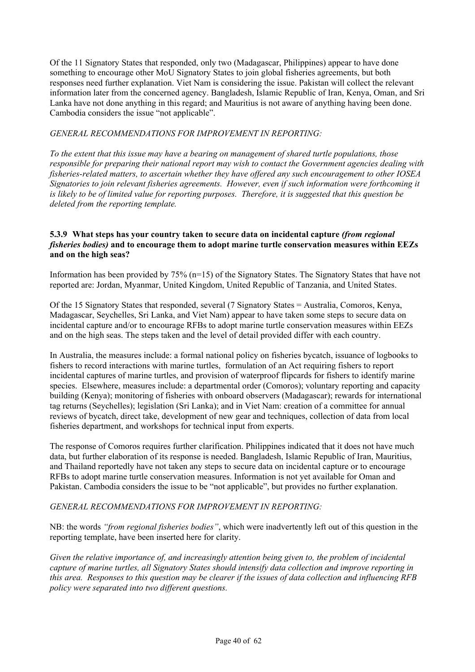Of the 11 Signatory States that responded, only two (Madagascar, Philippines) appear to have done something to encourage other MoU Signatory States to join global fisheries agreements, but both responses need further explanation. Viet Nam is considering the issue. Pakistan will collect the relevant information later from the concerned agency. Bangladesh, Islamic Republic of Iran, Kenya, Oman, and Sri Lanka have not done anything in this regard; and Mauritius is not aware of anything having been done. Cambodia considers the issue "not applicable".

## *GENERAL RECOMMENDATIONS FOR IMPROVEMENT IN REPORTING:*

*To the extent that this issue may have a bearing on management of shared turtle populations, those responsible for preparing their national report may wish to contact the Government agencies dealing with fisheries-related matters, to ascertain whether they have offered any such encouragement to other IOSEA Signatories to join relevant fisheries agreements. However, even if such information were forthcoming it is likely to be of limited value for reporting purposes. Therefore, it is suggested that this question be deleted from the reporting template.* 

#### **5.3.9 What steps has your country taken to secure data on incidental capture** *(from regional fisheries bodies)* **and to encourage them to adopt marine turtle conservation measures within EEZs and on the high seas?**

Information has been provided by 75% (n=15) of the Signatory States. The Signatory States that have not reported are: Jordan, Myanmar, United Kingdom, United Republic of Tanzania, and United States.

Of the 15 Signatory States that responded, several (7 Signatory States = Australia, Comoros, Kenya, Madagascar, Seychelles, Sri Lanka, and Viet Nam) appear to have taken some steps to secure data on incidental capture and/or to encourage RFBs to adopt marine turtle conservation measures within EEZs and on the high seas. The steps taken and the level of detail provided differ with each country.

In Australia, the measures include: a formal national policy on fisheries bycatch, issuance of logbooks to fishers to record interactions with marine turtles, formulation of an Act requiring fishers to report incidental captures of marine turtles, and provision of waterproof flipcards for fishers to identify marine species. Elsewhere, measures include: a departmental order (Comoros); voluntary reporting and capacity building (Kenya); monitoring of fisheries with onboard observers (Madagascar); rewards for international tag returns (Seychelles); legislation (Sri Lanka); and in Viet Nam: creation of a committee for annual reviews of bycatch, direct take, development of new gear and techniques, collection of data from local fisheries department, and workshops for technical input from experts.

The response of Comoros requires further clarification. Philippines indicated that it does not have much data, but further elaboration of its response is needed. Bangladesh, Islamic Republic of Iran, Mauritius, and Thailand reportedly have not taken any steps to secure data on incidental capture or to encourage RFBs to adopt marine turtle conservation measures. Information is not yet available for Oman and Pakistan. Cambodia considers the issue to be "not applicable", but provides no further explanation.

#### *GENERAL RECOMMENDATIONS FOR IMPROVEMENT IN REPORTING:*

NB: the words *"from regional fisheries bodies"*, which were inadvertently left out of this question in the reporting template, have been inserted here for clarity.

*Given the relative importance of, and increasingly attention being given to, the problem of incidental capture of marine turtles, all Signatory States should intensify data collection and improve reporting in this area. Responses to this question may be clearer if the issues of data collection and influencing RFB policy were separated into two different questions.*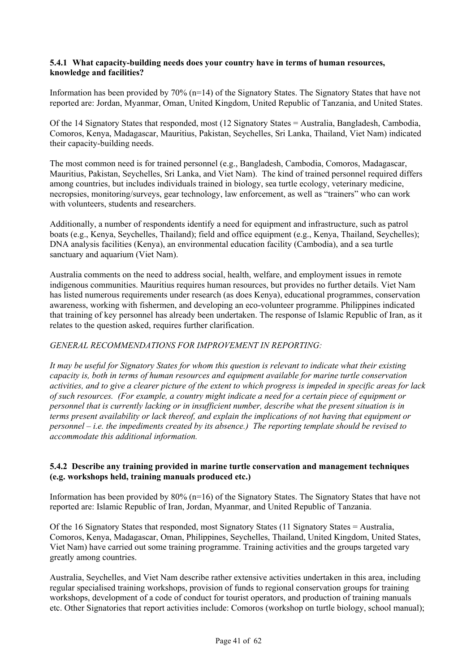## **5.4.1 What capacity-building needs does your country have in terms of human resources, knowledge and facilities?**

Information has been provided by  $70\%$  (n=14) of the Signatory States. The Signatory States that have not reported are: Jordan, Myanmar, Oman, United Kingdom, United Republic of Tanzania, and United States.

Of the 14 Signatory States that responded, most (12 Signatory States = Australia, Bangladesh, Cambodia, Comoros, Kenya, Madagascar, Mauritius, Pakistan, Seychelles, Sri Lanka, Thailand, Viet Nam) indicated their capacity-building needs.

The most common need is for trained personnel (e.g., Bangladesh, Cambodia, Comoros, Madagascar, Mauritius, Pakistan, Seychelles, Sri Lanka, and Viet Nam). The kind of trained personnel required differs among countries, but includes individuals trained in biology, sea turtle ecology, veterinary medicine, necropsies, monitoring/surveys, gear technology, law enforcement, as well as "trainers" who can work with volunteers, students and researchers.

Additionally, a number of respondents identify a need for equipment and infrastructure, such as patrol boats (e.g., Kenya, Seychelles, Thailand); field and office equipment (e.g., Kenya, Thailand, Seychelles); DNA analysis facilities (Kenya), an environmental education facility (Cambodia), and a sea turtle sanctuary and aquarium (Viet Nam).

Australia comments on the need to address social, health, welfare, and employment issues in remote indigenous communities. Mauritius requires human resources, but provides no further details. Viet Nam has listed numerous requirements under research (as does Kenya), educational programmes, conservation awareness, working with fishermen, and developing an eco-volunteer programme. Philippines indicated that training of key personnel has already been undertaken. The response of Islamic Republic of Iran, as it relates to the question asked, requires further clarification.

## *GENERAL RECOMMENDATIONS FOR IMPROVEMENT IN REPORTING:*

*It may be useful for Signatory States for whom this question is relevant to indicate what their existing capacity is, both in terms of human resources and equipment available for marine turtle conservation activities, and to give a clearer picture of the extent to which progress is impeded in specific areas for lack of such resources. (For example, a country might indicate a need for a certain piece of equipment or personnel that is currently lacking or in insufficient number, describe what the present situation is in terms present availability or lack thereof, and explain the implications of not having that equipment or personnel – i.e. the impediments created by its absence.) The reporting template should be revised to accommodate this additional information.* 

## **5.4.2 Describe any training provided in marine turtle conservation and management techniques (e.g. workshops held, training manuals produced etc.)**

Information has been provided by 80% (n=16) of the Signatory States. The Signatory States that have not reported are: Islamic Republic of Iran, Jordan, Myanmar, and United Republic of Tanzania.

Of the 16 Signatory States that responded, most Signatory States (11 Signatory States = Australia, Comoros, Kenya, Madagascar, Oman, Philippines, Seychelles, Thailand, United Kingdom, United States, Viet Nam) have carried out some training programme. Training activities and the groups targeted vary greatly among countries.

Australia, Seychelles, and Viet Nam describe rather extensive activities undertaken in this area, including regular specialised training workshops, provision of funds to regional conservation groups for training workshops, development of a code of conduct for tourist operators, and production of training manuals etc. Other Signatories that report activities include: Comoros (workshop on turtle biology, school manual);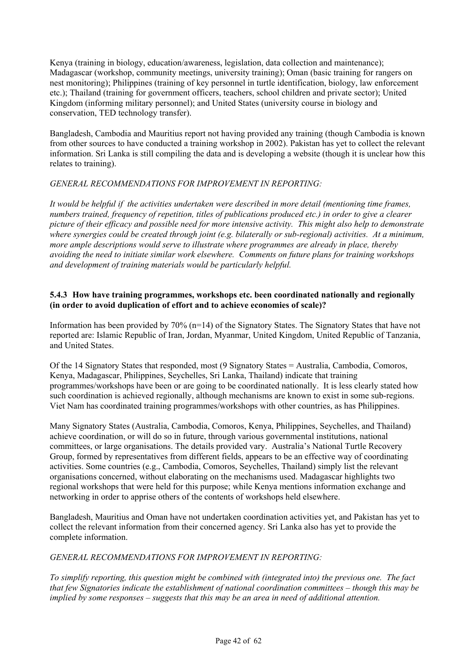Kenya (training in biology, education/awareness, legislation, data collection and maintenance); Madagascar (workshop, community meetings, university training); Oman (basic training for rangers on nest monitoring); Philippines (training of key personnel in turtle identification, biology, law enforcement etc.); Thailand (training for government officers, teachers, school children and private sector); United Kingdom (informing military personnel); and United States (university course in biology and conservation, TED technology transfer).

Bangladesh, Cambodia and Mauritius report not having provided any training (though Cambodia is known from other sources to have conducted a training workshop in 2002). Pakistan has yet to collect the relevant information. Sri Lanka is still compiling the data and is developing a website (though it is unclear how this relates to training).

## *GENERAL RECOMMENDATIONS FOR IMPROVEMENT IN REPORTING:*

*It would be helpful if the activities undertaken were described in more detail (mentioning time frames, numbers trained, frequency of repetition, titles of publications produced etc.) in order to give a clearer picture of their efficacy and possible need for more intensive activity. This might also help to demonstrate where synergies could be created through joint (e.g. bilaterally or sub-regional) activities. At a minimum, more ample descriptions would serve to illustrate where programmes are already in place, thereby avoiding the need to initiate similar work elsewhere. Comments on future plans for training workshops and development of training materials would be particularly helpful.* 

### **5.4.3 How have training programmes, workshops etc. been coordinated nationally and regionally (in order to avoid duplication of effort and to achieve economies of scale)?**

Information has been provided by 70% (n=14) of the Signatory States. The Signatory States that have not reported are: Islamic Republic of Iran, Jordan, Myanmar, United Kingdom, United Republic of Tanzania, and United States.

Of the 14 Signatory States that responded, most (9 Signatory States = Australia, Cambodia, Comoros, Kenya, Madagascar, Philippines, Seychelles, Sri Lanka, Thailand) indicate that training programmes/workshops have been or are going to be coordinated nationally. It is less clearly stated how such coordination is achieved regionally, although mechanisms are known to exist in some sub-regions. Viet Nam has coordinated training programmes/workshops with other countries, as has Philippines.

Many Signatory States (Australia, Cambodia, Comoros, Kenya, Philippines, Seychelles, and Thailand) achieve coordination, or will do so in future, through various governmental institutions, national committees, or large organisations. The details provided vary. Australia's National Turtle Recovery Group, formed by representatives from different fields, appears to be an effective way of coordinating activities. Some countries (e.g., Cambodia, Comoros, Seychelles, Thailand) simply list the relevant organisations concerned, without elaborating on the mechanisms used. Madagascar highlights two regional workshops that were held for this purpose; while Kenya mentions information exchange and networking in order to apprise others of the contents of workshops held elsewhere.

Bangladesh, Mauritius and Oman have not undertaken coordination activities yet, and Pakistan has yet to collect the relevant information from their concerned agency. Sri Lanka also has yet to provide the complete information.

## *GENERAL RECOMMENDATIONS FOR IMPROVEMENT IN REPORTING:*

*To simplify reporting, this question might be combined with (integrated into) the previous one. The fact that few Signatories indicate the establishment of national coordination committees – though this may be implied by some responses – suggests that this may be an area in need of additional attention.*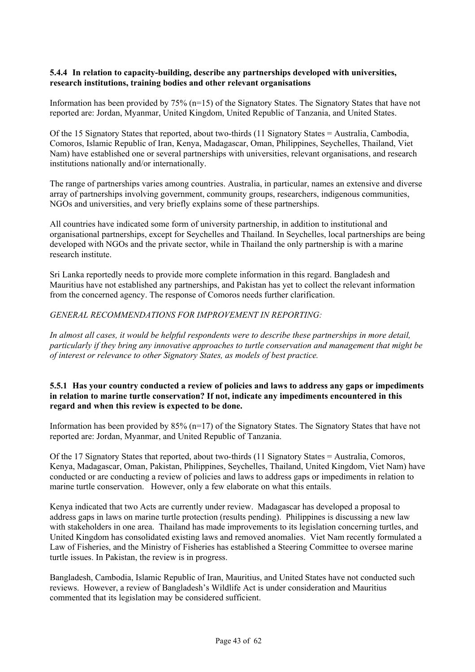#### **5.4.4 In relation to capacity-building, describe any partnerships developed with universities, research institutions, training bodies and other relevant organisations**

Information has been provided by 75% (n=15) of the Signatory States. The Signatory States that have not reported are: Jordan, Myanmar, United Kingdom, United Republic of Tanzania, and United States.

Of the 15 Signatory States that reported, about two-thirds (11 Signatory States = Australia, Cambodia, Comoros, Islamic Republic of Iran, Kenya, Madagascar, Oman, Philippines, Seychelles, Thailand, Viet Nam) have established one or several partnerships with universities, relevant organisations, and research institutions nationally and/or internationally.

The range of partnerships varies among countries. Australia, in particular, names an extensive and diverse array of partnerships involving government, community groups, researchers, indigenous communities, NGOs and universities, and very briefly explains some of these partnerships.

All countries have indicated some form of university partnership, in addition to institutional and organisational partnerships, except for Seychelles and Thailand. In Seychelles, local partnerships are being developed with NGOs and the private sector, while in Thailand the only partnership is with a marine research institute.

Sri Lanka reportedly needs to provide more complete information in this regard. Bangladesh and Mauritius have not established any partnerships, and Pakistan has yet to collect the relevant information from the concerned agency. The response of Comoros needs further clarification.

## *GENERAL RECOMMENDATIONS FOR IMPROVEMENT IN REPORTING:*

*In almost all cases, it would be helpful respondents were to describe these partnerships in more detail, particularly if they bring any innovative approaches to turtle conservation and management that might be of interest or relevance to other Signatory States, as models of best practice.* 

## **5.5.1 Has your country conducted a review of policies and laws to address any gaps or impediments in relation to marine turtle conservation? If not, indicate any impediments encountered in this regard and when this review is expected to be done.**

Information has been provided by  $85\%$  (n=17) of the Signatory States. The Signatory States that have not reported are: Jordan, Myanmar, and United Republic of Tanzania.

Of the 17 Signatory States that reported, about two-thirds (11 Signatory States = Australia, Comoros, Kenya, Madagascar, Oman, Pakistan, Philippines, Seychelles, Thailand, United Kingdom, Viet Nam) have conducted or are conducting a review of policies and laws to address gaps or impediments in relation to marine turtle conservation. However, only a few elaborate on what this entails.

Kenya indicated that two Acts are currently under review. Madagascar has developed a proposal to address gaps in laws on marine turtle protection (results pending). Philippines is discussing a new law with stakeholders in one area. Thailand has made improvements to its legislation concerning turtles, and United Kingdom has consolidated existing laws and removed anomalies. Viet Nam recently formulated a Law of Fisheries, and the Ministry of Fisheries has established a Steering Committee to oversee marine turtle issues. In Pakistan, the review is in progress.

Bangladesh, Cambodia, Islamic Republic of Iran, Mauritius, and United States have not conducted such reviews. However, a review of Bangladesh's Wildlife Act is under consideration and Mauritius commented that its legislation may be considered sufficient.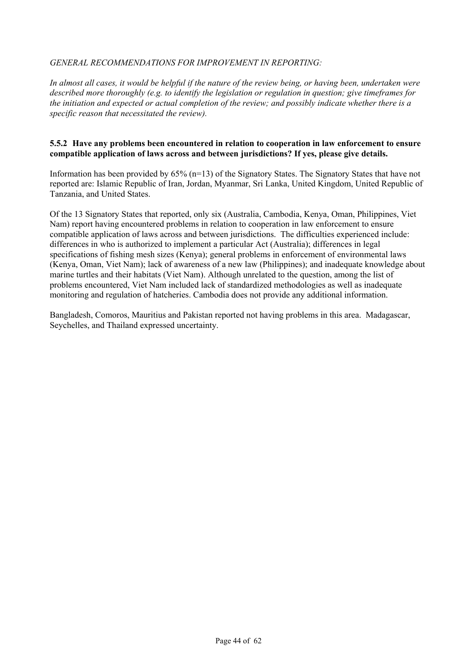## *GENERAL RECOMMENDATIONS FOR IMPROVEMENT IN REPORTING:*

*In almost all cases, it would be helpful if the nature of the review being, or having been, undertaken were described more thoroughly (e.g. to identify the legislation or regulation in question; give timeframes for the initiation and expected or actual completion of the review; and possibly indicate whether there is a specific reason that necessitated the review).* 

#### **5.5.2 Have any problems been encountered in relation to cooperation in law enforcement to ensure compatible application of laws across and between jurisdictions? If yes, please give details.**

Information has been provided by 65% (n=13) of the Signatory States. The Signatory States that have not reported are: Islamic Republic of Iran, Jordan, Myanmar, Sri Lanka, United Kingdom, United Republic of Tanzania, and United States.

Of the 13 Signatory States that reported, only six (Australia, Cambodia, Kenya, Oman, Philippines, Viet Nam) report having encountered problems in relation to cooperation in law enforcement to ensure compatible application of laws across and between jurisdictions. The difficulties experienced include: differences in who is authorized to implement a particular Act (Australia); differences in legal specifications of fishing mesh sizes (Kenya); general problems in enforcement of environmental laws (Kenya, Oman, Viet Nam); lack of awareness of a new law (Philippines); and inadequate knowledge about marine turtles and their habitats (Viet Nam). Although unrelated to the question, among the list of problems encountered, Viet Nam included lack of standardized methodologies as well as inadequate monitoring and regulation of hatcheries. Cambodia does not provide any additional information.

Bangladesh, Comoros, Mauritius and Pakistan reported not having problems in this area. Madagascar, Seychelles, and Thailand expressed uncertainty.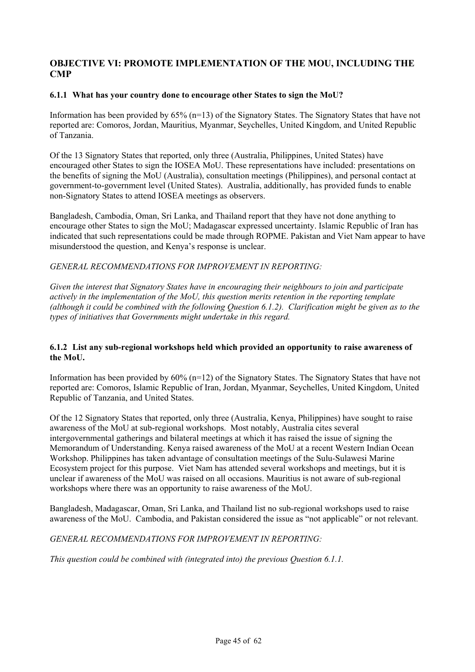## **OBJECTIVE VI: PROMOTE IMPLEMENTATION OF THE MOU, INCLUDING THE CMP**

### **6.1.1 What has your country done to encourage other States to sign the MoU?**

Information has been provided by 65% (n=13) of the Signatory States. The Signatory States that have not reported are: Comoros, Jordan, Mauritius, Myanmar, Seychelles, United Kingdom, and United Republic of Tanzania.

Of the 13 Signatory States that reported, only three (Australia, Philippines, United States) have encouraged other States to sign the IOSEA MoU. These representations have included: presentations on the benefits of signing the MoU (Australia), consultation meetings (Philippines), and personal contact at government-to-government level (United States). Australia, additionally, has provided funds to enable non-Signatory States to attend IOSEA meetings as observers.

Bangladesh, Cambodia, Oman, Sri Lanka, and Thailand report that they have not done anything to encourage other States to sign the MoU; Madagascar expressed uncertainty. Islamic Republic of Iran has indicated that such representations could be made through ROPME. Pakistan and Viet Nam appear to have misunderstood the question, and Kenya's response is unclear.

## *GENERAL RECOMMENDATIONS FOR IMPROVEMENT IN REPORTING:*

*Given the interest that Signatory States have in encouraging their neighbours to join and participate actively in the implementation of the MoU, this question merits retention in the reporting template (although it could be combined with the following Question 6.1.2). Clarification might be given as to the types of initiatives that Governments might undertake in this regard.*

#### **6.1.2 List any sub-regional workshops held which provided an opportunity to raise awareness of the MoU.**

Information has been provided by  $60\%$  (n=12) of the Signatory States. The Signatory States that have not reported are: Comoros, Islamic Republic of Iran, Jordan, Myanmar, Seychelles, United Kingdom, United Republic of Tanzania, and United States.

Of the 12 Signatory States that reported, only three (Australia, Kenya, Philippines) have sought to raise awareness of the MoU at sub-regional workshops. Most notably, Australia cites several intergovernmental gatherings and bilateral meetings at which it has raised the issue of signing the Memorandum of Understanding. Kenya raised awareness of the MoU at a recent Western Indian Ocean Workshop. Philippines has taken advantage of consultation meetings of the Sulu-Sulawesi Marine Ecosystem project for this purpose. Viet Nam has attended several workshops and meetings, but it is unclear if awareness of the MoU was raised on all occasions. Mauritius is not aware of sub-regional workshops where there was an opportunity to raise awareness of the MoU.

Bangladesh, Madagascar, Oman, Sri Lanka, and Thailand list no sub-regional workshops used to raise awareness of the MoU. Cambodia, and Pakistan considered the issue as "not applicable" or not relevant.

*GENERAL RECOMMENDATIONS FOR IMPROVEMENT IN REPORTING:*

*This question could be combined with (integrated into) the previous Question 6.1.1.*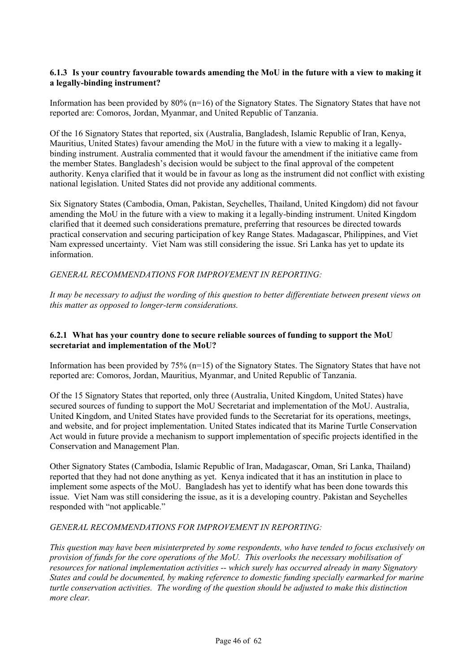#### **6.1.3 Is your country favourable towards amending the MoU in the future with a view to making it a legally-binding instrument?**

Information has been provided by  $80\%$  (n=16) of the Signatory States. The Signatory States that have not reported are: Comoros, Jordan, Myanmar, and United Republic of Tanzania.

Of the 16 Signatory States that reported, six (Australia, Bangladesh, Islamic Republic of Iran, Kenya, Mauritius, United States) favour amending the MoU in the future with a view to making it a legallybinding instrument. Australia commented that it would favour the amendment if the initiative came from the member States. Bangladesh's decision would be subject to the final approval of the competent authority. Kenya clarified that it would be in favour as long as the instrument did not conflict with existing national legislation. United States did not provide any additional comments.

Six Signatory States (Cambodia, Oman, Pakistan, Seychelles, Thailand, United Kingdom) did not favour amending the MoU in the future with a view to making it a legally-binding instrument. United Kingdom clarified that it deemed such considerations premature, preferring that resources be directed towards practical conservation and securing participation of key Range States. Madagascar, Philippines, and Viet Nam expressed uncertainty. Viet Nam was still considering the issue. Sri Lanka has yet to update its information.

*GENERAL RECOMMENDATIONS FOR IMPROVEMENT IN REPORTING:*

*It may be necessary to adjust the wording of this question to better differentiate between present views on this matter as opposed to longer-term considerations.* 

## **6.2.1 What has your country done to secure reliable sources of funding to support the MoU secretariat and implementation of the MoU?**

Information has been provided by 75% (n=15) of the Signatory States. The Signatory States that have not reported are: Comoros, Jordan, Mauritius, Myanmar, and United Republic of Tanzania.

Of the 15 Signatory States that reported, only three (Australia, United Kingdom, United States) have secured sources of funding to support the MoU Secretariat and implementation of the MoU. Australia, United Kingdom, and United States have provided funds to the Secretariat for its operations, meetings, and website, and for project implementation. United States indicated that its Marine Turtle Conservation Act would in future provide a mechanism to support implementation of specific projects identified in the Conservation and Management Plan.

Other Signatory States (Cambodia, Islamic Republic of Iran, Madagascar, Oman, Sri Lanka, Thailand) reported that they had not done anything as yet. Kenya indicated that it has an institution in place to implement some aspects of the MoU. Bangladesh has yet to identify what has been done towards this issue. Viet Nam was still considering the issue, as it is a developing country. Pakistan and Seychelles responded with "not applicable."

## *GENERAL RECOMMENDATIONS FOR IMPROVEMENT IN REPORTING:*

*This question may have been misinterpreted by some respondents, who have tended to focus exclusively on provision of funds for the core operations of the MoU. This overlooks the necessary mobilisation of resources for national implementation activities -- which surely has occurred already in many Signatory States and could be documented, by making reference to domestic funding specially earmarked for marine turtle conservation activities. The wording of the question should be adjusted to make this distinction more clear.*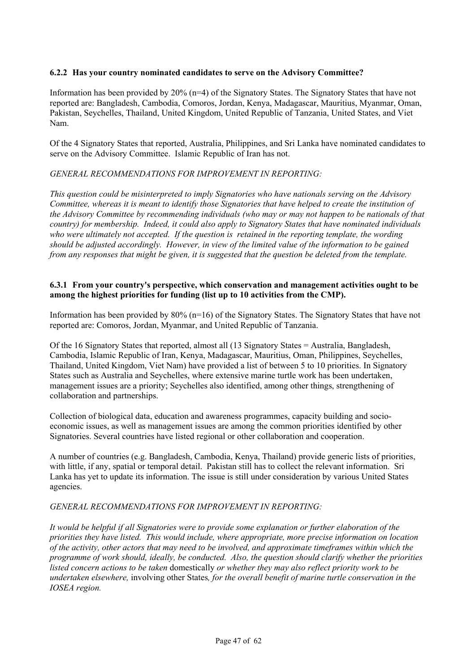### **6.2.2 Has your country nominated candidates to serve on the Advisory Committee?**

Information has been provided by 20% (n=4) of the Signatory States. The Signatory States that have not reported are: Bangladesh, Cambodia, Comoros, Jordan, Kenya, Madagascar, Mauritius, Myanmar, Oman, Pakistan, Seychelles, Thailand, United Kingdom, United Republic of Tanzania, United States, and Viet Nam.

Of the 4 Signatory States that reported, Australia, Philippines, and Sri Lanka have nominated candidates to serve on the Advisory Committee. Islamic Republic of Iran has not.

## *GENERAL RECOMMENDATIONS FOR IMPROVEMENT IN REPORTING:*

*This question could be misinterpreted to imply Signatories who have nationals serving on the Advisory Committee, whereas it is meant to identify those Signatories that have helped to create the institution of the Advisory Committee by recommending individuals (who may or may not happen to be nationals of that country) for membership. Indeed, it could also apply to Signatory States that have nominated individuals*  who were ultimately not accepted. If the question is retained in the reporting template, the wording *should be adjusted accordingly. However, in view of the limited value of the information to be gained from any responses that might be given, it is suggested that the question be deleted from the template.* 

#### **6.3.1 From your country's perspective, which conservation and management activities ought to be among the highest priorities for funding (list up to 10 activities from the CMP).**

Information has been provided by 80% (n=16) of the Signatory States. The Signatory States that have not reported are: Comoros, Jordan, Myanmar, and United Republic of Tanzania.

Of the 16 Signatory States that reported, almost all (13 Signatory States = Australia, Bangladesh, Cambodia, Islamic Republic of Iran, Kenya, Madagascar, Mauritius, Oman, Philippines, Seychelles, Thailand, United Kingdom, Viet Nam) have provided a list of between 5 to 10 priorities. In Signatory States such as Australia and Seychelles, where extensive marine turtle work has been undertaken, management issues are a priority; Seychelles also identified, among other things, strengthening of collaboration and partnerships.

Collection of biological data, education and awareness programmes, capacity building and socioeconomic issues, as well as management issues are among the common priorities identified by other Signatories. Several countries have listed regional or other collaboration and cooperation.

A number of countries (e.g. Bangladesh, Cambodia, Kenya, Thailand) provide generic lists of priorities, with little, if any, spatial or temporal detail. Pakistan still has to collect the relevant information. Sri Lanka has yet to update its information. The issue is still under consideration by various United States agencies.

#### *GENERAL RECOMMENDATIONS FOR IMPROVEMENT IN REPORTING:*

*It would be helpful if all Signatories were to provide some explanation or further elaboration of the priorities they have listed. This would include, where appropriate, more precise information on location of the activity, other actors that may need to be involved, and approximate timeframes within which the programme of work should, ideally, be conducted. Also, the question should clarify whether the priorities listed concern actions to be taken* domestically *or whether they may also reflect priority work to be undertaken elsewhere,* involving other States*, for the overall benefit of marine turtle conservation in the IOSEA region.*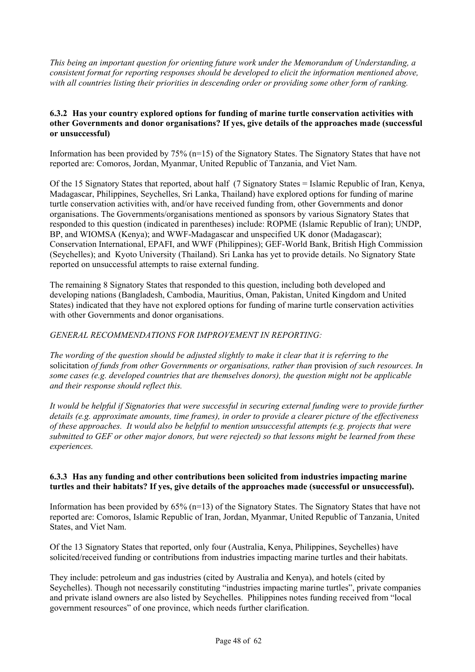*This being an important question for orienting future work under the Memorandum of Understanding, a consistent format for reporting responses should be developed to elicit the information mentioned above, with all countries listing their priorities in descending order or providing some other form of ranking.*

## **6.3.2 Has your country explored options for funding of marine turtle conservation activities with other Governments and donor organisations? If yes, give details of the approaches made (successful or unsuccessful)**

Information has been provided by 75% (n=15) of the Signatory States. The Signatory States that have not reported are: Comoros, Jordan, Myanmar, United Republic of Tanzania, and Viet Nam.

Of the 15 Signatory States that reported, about half (7 Signatory States = Islamic Republic of Iran, Kenya, Madagascar, Philippines, Seychelles, Sri Lanka, Thailand) have explored options for funding of marine turtle conservation activities with, and/or have received funding from, other Governments and donor organisations. The Governments/organisations mentioned as sponsors by various Signatory States that responded to this question (indicated in parentheses) include: ROPME (Islamic Republic of Iran); UNDP, BP, and WIOMSA (Kenya); and WWF-Madagascar and unspecified UK donor (Madagascar); Conservation International, EPAFI, and WWF (Philippines); GEF-World Bank, British High Commission (Seychelles); and Kyoto University (Thailand). Sri Lanka has yet to provide details. No Signatory State reported on unsuccessful attempts to raise external funding.

The remaining 8 Signatory States that responded to this question, including both developed and developing nations (Bangladesh, Cambodia, Mauritius, Oman, Pakistan, United Kingdom and United States) indicated that they have not explored options for funding of marine turtle conservation activities with other Governments and donor organisations.

## *GENERAL RECOMMENDATIONS FOR IMPROVEMENT IN REPORTING:*

*The wording of the question should be adjusted slightly to make it clear that it is referring to the*  solicitation *of funds from other Governments or organisations, rather than* provision *of such resources. In some cases (e.g. developed countries that are themselves donors), the question might not be applicable and their response should reflect this.* 

*It would be helpful if Signatories that were successful in securing external funding were to provide further details (e.g. approximate amounts, time frames), in order to provide a clearer picture of the effectiveness of these approaches. It would also be helpful to mention unsuccessful attempts (e.g. projects that were submitted to GEF or other major donors, but were rejected) so that lessons might be learned from these experiences.*

#### **6.3.3 Has any funding and other contributions been solicited from industries impacting marine turtles and their habitats? If yes, give details of the approaches made (successful or unsuccessful).**

Information has been provided by 65% (n=13) of the Signatory States. The Signatory States that have not reported are: Comoros, Islamic Republic of Iran, Jordan, Myanmar, United Republic of Tanzania, United States, and Viet Nam.

Of the 13 Signatory States that reported, only four (Australia, Kenya, Philippines, Seychelles) have solicited/received funding or contributions from industries impacting marine turtles and their habitats.

They include: petroleum and gas industries (cited by Australia and Kenya), and hotels (cited by Seychelles). Though not necessarily constituting "industries impacting marine turtles", private companies and private island owners are also listed by Seychelles. Philippines notes funding received from "local government resources" of one province, which needs further clarification.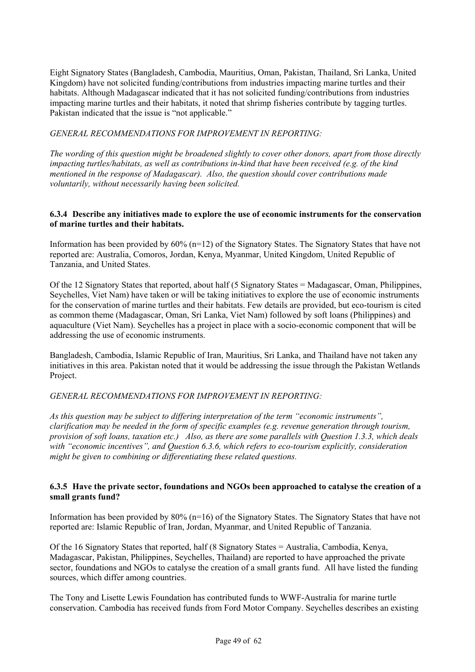Eight Signatory States (Bangladesh, Cambodia, Mauritius, Oman, Pakistan, Thailand, Sri Lanka, United Kingdom) have not solicited funding/contributions from industries impacting marine turtles and their habitats. Although Madagascar indicated that it has not solicited funding/contributions from industries impacting marine turtles and their habitats, it noted that shrimp fisheries contribute by tagging turtles. Pakistan indicated that the issue is "not applicable."

## *GENERAL RECOMMENDATIONS FOR IMPROVEMENT IN REPORTING:*

*The wording of this question might be broadened slightly to cover other donors, apart from those directly impacting turtles/habitats, as well as contributions in-kind that have been received (e.g. of the kind mentioned in the response of Madagascar). Also, the question should cover contributions made voluntarily, without necessarily having been solicited.* 

### **6.3.4 Describe any initiatives made to explore the use of economic instruments for the conservation of marine turtles and their habitats.**

Information has been provided by  $60\%$  (n=12) of the Signatory States. The Signatory States that have not reported are: Australia, Comoros, Jordan, Kenya, Myanmar, United Kingdom, United Republic of Tanzania, and United States.

Of the 12 Signatory States that reported, about half (5 Signatory States = Madagascar, Oman, Philippines, Seychelles, Viet Nam) have taken or will be taking initiatives to explore the use of economic instruments for the conservation of marine turtles and their habitats. Few details are provided, but eco-tourism is cited as common theme (Madagascar, Oman, Sri Lanka, Viet Nam) followed by soft loans (Philippines) and aquaculture (Viet Nam). Seychelles has a project in place with a socio-economic component that will be addressing the use of economic instruments.

Bangladesh, Cambodia, Islamic Republic of Iran, Mauritius, Sri Lanka, and Thailand have not taken any initiatives in this area. Pakistan noted that it would be addressing the issue through the Pakistan Wetlands Project.

#### *GENERAL RECOMMENDATIONS FOR IMPROVEMENT IN REPORTING:*

*As this question may be subject to differing interpretation of the term "economic instruments", clarification may be needed in the form of specific examples (e.g. revenue generation through tourism, provision of soft loans, taxation etc.) Also, as there are some parallels with Question 1.3.3, which deals with "economic incentives", and Question 6.3.6, which refers to eco-tourism explicitly, consideration might be given to combining or differentiating these related questions.* 

## **6.3.5 Have the private sector, foundations and NGOs been approached to catalyse the creation of a small grants fund?**

Information has been provided by 80% (n=16) of the Signatory States. The Signatory States that have not reported are: Islamic Republic of Iran, Jordan, Myanmar, and United Republic of Tanzania.

Of the 16 Signatory States that reported, half (8 Signatory States = Australia, Cambodia, Kenya, Madagascar, Pakistan, Philippines, Seychelles, Thailand) are reported to have approached the private sector, foundations and NGOs to catalyse the creation of a small grants fund. All have listed the funding sources, which differ among countries.

The Tony and Lisette Lewis Foundation has contributed funds to WWF-Australia for marine turtle conservation. Cambodia has received funds from Ford Motor Company. Seychelles describes an existing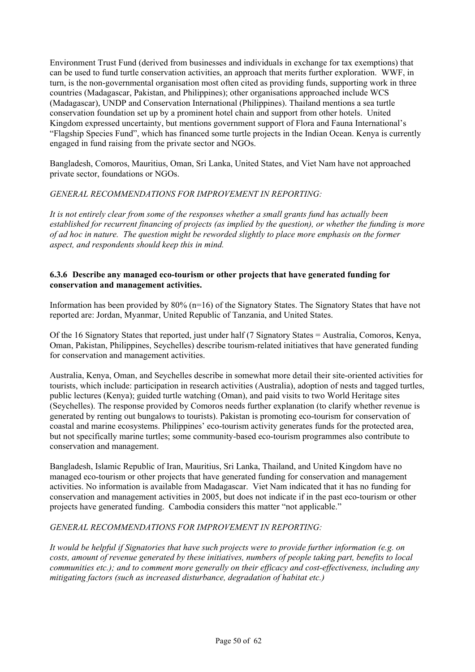Environment Trust Fund (derived from businesses and individuals in exchange for tax exemptions) that can be used to fund turtle conservation activities, an approach that merits further exploration. WWF, in turn, is the non-governmental organisation most often cited as providing funds, supporting work in three countries (Madagascar, Pakistan, and Philippines); other organisations approached include WCS (Madagascar), UNDP and Conservation International (Philippines). Thailand mentions a sea turtle conservation foundation set up by a prominent hotel chain and support from other hotels. United Kingdom expressed uncertainty, but mentions government support of Flora and Fauna International's "Flagship Species Fund", which has financed some turtle projects in the Indian Ocean. Kenya is currently engaged in fund raising from the private sector and NGOs.

Bangladesh, Comoros, Mauritius, Oman, Sri Lanka, United States, and Viet Nam have not approached private sector, foundations or NGOs.

## *GENERAL RECOMMENDATIONS FOR IMPROVEMENT IN REPORTING:*

*It is not entirely clear from some of the responses whether a small grants fund has actually been established for recurrent financing of projects (as implied by the question), or whether the funding is more of ad hoc in nature. The question might be reworded slightly to place more emphasis on the former aspect, and respondents should keep this in mind.* 

### **6.3.6 Describe any managed eco-tourism or other projects that have generated funding for conservation and management activities.**

Information has been provided by 80% (n=16) of the Signatory States. The Signatory States that have not reported are: Jordan, Myanmar, United Republic of Tanzania, and United States.

Of the 16 Signatory States that reported, just under half (7 Signatory States = Australia, Comoros, Kenya, Oman, Pakistan, Philippines, Seychelles) describe tourism-related initiatives that have generated funding for conservation and management activities.

Australia, Kenya, Oman, and Seychelles describe in somewhat more detail their site-oriented activities for tourists, which include: participation in research activities (Australia), adoption of nests and tagged turtles, public lectures (Kenya); guided turtle watching (Oman), and paid visits to two World Heritage sites (Seychelles). The response provided by Comoros needs further explanation (to clarify whether revenue is generated by renting out bungalows to tourists). Pakistan is promoting eco-tourism for conservation of coastal and marine ecosystems. Philippines' eco-tourism activity generates funds for the protected area, but not specifically marine turtles; some community-based eco-tourism programmes also contribute to conservation and management.

Bangladesh, Islamic Republic of Iran, Mauritius, Sri Lanka, Thailand, and United Kingdom have no managed eco-tourism or other projects that have generated funding for conservation and management activities. No information is available from Madagascar. Viet Nam indicated that it has no funding for conservation and management activities in 2005, but does not indicate if in the past eco-tourism or other projects have generated funding. Cambodia considers this matter "not applicable."

## *GENERAL RECOMMENDATIONS FOR IMPROVEMENT IN REPORTING:*

*It would be helpful if Signatories that have such projects were to provide further information (e.g. on costs, amount of revenue generated by these initiatives, numbers of people taking part, benefits to local communities etc.); and to comment more generally on their efficacy and cost-effectiveness, including any mitigating factors (such as increased disturbance, degradation of habitat etc.)*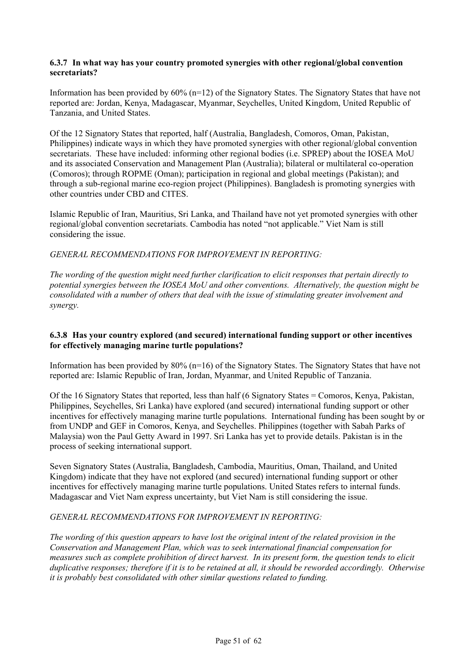#### **6.3.7 In what way has your country promoted synergies with other regional/global convention secretariats?**

Information has been provided by  $60\%$  (n=12) of the Signatory States. The Signatory States that have not reported are: Jordan, Kenya, Madagascar, Myanmar, Seychelles, United Kingdom, United Republic of Tanzania, and United States.

Of the 12 Signatory States that reported, half (Australia, Bangladesh, Comoros, Oman, Pakistan, Philippines) indicate ways in which they have promoted synergies with other regional/global convention secretariats. These have included: informing other regional bodies (i.e. SPREP) about the IOSEA MoU and its associated Conservation and Management Plan (Australia); bilateral or multilateral co-operation (Comoros); through ROPME (Oman); participation in regional and global meetings (Pakistan); and through a sub-regional marine eco-region project (Philippines). Bangladesh is promoting synergies with other countries under CBD and CITES.

Islamic Republic of Iran, Mauritius, Sri Lanka, and Thailand have not yet promoted synergies with other regional/global convention secretariats. Cambodia has noted "not applicable." Viet Nam is still considering the issue.

## *GENERAL RECOMMENDATIONS FOR IMPROVEMENT IN REPORTING:*

*The wording of the question might need further clarification to elicit responses that pertain directly to potential synergies between the IOSEA MoU and other conventions. Alternatively, the question might be consolidated with a number of others that deal with the issue of stimulating greater involvement and synergy.* 

#### **6.3.8 Has your country explored (and secured) international funding support or other incentives for effectively managing marine turtle populations?**

Information has been provided by 80% (n=16) of the Signatory States. The Signatory States that have not reported are: Islamic Republic of Iran, Jordan, Myanmar, and United Republic of Tanzania.

Of the 16 Signatory States that reported, less than half (6 Signatory States = Comoros, Kenya, Pakistan, Philippines, Seychelles, Sri Lanka) have explored (and secured) international funding support or other incentives for effectively managing marine turtle populations. International funding has been sought by or from UNDP and GEF in Comoros, Kenya, and Seychelles. Philippines (together with Sabah Parks of Malaysia) won the Paul Getty Award in 1997. Sri Lanka has yet to provide details. Pakistan is in the process of seeking international support.

Seven Signatory States (Australia, Bangladesh, Cambodia, Mauritius, Oman, Thailand, and United Kingdom) indicate that they have not explored (and secured) international funding support or other incentives for effectively managing marine turtle populations. United States refers to internal funds. Madagascar and Viet Nam express uncertainty, but Viet Nam is still considering the issue.

#### *GENERAL RECOMMENDATIONS FOR IMPROVEMENT IN REPORTING:*

*The wording of this question appears to have lost the original intent of the related provision in the Conservation and Management Plan, which was to seek international financial compensation for measures such as complete prohibition of direct harvest. In its present form, the question tends to elicit duplicative responses; therefore if it is to be retained at all, it should be reworded accordingly. Otherwise it is probably best consolidated with other similar questions related to funding.*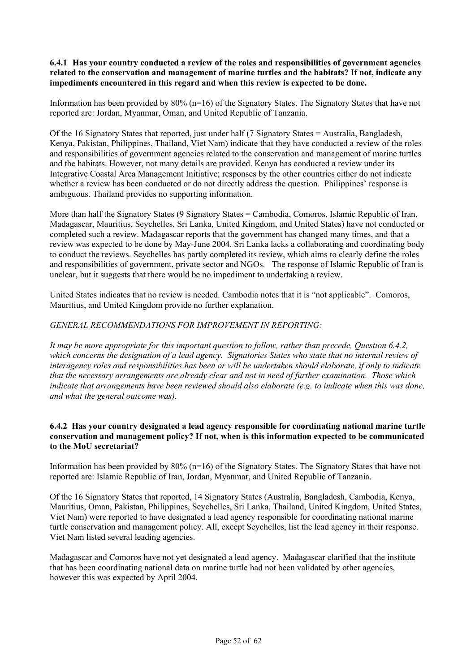#### **6.4.1 Has your country conducted a review of the roles and responsibilities of government agencies related to the conservation and management of marine turtles and the habitats? If not, indicate any impediments encountered in this regard and when this review is expected to be done.**

Information has been provided by  $80\%$  (n=16) of the Signatory States. The Signatory States that have not reported are: Jordan, Myanmar, Oman, and United Republic of Tanzania.

Of the 16 Signatory States that reported, just under half (7 Signatory States = Australia, Bangladesh, Kenya, Pakistan, Philippines, Thailand, Viet Nam) indicate that they have conducted a review of the roles and responsibilities of government agencies related to the conservation and management of marine turtles and the habitats. However, not many details are provided. Kenya has conducted a review under its Integrative Coastal Area Management Initiative; responses by the other countries either do not indicate whether a review has been conducted or do not directly address the question. Philippines' response is ambiguous. Thailand provides no supporting information.

More than half the Signatory States (9 Signatory States = Cambodia, Comoros, Islamic Republic of Iran, Madagascar, Mauritius, Seychelles, Sri Lanka, United Kingdom, and United States) have not conducted or completed such a review. Madagascar reports that the government has changed many times, and that a review was expected to be done by May-June 2004. Sri Lanka lacks a collaborating and coordinating body to conduct the reviews. Seychelles has partly completed its review, which aims to clearly define the roles and responsibilities of government, private sector and NGOs. The response of Islamic Republic of Iran is unclear, but it suggests that there would be no impediment to undertaking a review.

United States indicates that no review is needed. Cambodia notes that it is "not applicable". Comoros, Mauritius, and United Kingdom provide no further explanation.

## *GENERAL RECOMMENDATIONS FOR IMPROVEMENT IN REPORTING:*

*It may be more appropriate for this important question to follow, rather than precede, Question 6.4.2, which concerns the designation of a lead agency. Signatories States who state that no internal review of interagency roles and responsibilities has been or will be undertaken should elaborate, if only to indicate that the necessary arrangements are already clear and not in need of further examination. Those which indicate that arrangements have been reviewed should also elaborate (e.g. to indicate when this was done, and what the general outcome was).* 

### **6.4.2 Has your country designated a lead agency responsible for coordinating national marine turtle conservation and management policy? If not, when is this information expected to be communicated to the MoU secretariat?**

Information has been provided by 80% (n=16) of the Signatory States. The Signatory States that have not reported are: Islamic Republic of Iran, Jordan, Myanmar, and United Republic of Tanzania.

Of the 16 Signatory States that reported, 14 Signatory States (Australia, Bangladesh, Cambodia, Kenya, Mauritius, Oman, Pakistan, Philippines, Seychelles, Sri Lanka, Thailand, United Kingdom, United States, Viet Nam) were reported to have designated a lead agency responsible for coordinating national marine turtle conservation and management policy. All, except Seychelles, list the lead agency in their response. Viet Nam listed several leading agencies.

Madagascar and Comoros have not yet designated a lead agency. Madagascar clarified that the institute that has been coordinating national data on marine turtle had not been validated by other agencies, however this was expected by April 2004.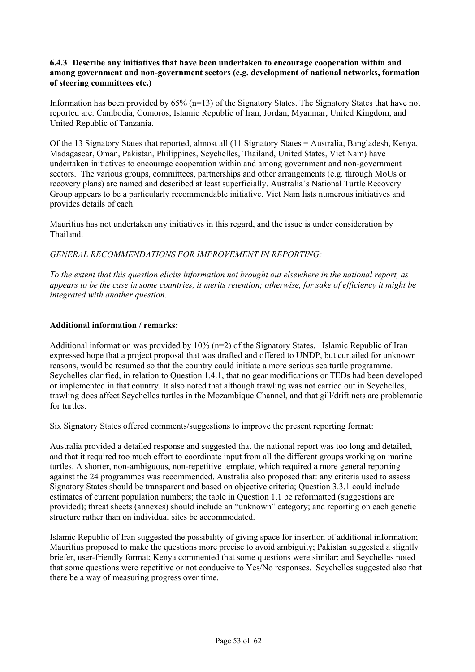### **6.4.3 Describe any initiatives that have been undertaken to encourage cooperation within and among government and non-government sectors (e.g. development of national networks, formation of steering committees etc.)**

Information has been provided by 65% (n=13) of the Signatory States. The Signatory States that have not reported are: Cambodia, Comoros, Islamic Republic of Iran, Jordan, Myanmar, United Kingdom, and United Republic of Tanzania.

Of the 13 Signatory States that reported, almost all (11 Signatory States = Australia, Bangladesh, Kenya, Madagascar, Oman, Pakistan, Philippines, Seychelles, Thailand, United States, Viet Nam) have undertaken initiatives to encourage cooperation within and among government and non-government sectors. The various groups, committees, partnerships and other arrangements (e.g. through MoUs or recovery plans) are named and described at least superficially. Australia's National Turtle Recovery Group appears to be a particularly recommendable initiative. Viet Nam lists numerous initiatives and provides details of each.

Mauritius has not undertaken any initiatives in this regard, and the issue is under consideration by Thailand.

*GENERAL RECOMMENDATIONS FOR IMPROVEMENT IN REPORTING:*

*To the extent that this question elicits information not brought out elsewhere in the national report, as appears to be the case in some countries, it merits retention; otherwise, for sake of efficiency it might be integrated with another question.*

## **Additional information / remarks:**

Additional information was provided by  $10\%$  (n=2) of the Signatory States. Islamic Republic of Iran expressed hope that a project proposal that was drafted and offered to UNDP, but curtailed for unknown reasons, would be resumed so that the country could initiate a more serious sea turtle programme. Seychelles clarified, in relation to Question 1.4.1, that no gear modifications or TEDs had been developed or implemented in that country. It also noted that although trawling was not carried out in Seychelles, trawling does affect Seychelles turtles in the Mozambique Channel, and that gill/drift nets are problematic for turtles.

Six Signatory States offered comments/suggestions to improve the present reporting format:

Australia provided a detailed response and suggested that the national report was too long and detailed, and that it required too much effort to coordinate input from all the different groups working on marine turtles. A shorter, non-ambiguous, non-repetitive template, which required a more general reporting against the 24 programmes was recommended. Australia also proposed that: any criteria used to assess Signatory States should be transparent and based on objective criteria; Question 3.3.1 could include estimates of current population numbers; the table in Question 1.1 be reformatted (suggestions are provided); threat sheets (annexes) should include an "unknown" category; and reporting on each genetic structure rather than on individual sites be accommodated.

Islamic Republic of Iran suggested the possibility of giving space for insertion of additional information; Mauritius proposed to make the questions more precise to avoid ambiguity; Pakistan suggested a slightly briefer, user-friendly format; Kenya commented that some questions were similar; and Seychelles noted that some questions were repetitive or not conducive to Yes/No responses. Seychelles suggested also that there be a way of measuring progress over time.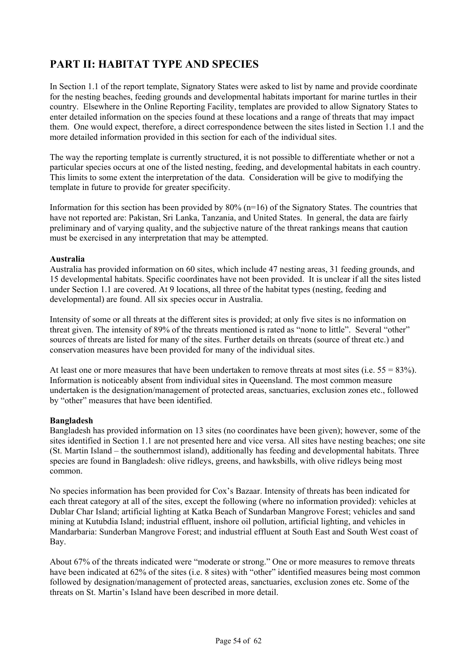# **PART II: HABITAT TYPE AND SPECIES**

In Section 1.1 of the report template, Signatory States were asked to list by name and provide coordinate for the nesting beaches, feeding grounds and developmental habitats important for marine turtles in their country. Elsewhere in the Online Reporting Facility, templates are provided to allow Signatory States to enter detailed information on the species found at these locations and a range of threats that may impact them. One would expect, therefore, a direct correspondence between the sites listed in Section 1.1 and the more detailed information provided in this section for each of the individual sites.

The way the reporting template is currently structured, it is not possible to differentiate whether or not a particular species occurs at one of the listed nesting, feeding, and developmental habitats in each country. This limits to some extent the interpretation of the data. Consideration will be give to modifying the template in future to provide for greater specificity.

Information for this section has been provided by  $80\%$  ( $n=16$ ) of the Signatory States. The countries that have not reported are: Pakistan, Sri Lanka, Tanzania, and United States. In general, the data are fairly preliminary and of varying quality, and the subjective nature of the threat rankings means that caution must be exercised in any interpretation that may be attempted.

## **Australia**

Australia has provided information on 60 sites, which include 47 nesting areas, 31 feeding grounds, and 15 developmental habitats. Specific coordinates have not been provided. It is unclear if all the sites listed under Section 1.1 are covered. At 9 locations, all three of the habitat types (nesting, feeding and developmental) are found. All six species occur in Australia.

Intensity of some or all threats at the different sites is provided; at only five sites is no information on threat given. The intensity of 89% of the threats mentioned is rated as "none to little". Several "other" sources of threats are listed for many of the sites. Further details on threats (source of threat etc.) and conservation measures have been provided for many of the individual sites.

At least one or more measures that have been undertaken to remove threats at most sites (i.e.  $55 = 83\%$ ). Information is noticeably absent from individual sites in Queensland. The most common measure undertaken is the designation/management of protected areas, sanctuaries, exclusion zones etc., followed by "other" measures that have been identified.

## **Bangladesh**

Bangladesh has provided information on 13 sites (no coordinates have been given); however, some of the sites identified in Section 1.1 are not presented here and vice versa. All sites have nesting beaches; one site (St. Martin Island – the southernmost island), additionally has feeding and developmental habitats. Three species are found in Bangladesh: olive ridleys, greens, and hawksbills, with olive ridleys being most common.

No species information has been provided for Cox's Bazaar. Intensity of threats has been indicated for each threat category at all of the sites, except the following (where no information provided): vehicles at Dublar Char Island; artificial lighting at Katka Beach of Sundarban Mangrove Forest; vehicles and sand mining at Kutubdia Island; industrial effluent, inshore oil pollution, artificial lighting, and vehicles in Mandarbaria: Sunderban Mangrove Forest; and industrial effluent at South East and South West coast of Bay.

About 67% of the threats indicated were "moderate or strong." One or more measures to remove threats have been indicated at 62% of the sites (i.e. 8 sites) with "other" identified measures being most common followed by designation/management of protected areas, sanctuaries, exclusion zones etc. Some of the threats on St. Martin's Island have been described in more detail.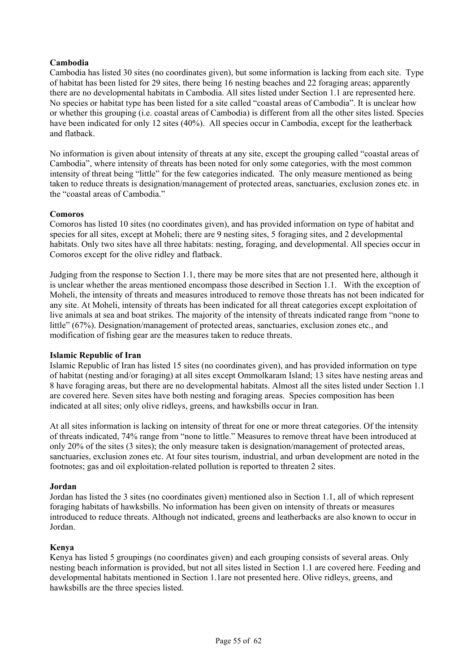## **Cambodia**

Cambodia has listed 30 sites (no coordinates given), but some information is lacking from each site. Type of habitat has been listed for 29 sites, there being 16 nesting beaches and 22 foraging areas; apparently there are no developmental habitats in Cambodia. All sites listed under Section 1.1 are represented here. No species or habitat type has been listed for a site called "coastal areas of Cambodia". It is unclear how or whether this grouping (i.e. coastal areas of Cambodia) is different from all the other sites listed. Species have been indicated for only 12 sites (40%). All species occur in Cambodia, except for the leatherback and flatback.

No information is given about intensity of threats at any site, except the grouping called "coastal areas of Cambodia", where intensity of threats has been noted for only some categories, with the most common intensity of threat being "little" for the few categories indicated. The only measure mentioned as being taken to reduce threats is designation/management of protected areas, sanctuaries, exclusion zones etc. in the "coastal areas of Cambodia."

#### **Comoros**

Comoros has listed 10 sites (no coordinates given), and has provided information on type of habitat and species for all sites, except at Moheli; there are 9 nesting sites, 5 foraging sites, and 2 developmental habitats. Only two sites have all three habitats: nesting, foraging, and developmental. All species occur in Comoros except for the olive ridley and flatback.

Judging from the response to Section 1.1, there may be more sites that are not presented here, although it is unclear whether the areas mentioned encompass those described in Section 1.1. With the exception of Moheli, the intensity of threats and measures introduced to remove those threats has not been indicated for any site. At Moheli, intensity of threats has been indicated for all threat categories except exploitation of live animals at sea and boat strikes. The majority of the intensity of threats indicated range from "none to little" (67%). Designation/management of protected areas, sanctuaries, exclusion zones etc., and modification of fishing gear are the measures taken to reduce threats.

#### **Islamic Republic of Iran**

Islamic Republic of Iran has listed 15 sites (no coordinates given), and has provided information on type of habitat (nesting and/or foraging) at all sites except Ommolkaram Island; 13 sites have nesting areas and 8 have foraging areas, but there are no developmental habitats. Almost all the sites listed under Section 1.1 are covered here. Seven sites have both nesting and foraging areas. Species composition has been indicated at all sites; only olive ridleys, greens, and hawksbills occur in Iran.

At all sites information is lacking on intensity of threat for one or more threat categories. Of the intensity of threats indicated, 74% range from "none to little." Measures to remove threat have been introduced at only 20% of the sites (3 sites); the only measure taken is designation/management of protected areas, sanctuaries, exclusion zones etc. At four sites tourism, industrial, and urban development are noted in the footnotes; gas and oil exploitation-related pollution is reported to threaten 2 sites.

#### **Jordan**

Jordan has listed the 3 sites (no coordinates given) mentioned also in Section 1.1, all of which represent foraging habitats of hawksbills. No information has been given on intensity of threats or measures introduced to reduce threats. Although not indicated, greens and leatherbacks are also known to occur in Jordan.

#### **Kenya**

Kenya has listed 5 groupings (no coordinates given) and each grouping consists of several areas. Only nesting beach information is provided, but not all sites listed in Section 1.1 are covered here. Feeding and developmental habitats mentioned in Section 1.1are not presented here. Olive ridleys, greens, and hawksbills are the three species listed.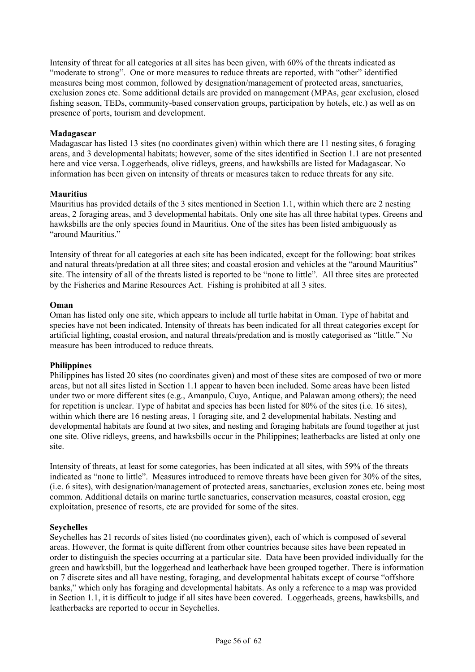Intensity of threat for all categories at all sites has been given, with 60% of the threats indicated as "moderate to strong". One or more measures to reduce threats are reported, with "other" identified measures being most common, followed by designation/management of protected areas, sanctuaries, exclusion zones etc. Some additional details are provided on management (MPAs, gear exclusion, closed fishing season, TEDs, community-based conservation groups, participation by hotels, etc.) as well as on presence of ports, tourism and development.

## **Madagascar**

Madagascar has listed 13 sites (no coordinates given) within which there are 11 nesting sites, 6 foraging areas, and 3 developmental habitats; however, some of the sites identified in Section 1.1 are not presented here and vice versa. Loggerheads, olive ridleys, greens, and hawksbills are listed for Madagascar. No information has been given on intensity of threats or measures taken to reduce threats for any site.

#### **Mauritius**

Mauritius has provided details of the 3 sites mentioned in Section 1.1, within which there are 2 nesting areas, 2 foraging areas, and 3 developmental habitats. Only one site has all three habitat types. Greens and hawksbills are the only species found in Mauritius. One of the sites has been listed ambiguously as "around Mauritius."

Intensity of threat for all categories at each site has been indicated, except for the following: boat strikes and natural threats/predation at all three sites; and coastal erosion and vehicles at the "around Mauritius" site. The intensity of all of the threats listed is reported to be "none to little". All three sites are protected by the Fisheries and Marine Resources Act. Fishing is prohibited at all 3 sites.

#### **Oman**

Oman has listed only one site, which appears to include all turtle habitat in Oman. Type of habitat and species have not been indicated. Intensity of threats has been indicated for all threat categories except for artificial lighting, coastal erosion, and natural threats/predation and is mostly categorised as "little." No measure has been introduced to reduce threats.

#### **Philippines**

Philippines has listed 20 sites (no coordinates given) and most of these sites are composed of two or more areas, but not all sites listed in Section 1.1 appear to haven been included. Some areas have been listed under two or more different sites (e.g., Amanpulo, Cuyo, Antique, and Palawan among others); the need for repetition is unclear. Type of habitat and species has been listed for 80% of the sites (i.e. 16 sites), within which there are 16 nesting areas, 1 foraging site, and 2 developmental habitats. Nesting and developmental habitats are found at two sites, and nesting and foraging habitats are found together at just one site. Olive ridleys, greens, and hawksbills occur in the Philippines; leatherbacks are listed at only one site.

Intensity of threats, at least for some categories, has been indicated at all sites, with 59% of the threats indicated as "none to little". Measures introduced to remove threats have been given for 30% of the sites, (i.e. 6 sites), with designation/management of protected areas, sanctuaries, exclusion zones etc. being most common. Additional details on marine turtle sanctuaries, conservation measures, coastal erosion, egg exploitation, presence of resorts, etc are provided for some of the sites.

#### **Seychelles**

Seychelles has 21 records of sites listed (no coordinates given), each of which is composed of several areas. However, the format is quite different from other countries because sites have been repeated in order to distinguish the species occurring at a particular site. Data have been provided individually for the green and hawksbill, but the loggerhead and leatherback have been grouped together. There is information on 7 discrete sites and all have nesting, foraging, and developmental habitats except of course "offshore banks," which only has foraging and developmental habitats. As only a reference to a map was provided in Section 1.1, it is difficult to judge if all sites have been covered. Loggerheads, greens, hawksbills, and leatherbacks are reported to occur in Seychelles.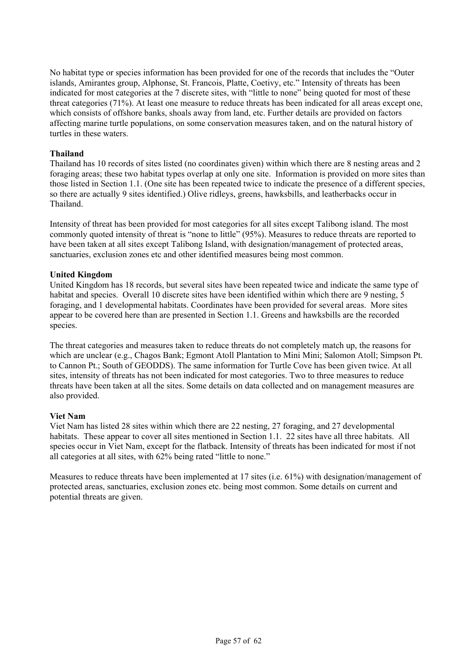No habitat type or species information has been provided for one of the records that includes the "Outer islands, Amirantes group, Alphonse, St. Francois, Platte, Coetivy, etc." Intensity of threats has been indicated for most categories at the 7 discrete sites, with "little to none" being quoted for most of these threat categories (71%). At least one measure to reduce threats has been indicated for all areas except one, which consists of offshore banks, shoals away from land, etc. Further details are provided on factors affecting marine turtle populations, on some conservation measures taken, and on the natural history of turtles in these waters.

## **Thailand**

Thailand has 10 records of sites listed (no coordinates given) within which there are 8 nesting areas and 2 foraging areas; these two habitat types overlap at only one site. Information is provided on more sites than those listed in Section 1.1. (One site has been repeated twice to indicate the presence of a different species, so there are actually 9 sites identified.) Olive ridleys, greens, hawksbills, and leatherbacks occur in Thailand.

Intensity of threat has been provided for most categories for all sites except Talibong island. The most commonly quoted intensity of threat is "none to little" (95%). Measures to reduce threats are reported to have been taken at all sites except Talibong Island, with designation/management of protected areas, sanctuaries, exclusion zones etc and other identified measures being most common.

## **United Kingdom**

United Kingdom has 18 records, but several sites have been repeated twice and indicate the same type of habitat and species. Overall 10 discrete sites have been identified within which there are 9 nesting, 5 foraging, and 1 developmental habitats. Coordinates have been provided for several areas. More sites appear to be covered here than are presented in Section 1.1. Greens and hawksbills are the recorded species.

The threat categories and measures taken to reduce threats do not completely match up, the reasons for which are unclear (e.g., Chagos Bank; Egmont Atoll Plantation to Mini Mini; Salomon Atoll; Simpson Pt. to Cannon Pt.; South of GEODDS). The same information for Turtle Cove has been given twice. At all sites, intensity of threats has not been indicated for most categories. Two to three measures to reduce threats have been taken at all the sites. Some details on data collected and on management measures are also provided.

#### **Viet Nam**

Viet Nam has listed 28 sites within which there are 22 nesting, 27 foraging, and 27 developmental habitats. These appear to cover all sites mentioned in Section 1.1. 22 sites have all three habitats. All species occur in Viet Nam, except for the flatback. Intensity of threats has been indicated for most if not all categories at all sites, with 62% being rated "little to none."

Measures to reduce threats have been implemented at 17 sites (i.e. 61%) with designation/management of protected areas, sanctuaries, exclusion zones etc. being most common. Some details on current and potential threats are given.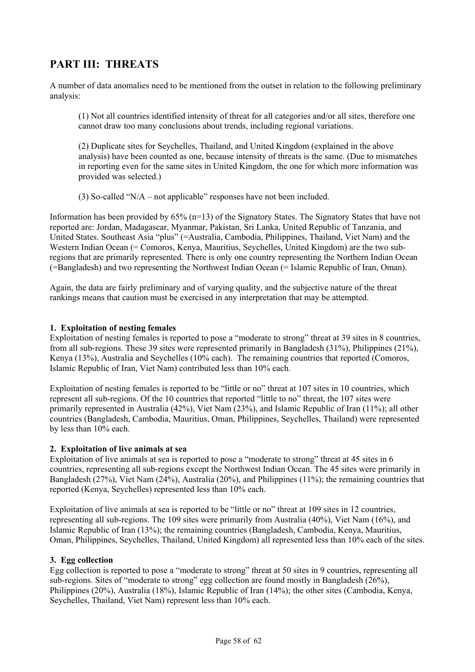# **PART III: THREATS**

A number of data anomalies need to be mentioned from the outset in relation to the following preliminary analysis:

(1) Not all countries identified intensity of threat for all categories and/or all sites, therefore one cannot draw too many conclusions about trends, including regional variations.

(2) Duplicate sites for Seychelles, Thailand, and United Kingdom (explained in the above analysis) have been counted as one, because intensity of threats is the same. (Due to mismatches in reporting even for the same sites in United Kingdom, the one for which more information was provided was selected.)

(3) So-called "N/A – not applicable" responses have not been included.

Information has been provided by 65% (n=13) of the Signatory States. The Signatory States that have not reported are: Jordan, Madagascar, Myanmar, Pakistan, Sri Lanka, United Republic of Tanzania, and United States. Southeast Asia "plus" (=Australia, Cambodia, Philippines, Thailand, Viet Nam) and the Western Indian Ocean (= Comoros, Kenya, Mauritius, Seychelles, United Kingdom) are the two subregions that are primarily represented. There is only one country representing the Northern Indian Ocean (=Bangladesh) and two representing the Northwest Indian Ocean (= Islamic Republic of Iran, Oman).

Again, the data are fairly preliminary and of varying quality, and the subjective nature of the threat rankings means that caution must be exercised in any interpretation that may be attempted.

## **1. Exploitation of nesting females**

Exploitation of nesting females is reported to pose a "moderate to strong" threat at 39 sites in 8 countries, from all sub-regions. These 39 sites were represented primarily in Bangladesh (31%), Philippines (21%), Kenya (13%), Australia and Seychelles (10% each). The remaining countries that reported (Comoros, Islamic Republic of Iran, Viet Nam) contributed less than 10% each.

Exploitation of nesting females is reported to be "little or no" threat at 107 sites in 10 countries, which represent all sub-regions. Of the 10 countries that reported "little to no" threat, the 107 sites were primarily represented in Australia (42%), Viet Nam (23%), and Islamic Republic of Iran (11%); all other countries (Bangladesh, Cambodia, Mauritius, Oman, Philippines, Seychelles, Thailand) were represented by less than 10% each.

#### **2. Exploitation of live animals at sea**

Exploitation of live animals at sea is reported to pose a "moderate to strong" threat at 45 sites in 6 countries, representing all sub-regions except the Northwest Indian Ocean. The 45 sites were primarily in Bangladesh (27%), Viet Nam (24%), Australia (20%), and Philippines (11%); the remaining countries that reported (Kenya, Seychelles) represented less than 10% each.

Exploitation of live animals at sea is reported to be "little or no" threat at 109 sites in 12 countries, representing all sub-regions. The 109 sites were primarily from Australia (40%), Viet Nam (16%), and Islamic Republic of Iran (13%); the remaining countries (Bangladesh, Cambodia, Kenya, Mauritius, Oman, Philippines, Seychelles, Thailand, United Kingdom) all represented less than 10% each of the sites.

#### **3. Egg collection**

Egg collection is reported to pose a "moderate to strong" threat at 50 sites in 9 countries, representing all sub-regions. Sites of "moderate to strong" egg collection are found mostly in Bangladesh (26%), Philippines (20%), Australia (18%), Islamic Republic of Iran (14%); the other sites (Cambodia, Kenya, Seychelles, Thailand, Viet Nam) represent less than 10% each.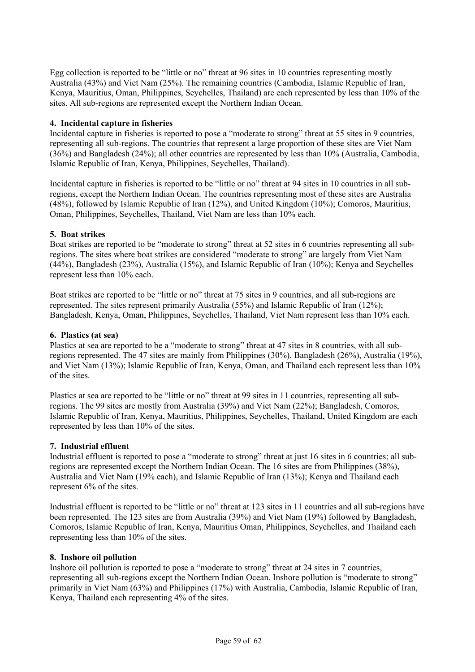Egg collection is reported to be "little or no" threat at 96 sites in 10 countries representing mostly Australia (43%) and Viet Nam (25%). The remaining countries (Cambodia, Islamic Republic of Iran, Kenya, Mauritius, Oman, Philippines, Seychelles, Thailand) are each represented by less than 10% of the sites. All sub-regions are represented except the Northern Indian Ocean.

## **4. Incidental capture in fisheries**

Incidental capture in fisheries is reported to pose a "moderate to strong" threat at 55 sites in 9 countries, representing all sub-regions. The countries that represent a large proportion of these sites are Viet Nam (36%) and Bangladesh (24%); all other countries are represented by less than 10% (Australia, Cambodia, Islamic Republic of Iran, Kenya, Philippines, Seychelles, Thailand).

Incidental capture in fisheries is reported to be "little or no" threat at 94 sites in 10 countries in all subregions, except the Northern Indian Ocean. The countries representing most of these sites are Australia (48%), followed by Islamic Republic of Iran (12%), and United Kingdom (10%); Comoros, Mauritius, Oman, Philippines, Seychelles, Thailand, Viet Nam are less than 10% each.

## **5. Boat strikes**

Boat strikes are reported to be "moderate to strong" threat at 52 sites in 6 countries representing all subregions. The sites where boat strikes are considered "moderate to strong" are largely from Viet Nam (44%), Bangladesh (23%), Australia (15%), and Islamic Republic of Iran (10%); Kenya and Seychelles represent less than 10% each.

Boat strikes are reported to be "little or no" threat at 75 sites in 9 countries, and all sub-regions are represented. The sites represent primarily Australia (55%) and Islamic Republic of Iran (12%); Bangladesh, Kenya, Oman, Philippines, Seychelles, Thailand, Viet Nam represent less than 10% each.

#### **6. Plastics (at sea)**

Plastics at sea are reported to be a "moderate to strong" threat at 47 sites in 8 countries, with all subregions represented. The 47 sites are mainly from Philippines (30%), Bangladesh (26%), Australia (19%), and Viet Nam (13%); Islamic Republic of Iran, Kenya, Oman, and Thailand each represent less than 10% of the sites.

Plastics at sea are reported to be "little or no" threat at 99 sites in 11 countries, representing all subregions. The 99 sites are mostly from Australia (39%) and Viet Nam (22%); Bangladesh, Comoros, Islamic Republic of Iran, Kenya, Mauritius, Philippines, Seychelles, Thailand, United Kingdom are each represented by less than 10% of the sites.

#### **7. Industrial effluent**

Industrial effluent is reported to pose a "moderate to strong" threat at just 16 sites in 6 countries; all subregions are represented except the Northern Indian Ocean. The 16 sites are from Philippines (38%), Australia and Viet Nam (19% each), and Islamic Republic of Iran (13%); Kenya and Thailand each represent 6% of the sites.

Industrial effluent is reported to be "little or no" threat at 123 sites in 11 countries and all sub-regions have been represented. The 123 sites are from Australia (39%) and Viet Nam (19%) followed by Bangladesh, Comoros, Islamic Republic of Iran, Kenya, Mauritius Oman, Philippines, Seychelles, and Thailand each representing less than 10% of the sites.

#### **8. Inshore oil pollution**

Inshore oil pollution is reported to pose a "moderate to strong" threat at 24 sites in 7 countries, representing all sub-regions except the Northern Indian Ocean. Inshore pollution is "moderate to strong" primarily in Viet Nam (63%) and Philippines (17%) with Australia, Cambodia, Islamic Republic of Iran, Kenya, Thailand each representing 4% of the sites.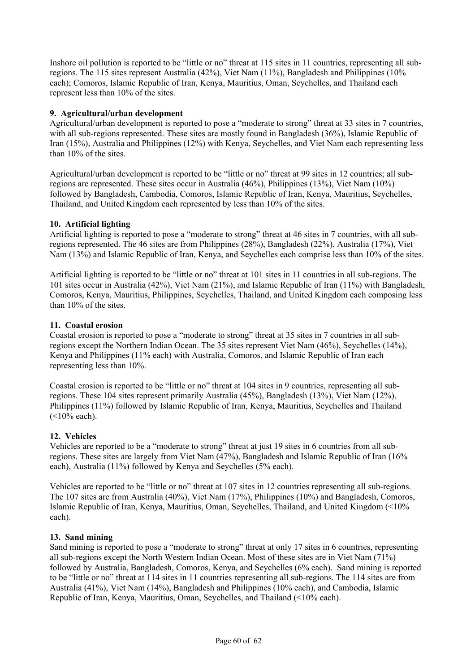Inshore oil pollution is reported to be "little or no" threat at 115 sites in 11 countries, representing all subregions. The 115 sites represent Australia (42%), Viet Nam (11%), Bangladesh and Philippines (10% each); Comoros, Islamic Republic of Iran, Kenya, Mauritius, Oman, Seychelles, and Thailand each represent less than 10% of the sites.

## **9. Agricultural/urban development**

Agricultural/urban development is reported to pose a "moderate to strong" threat at 33 sites in 7 countries, with all sub-regions represented. These sites are mostly found in Bangladesh (36%), Islamic Republic of Iran (15%), Australia and Philippines (12%) with Kenya, Seychelles, and Viet Nam each representing less than 10% of the sites.

Agricultural/urban development is reported to be "little or no" threat at 99 sites in 12 countries; all subregions are represented. These sites occur in Australia (46%), Philippines (13%), Viet Nam (10%) followed by Bangladesh, Cambodia, Comoros, Islamic Republic of Iran, Kenya, Mauritius, Seychelles, Thailand, and United Kingdom each represented by less than 10% of the sites.

## **10. Artificial lighting**

Artificial lighting is reported to pose a "moderate to strong" threat at 46 sites in 7 countries, with all subregions represented. The 46 sites are from Philippines (28%), Bangladesh (22%), Australia (17%), Viet Nam (13%) and Islamic Republic of Iran, Kenya, and Seychelles each comprise less than 10% of the sites.

Artificial lighting is reported to be "little or no" threat at 101 sites in 11 countries in all sub-regions. The 101 sites occur in Australia (42%), Viet Nam (21%), and Islamic Republic of Iran (11%) with Bangladesh, Comoros, Kenya, Mauritius, Philippines, Seychelles, Thailand, and United Kingdom each composing less than 10% of the sites.

#### **11. Coastal erosion**

Coastal erosion is reported to pose a "moderate to strong" threat at 35 sites in 7 countries in all subregions except the Northern Indian Ocean. The 35 sites represent Viet Nam (46%), Seychelles (14%), Kenya and Philippines (11% each) with Australia, Comoros, and Islamic Republic of Iran each representing less than 10%.

Coastal erosion is reported to be "little or no" threat at 104 sites in 9 countries, representing all subregions. These 104 sites represent primarily Australia (45%), Bangladesh (13%), Viet Nam (12%), Philippines (11%) followed by Islamic Republic of Iran, Kenya, Mauritius, Seychelles and Thailand  $(<10\%$  each).

## **12. Vehicles**

Vehicles are reported to be a "moderate to strong" threat at just 19 sites in 6 countries from all subregions. These sites are largely from Viet Nam (47%), Bangladesh and Islamic Republic of Iran (16% each), Australia (11%) followed by Kenya and Seychelles (5% each).

Vehicles are reported to be "little or no" threat at 107 sites in 12 countries representing all sub-regions. The 107 sites are from Australia (40%), Viet Nam (17%), Philippines (10%) and Bangladesh, Comoros, Islamic Republic of Iran, Kenya, Mauritius, Oman, Seychelles, Thailand, and United Kingdom (<10% each).

#### **13. Sand mining**

Sand mining is reported to pose a "moderate to strong" threat at only 17 sites in 6 countries, representing all sub-regions except the North Western Indian Ocean. Most of these sites are in Viet Nam (71%) followed by Australia, Bangladesh, Comoros, Kenya, and Seychelles (6% each). Sand mining is reported to be "little or no" threat at 114 sites in 11 countries representing all sub-regions. The 114 sites are from Australia (41%), Viet Nam (14%), Bangladesh and Philippines (10% each), and Cambodia, Islamic Republic of Iran, Kenya, Mauritius, Oman, Seychelles, and Thailand (<10% each).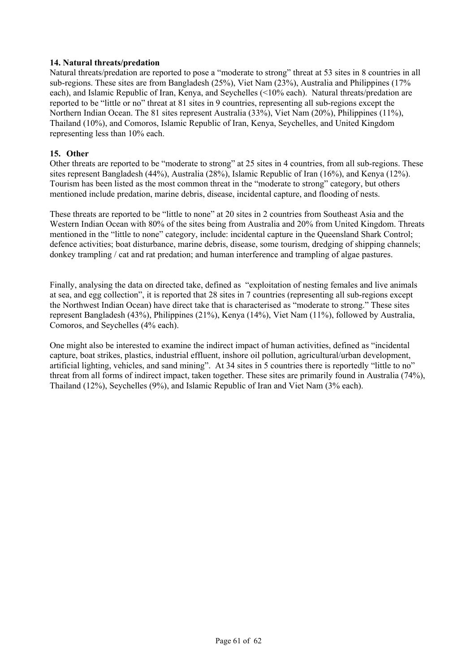### **14. Natural threats/predation**

Natural threats/predation are reported to pose a "moderate to strong" threat at 53 sites in 8 countries in all sub-regions. These sites are from Bangladesh (25%), Viet Nam (23%), Australia and Philippines (17% each), and Islamic Republic of Iran, Kenya, and Seychelles (<10% each). Natural threats/predation are reported to be "little or no" threat at 81 sites in 9 countries, representing all sub-regions except the Northern Indian Ocean. The 81 sites represent Australia (33%), Viet Nam (20%), Philippines (11%), Thailand (10%), and Comoros, Islamic Republic of Iran, Kenya, Seychelles, and United Kingdom representing less than 10% each.

## **15. Other**

Other threats are reported to be "moderate to strong" at 25 sites in 4 countries, from all sub-regions. These sites represent Bangladesh (44%), Australia (28%), Islamic Republic of Iran (16%), and Kenya (12%). Tourism has been listed as the most common threat in the "moderate to strong" category, but others mentioned include predation, marine debris, disease, incidental capture, and flooding of nests.

These threats are reported to be "little to none" at 20 sites in 2 countries from Southeast Asia and the Western Indian Ocean with 80% of the sites being from Australia and 20% from United Kingdom. Threats mentioned in the "little to none" category, include: incidental capture in the Queensland Shark Control; defence activities; boat disturbance, marine debris, disease, some tourism, dredging of shipping channels; donkey trampling / cat and rat predation; and human interference and trampling of algae pastures.

Finally, analysing the data on directed take, defined as "exploitation of nesting females and live animals at sea, and egg collection", it is reported that 28 sites in 7 countries (representing all sub-regions except the Northwest Indian Ocean) have direct take that is characterised as "moderate to strong." These sites represent Bangladesh (43%), Philippines (21%), Kenya (14%), Viet Nam (11%), followed by Australia, Comoros, and Seychelles (4% each).

One might also be interested to examine the indirect impact of human activities, defined as "incidental capture, boat strikes, plastics, industrial effluent, inshore oil pollution, agricultural/urban development, artificial lighting, vehicles, and sand mining". At 34 sites in 5 countries there is reportedly "little to no" threat from all forms of indirect impact, taken together. These sites are primarily found in Australia (74%), Thailand (12%), Seychelles (9%), and Islamic Republic of Iran and Viet Nam (3% each).